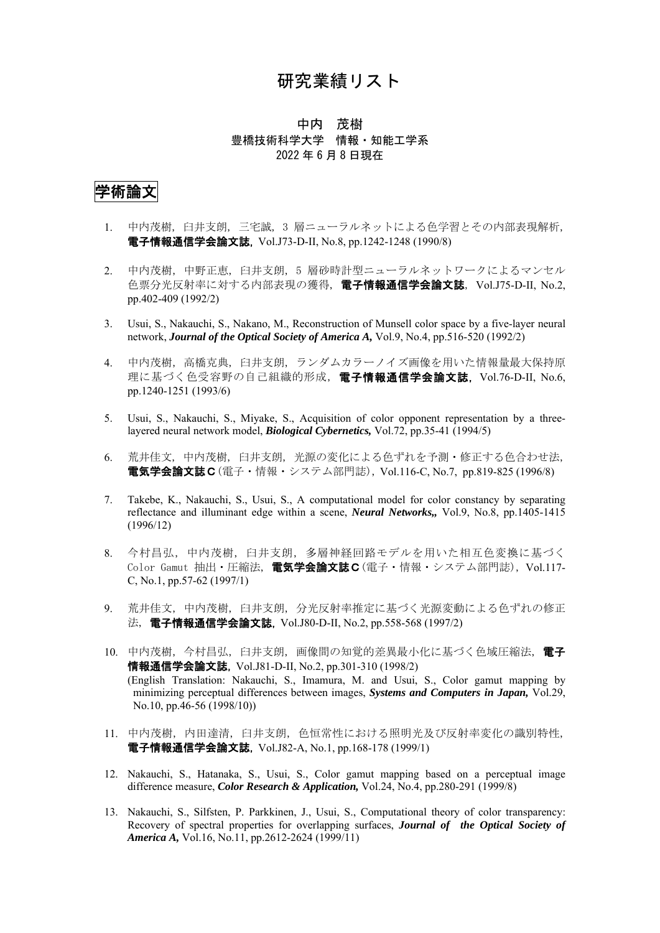## 研究業績リスト

#### 中内 茂樹 豊橋技術科学大学 情報・知能工学系 2022 年 6 月 8 日現在

# 学術論文

- 1. 中内茂樹, 臼井支朗, 三宅誠, 3 層ニューラルネットによる色学習とその内部表現解析, 電子情報通信学会論文誌, Vol.J73-D-II, No.8, pp.1242-1248 (1990/8)
- 2. 中内茂樹, 中野正恵, 臼井支朗, 5 層砂時計型ニューラルネットワークによるマンセル 色票分光反射率に対する内部表現の獲得, 電子情報通信学会論文誌, Vol.J75-D-II, No.2, pp.402-409 (1992/2)
- 3. Usui, S., Nakauchi, S., Nakano, M., Reconstruction of Munsell color space by a five-layer neural network, *Journal of the Optical Society of America A,* Vol.9, No.4, pp.516-520 (1992/2)
- 4. 中内茂樹, 高橋克典, 臼井支朗, ランダムカラーノイズ画像を用いた情報量最大保持原 理に基づく色受容野の自己組織的形成, 電子情報通信学会論文誌, Vol.76-D-II, No.6, pp.1240-1251 (1993/6)
- 5. Usui, S., Nakauchi, S., Miyake, S., Acquisition of color opponent representation by a threelayered neural network model, *Biological Cybernetics,* Vol.72, pp.35-41 (1994/5)
- 6. 荒井佳文, 中内茂樹, 臼井支朗, 光源の変化による色ずれを予測・修正する色合わせ法, 電気学会論文誌C(電子・情報・システム部門誌), Vol.116-C, No.7, pp.819-825 (1996/8)
- 7. Takebe, K., Nakauchi, S., Usui, S., A computational model for color constancy by separating reflectance and illuminant edge within a scene, *Neural Networks,,* Vol.9, No.8, pp.1405-1415 (1996/12)
- 8. 今村昌弘, 中内茂樹, 臼井支朗, 多層神経回路モデルを用いた相互色変換に基づく Color Gamut 抽出・圧縮法, 電気学会論文誌C(電子・情報・システム部門誌), Vol.117-C, No.1, pp.57-62 (1997/1)
- 9. 荒井佳文, 中内茂樹, 臼井支朗, 分光反射率推定に基づく光源変動による色ずれの修正 法, 電子情報通信学会論文誌, Vol.J80-D-II, No.2, pp.558-568 (1997/2)
- 10. 中内茂樹, 今村昌弘, 臼井支朗, 画像間の知覚的差異最小化に基づく色域圧縮法, 電子 情報通信学会論文誌, Vol.J81-D-II, No.2, pp.301-310 (1998/2) (English Translation: Nakauchi, S., Imamura, M. and Usui, S., Color gamut mapping by minimizing perceptual differences between images, *Systems and Computers in Japan,* Vol.29, No.10, pp.46-56 (1998/10))
- 11. 中内茂樹, 内田達清, 臼井支朗, 色恒常性における照明光及び反射率変化の識別特性, 電子情報通信学会論文誌, Vol.J82-A, No.1, pp.168-178 (1999/1)
- 12. Nakauchi, S., Hatanaka, S., Usui, S., Color gamut mapping based on a perceptual image difference measure, *Color Research & Application,* Vol.24, No.4, pp.280-291 (1999/8)
- 13. Nakauchi, S., Silfsten, P. Parkkinen, J., Usui, S., Computational theory of color transparency: Recovery of spectral properties for overlapping surfaces, *Journal of the Optical Society of America A,* Vol.16, No.11, pp.2612-2624 (1999/11)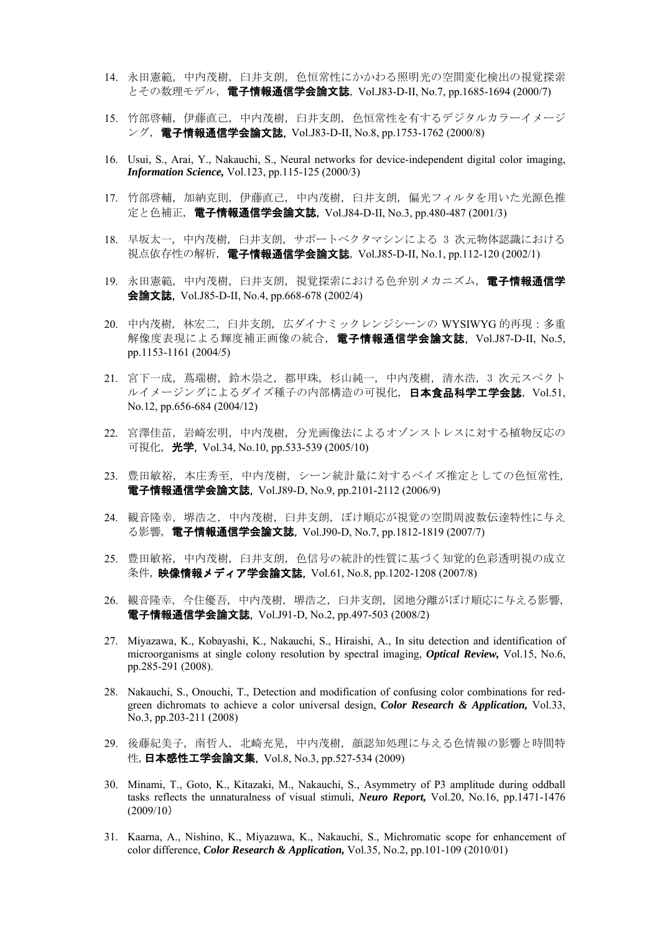- 14. 永田憲範, 中内茂樹, 臼井支朗, 色恒常性にかかわる照明光の空間変化検出の視覚探索 とその数理モデル, 電子情報通信学会論文誌, Vol.J83-D-II, No.7, pp.1685-1694 (2000/7)
- 15. 竹部啓輔, 伊藤直己, 中内茂樹, 臼井支朗, 色恒常性を有するデジタルカラーイメージ ング, 電子情報通信学会論文誌, Vol.J83-D-II, No.8, pp.1753-1762 (2000/8)
- 16. Usui, S., Arai, Y., Nakauchi, S., Neural networks for device-independent digital color imaging, *Information Science,* Vol.123, pp.115-125 (2000/3)
- 17. 竹部啓輔, 加納克則, 伊藤直己, 中内茂樹, 臼井支朗, 偏光フィルタを用いた光源色推 定と色補正, 電子情報通信学会論文誌, Vol.J84-D-II, No.3, pp.480-487 (2001/3)
- 18. 早坂太一, 中内茂樹, 臼井支朗, サポートベクタマシンによる 3 次元物体認識における 視点依存性の解析, 電子情報通信学会論文誌, Vol.J85-D-II, No.1, pp.112-120 (2002/1)
- 19. 永田憲範, 中内茂樹, 臼井支朗, 視覚探索における色弁別メカニズム, 電子情報通信学 会論文誌, Vol.J85-D-II, No.4, pp.668-678 (2002/4)
- 20. 中内茂樹, 林宏二, 臼井支朗, 広ダイナミックレンジシーンの WYSIWYG 的再現:多重 解像度表現による輝度補正画像の統合, 電子情報通信学会論文誌, Vol.J87-D-II, No.5, pp.1153-1161 (2004/5)
- 21. 宮下一成, 蔦瑞樹, 鈴木崇之, 都甲珠, 杉山純一, 中内茂樹, 清水浩, 3 次元スペクト ルイメージングによるダイズ種子の内部構造の可視化, 日本食品科学工学会誌, Vol.51, No.12, pp.656-684 (2004/12)
- 22. 宮澤佳苗, 岩崎宏明, 中内茂樹, 分光画像法によるオゾンストレスに対する植物反応の 可視化, **光学,** Vol.34, No.10, pp.533-539 (2005/10)
- 23. 豊田敏裕, 本庄秀至, 中内茂樹, シーン統計量に対するベイズ推定としての色恒常性, 電子情報通信学会論文誌, Vol.J89-D, No.9, pp.2101-2112 (2006/9)
- 24. 観音隆幸, 堺浩之, 中内茂樹, 臼井支朗, ぼけ順応が視覚の空間周波数伝達特性に与え る影響, 電子情報通信学会論文誌, Vol.J90-D, No.7, pp.1812-1819 (2007/7)
- 25. 豊田敏裕, 中内茂樹, 臼井支朗, 色信号の統計的性質に基づく知覚的色彩透明視の成立 条件, 映像情報メディア学会論文誌, Vol.61, No.8, pp.1202-1208 (2007/8)
- 26. 観音隆幸, 今住優吾, 中内茂樹, 堺浩之, 臼井支朗, 図地分離がぼけ順応に与える影響, 電子情報通信学会論文誌, Vol.J91-D, No.2, pp.497-503 (2008/2)
- 27. Miyazawa, K., Kobayashi, K., Nakauchi, S., Hiraishi, A., In situ detection and identification of microorganisms at single colony resolution by spectral imaging, *Optical Review,* Vol.15, No.6, pp.285-291 (2008).
- 28. Nakauchi, S., Onouchi, T., Detection and modification of confusing color combinations for redgreen dichromats to achieve a color universal design, *Color Research & Application,* Vol.33, No.3, pp.203-211 (2008)
- 29. 後藤紀美子, 南哲人, 北崎充晃, 中内茂樹, 顔認知処理に与える色情報の影響と時間特 性, **日本感性工学会論文集,** Vol.8, No.3, pp.527-534 (2009)
- 30. Minami, T., Goto, K., Kitazaki, M., Nakauchi, S., Asymmetry of P3 amplitude during oddball tasks reflects the unnaturalness of visual stimuli, *Neuro Report,* Vol.20, No.16, pp.1471-1476 (2009/10)
- 31. Kaarna, A., Nishino, K., Miyazawa, K., Nakauchi, S., Michromatic scope for enhancement of color difference, *Color Research & Application,* Vol.35, No.2, pp.101-109 (2010/01)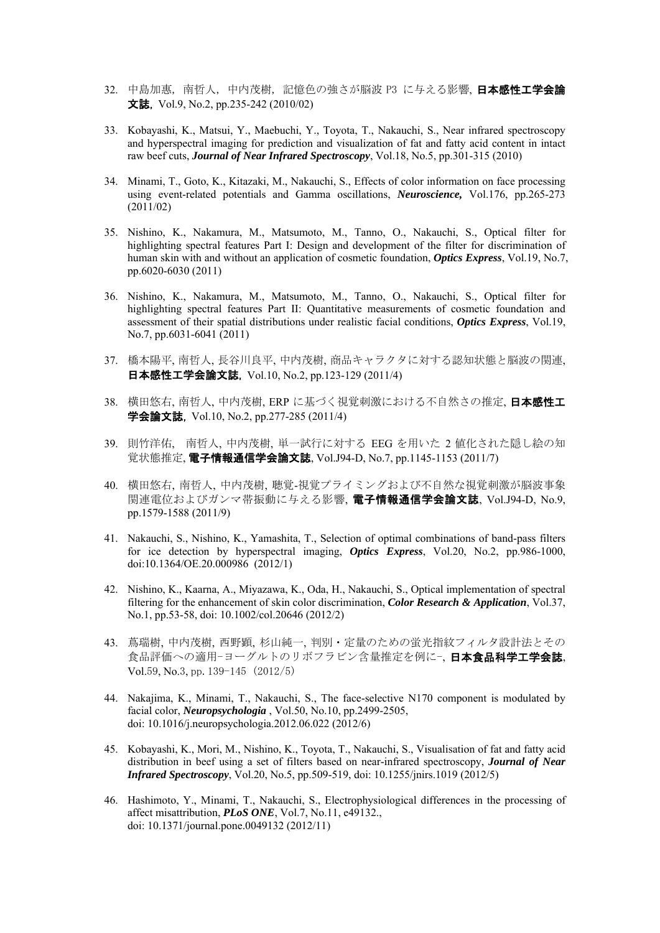- 32. 中島加惠, 南哲人, 中内茂樹, 記憶色の強さが脳波 P3 に与える影響, 日本感性工学会論 文誌, Vol.9, No.2, pp.235-242 (2010/02)
- 33. Kobayashi, K., Matsui, Y., Maebuchi, Y., Toyota, T., Nakauchi, S., Near infrared spectroscopy and hyperspectral imaging for prediction and visualization of fat and fatty acid content in intact raw beef cuts, *Journal of Near Infrared Spectroscopy*, Vol.18, No.5, pp.301-315 (2010)
- 34. Minami, T., Goto, K., Kitazaki, M., Nakauchi, S., Effects of color information on face processing using event-related potentials and Gamma oscillations, *Neuroscience,* Vol.176, pp.265-273 (2011/02)
- 35. Nishino, K., Nakamura, M., Matsumoto, M., Tanno, O., Nakauchi, S., Optical filter for highlighting spectral features Part I: Design and development of the filter for discrimination of human skin with and without an application of cosmetic foundation, *Optics Express*, Vol.19, No.7, pp.6020-6030 (2011)
- 36. Nishino, K., Nakamura, M., Matsumoto, M., Tanno, O., Nakauchi, S., Optical filter for highlighting spectral features Part II: Quantitative measurements of cosmetic foundation and assessment of their spatial distributions under realistic facial conditions, *Optics Express*, Vol.19, No.7, pp.6031-6041 (2011)
- 37. 橋本陽平, 南哲人, 長谷川良平, 中内茂樹, 商品キャラクタに対する認知状態と脳波の関連, 日本感性工学会論文誌, Vol.10, No.2, pp.123-129 (2011/4)
- 38. 横田悠右, 南哲人, 中内茂樹, ERP に基づく視覚刺激における不自然さの推定, 日本感性工 学会論文誌, Vol.10, No.2, pp.277-285 (2011/4)
- 39. 則竹洋佑, 南哲人, 中内茂樹, 単一試行に対する EEG を用いた 2 値化された隠し絵の知 覚状態推定, 電子情報通信学会論文誌, Vol.J94-D, No.7, pp.1145-1153 (2011/7)
- 40. 横田悠右, 南哲人, 中内茂樹, 聴覚-視覚プライミングおよび不自然な視覚刺激が脳波事象 関連電位およびガンマ帯振動に与える影響, 電子情報通信学会論文誌, Vol.J94-D, No.9, pp.1579-1588 (2011/9)
- 41. Nakauchi, S., Nishino, K., Yamashita, T., Selection of optimal combinations of band-pass filters for ice detection by hyperspectral imaging, *Optics Express*, Vol.20, No.2, pp.986-1000, doi:10.1364/OE.20.000986 (2012/1)
- 42. Nishino, K., Kaarna, A., Miyazawa, K., Oda, H., Nakauchi, S., Optical implementation of spectral filtering for the enhancement of skin color discrimination, *Color Research & Application*, Vol.37, No.1, pp.53-58, doi: 10.1002/col.20646 (2012/2)
- 43. 蔦瑞樹, 中内茂樹, 西野顕, 杉山純一, 判別・定量のための蛍光指紋フィルタ設計法とその 食品評価への適用ーヨーグルトのリボフラビン含量推定を例に-,日本食品科学工学会誌 Vol.59, No.3, pp.139-145 (2012/5)
- 44. Nakajima, K., Minami, T., Nakauchi, S., The face-selective N170 component is modulated by facial color, *Neuropsychologia* , Vol.50, No.10, pp.2499-2505, doi: 10.1016/j.neuropsychologia.2012.06.022 (2012/6)
- 45. Kobayashi, K., Mori, M., Nishino, K., Toyota, T., Nakauchi, S., Visualisation of fat and fatty acid distribution in beef using a set of filters based on near-infrared spectroscopy, *Journal of Near Infrared Spectroscopy*, Vol.20, No.5, pp.509-519, doi: 10.1255/jnirs.1019 (2012/5)
- 46. Hashimoto, Y., Minami, T., Nakauchi, S., Electrophysiological differences in the processing of affect misattribution, *PLoS ONE*, Vol.7, No.11, e49132., doi: 10.1371/journal.pone.0049132 (2012/11)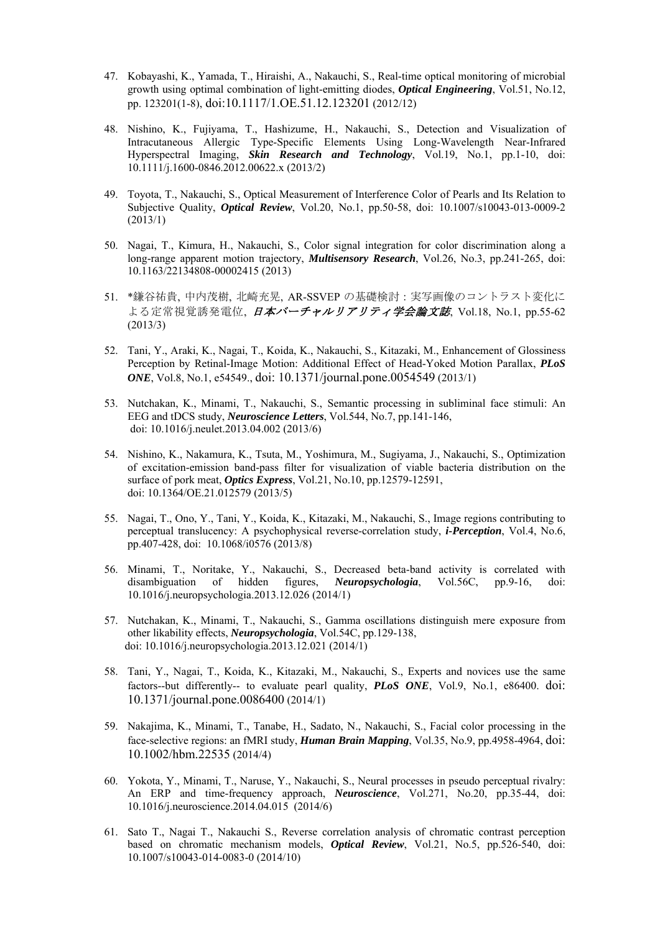- 47. Kobayashi, K., Yamada, T., Hiraishi, A., Nakauchi, S., Real-time optical monitoring of microbial growth using optimal combination of light-emitting diodes, *Optical Engineering*, Vol.51, No.12, pp. 123201(1-8), doi:10.1117/1.OE.51.12.123201 (2012/12)
- 48. Nishino, K., Fujiyama, T., Hashizume, H., Nakauchi, S., Detection and Visualization of Intracutaneous Allergic Type-Specific Elements Using Long-Wavelength Near-Infrared Hyperspectral Imaging, *Skin Research and Technology*, Vol.19, No.1, pp.1-10, doi: 10.1111/j.1600-0846.2012.00622.x (2013/2)
- 49. Toyota, T., Nakauchi, S., Optical Measurement of Interference Color of Pearls and Its Relation to Subjective Quality, *Optical Review*, Vol.20, No.1, pp.50-58, doi: 10.1007/s10043-013-0009-2 (2013/1)
- 50. Nagai, T., Kimura, H., Nakauchi, S., Color signal integration for color discrimination along a long-range apparent motion trajectory, *Multisensory Research*, Vol.26, No.3, pp.241-265, doi: 10.1163/22134808-00002415 (2013)
- 51. \*鎌谷祐貴, 中内茂樹, 北崎充晃, AR-SSVEP の基礎検討:実写画像のコントラスト変化に よる定常視覚誘発電位, 日本バーチャルリアリティ学会論文誌, Vol.18, No.1, pp.55-62 (2013/3)
- 52. Tani, Y., Araki, K., Nagai, T., Koida, K., Nakauchi, S., Kitazaki, M., Enhancement of Glossiness Perception by Retinal-Image Motion: Additional Effect of Head-Yoked Motion Parallax, *PLoS ONE*, Vol.8, No.1, e54549., doi: 10.1371/journal.pone.0054549 (2013/1)
- 53. Nutchakan, K., Minami, T., Nakauchi, S., Semantic processing in subliminal face stimuli: An EEG and tDCS study, *Neuroscience Letters*, Vol.544, No.7, pp.141-146, doi: 10.1016/j.neulet.2013.04.002 (2013/6)
- 54. Nishino, K., Nakamura, K., Tsuta, M., Yoshimura, M., Sugiyama, J., Nakauchi, S., Optimization of excitation-emission band-pass filter for visualization of viable bacteria distribution on the surface of pork meat, *Optics Express*, Vol.21, No.10, pp.12579-12591, doi: 10.1364/OE.21.012579 (2013/5)
- 55. Nagai, T., Ono, Y., Tani, Y., Koida, K., Kitazaki, M., Nakauchi, S., Image regions contributing to perceptual translucency: A psychophysical reverse-correlation study, *i-Perception*, Vol.4, No.6, pp.407-428, doi: 10.1068/i0576 (2013/8)
- 56. Minami, T., Noritake, Y., Nakauchi, S., Decreased beta-band activity is correlated with disambiguation of hidden figures, *Neuropsychologia*, Vol.56C, pp.9-16, doi: 10.1016/j.neuropsychologia.2013.12.026 (2014/1)
- 57. Nutchakan, K., Minami, T., Nakauchi, S., Gamma oscillations distinguish mere exposure from other likability effects, *Neuropsychologia*, Vol.54C, pp.129-138, doi: 10.1016/j.neuropsychologia.2013.12.021 (2014/1)
- 58. Tani, Y., Nagai, T., Koida, K., Kitazaki, M., Nakauchi, S., Experts and novices use the same factors--but differently-- to evaluate pearl quality, *PLoS ONE*, Vol.9, No.1, e86400. doi: 10.1371/journal.pone.0086400 (2014/1)
- 59. Nakajima, K., Minami, T., Tanabe, H., Sadato, N., Nakauchi, S., Facial color processing in the face-selective regions: an fMRI study, *Human Brain Mapping*, Vol.35, No.9, pp.4958-4964, doi: 10.1002/hbm.22535 (2014/4)
- 60. Yokota, Y., Minami, T., Naruse, Y., Nakauchi, S., Neural processes in pseudo perceptual rivalry: An ERP and time-frequency approach, *Neuroscience*, Vol.271, No.20, pp.35-44, doi: 10.1016/j.neuroscience.2014.04.015 (2014/6)
- 61. Sato T., Nagai T., Nakauchi S., Reverse correlation analysis of chromatic contrast perception based on chromatic mechanism models, *Optical Review*, Vol.21, No.5, pp.526-540, doi: 10.1007/s10043-014-0083-0 (2014/10)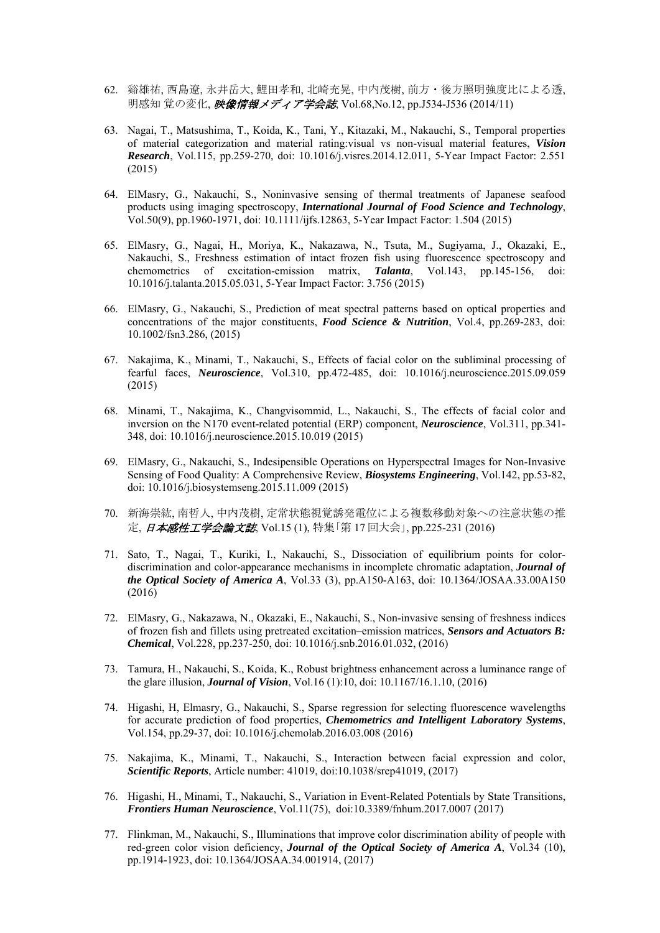- 62. 谿雄祐, 西島遼, 永井岳大, 鯉田孝和, 北崎充晃, 中内茂樹, 前方・後方照明強度比による透, 明感知 覚の変化, 映像情報メディア学会誌, Vol.68,No.12, pp.J534-J536 (2014/11)
- 63. Nagai, T., Matsushima, T., Koida, K., Tani, Y., Kitazaki, M., Nakauchi, S., Temporal properties of material categorization and material rating:visual vs non-visual material features, *Vision Research*, Vol.115, pp.259-270, doi: 10.1016/j.visres.2014.12.011, 5-Year Impact Factor: 2.551 (2015)
- 64. ElMasry, G., Nakauchi, S., Noninvasive sensing of thermal treatments of Japanese seafood products using imaging spectroscopy, *International Journal of Food Science and Technology*, Vol.50(9), pp.1960-1971, doi: 10.1111/ijfs.12863, 5-Year Impact Factor: 1.504 (2015)
- 65. ElMasry, G., Nagai, H., Moriya, K., Nakazawa, N., Tsuta, M., Sugiyama, J., Okazaki, E., Nakauchi, S., Freshness estimation of intact frozen fish using fluorescence spectroscopy and chemometrics of excitation-emission matrix, *Talanta*, Vol.143, pp.145-156, doi: 10.1016/j.talanta.2015.05.031, 5-Year Impact Factor: 3.756 (2015)
- 66. ElMasry, G., Nakauchi, S., Prediction of meat spectral patterns based on optical properties and concentrations of the major constituents, *Food Science & Nutrition*, Vol.4, pp.269-283, doi: 10.1002/fsn3.286, (2015)
- 67. Nakajima, K., Minami, T., Nakauchi, S., Effects of facial color on the subliminal processing of fearful faces, *Neuroscience*, Vol.310, pp.472-485, doi: 10.1016/j.neuroscience.2015.09.059 (2015)
- 68. Minami, T., Nakajima, K., Changvisommid, L., Nakauchi, S., The effects of facial color and inversion on the N170 event-related potential (ERP) component, *Neuroscience*, Vol.311, pp.341- 348, doi: 10.1016/j.neuroscience.2015.10.019 (2015)
- 69. ElMasry, G., Nakauchi, S., Indesipensible Operations on Hyperspectral Images for Non-Invasive Sensing of Food Quality: A Comprehensive Review, *Biosystems Engineering*, Vol.142, pp.53-82, doi: 10.1016/j.biosystemseng.2015.11.009 (2015)
- 70. 新海崇紘, 南哲人, 中内茂樹, 定常状態視覚誘発電位による複数移動対象への注意状態の推 定, 日本感性工学会論文誌, Vol.15 (1), 特集「第 17 回大会」, pp.225-231 (2016)
- 71. Sato, T., Nagai, T., Kuriki, I., Nakauchi, S., Dissociation of equilibrium points for colordiscrimination and color-appearance mechanisms in incomplete chromatic adaptation, *Journal of the Optical Society of America A*, Vol.33 (3), pp.A150-A163, doi: 10.1364/JOSAA.33.00A150 (2016)
- 72. ElMasry, G., Nakazawa, N., Okazaki, E., Nakauchi, S., Non-invasive sensing of freshness indices of frozen fish and fillets using pretreated excitation–emission matrices, *Sensors and Actuators B: Chemical*, Vol.228, pp.237-250, doi: 10.1016/j.snb.2016.01.032, (2016)
- 73. Tamura, H., Nakauchi, S., Koida, K., Robust brightness enhancement across a luminance range of the glare illusion, *Journal of Vision*, Vol.16 (1):10, doi: 10.1167/16.1.10, (2016)
- 74. Higashi, H, Elmasry, G., Nakauchi, S., Sparse regression for selecting fluorescence wavelengths for accurate prediction of food properties, *Chemometrics and Intelligent Laboratory Systems*, Vol.154, pp.29-37, doi: 10.1016/j.chemolab.2016.03.008 (2016)
- 75. Nakajima, K., Minami, T., Nakauchi, S., Interaction between facial expression and color, *Scientific Reports*, Article number: 41019, doi:10.1038/srep41019, (2017)
- 76. Higashi, H., Minami, T., Nakauchi, S., Variation in Event-Related Potentials by State Transitions, *Frontiers Human Neuroscience*, Vol.11(75), doi:10.3389/fnhum.2017.0007 (2017)
- 77. Flinkman, M., Nakauchi, S., Illuminations that improve color discrimination ability of people with red-green color vision deficiency, *Journal of the Optical Society of America A*, Vol.34 (10), pp.1914-1923, doi: 10.1364/JOSAA.34.001914, (2017)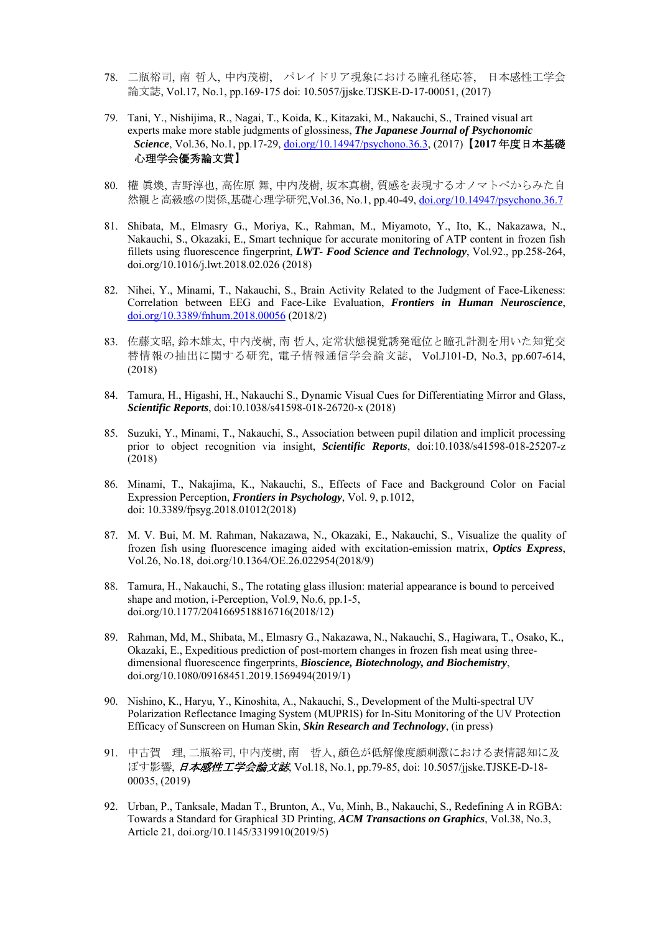- 78. 二瓶裕司, 南 哲人, 中内茂樹, パレイドリア現象における瞳孔径応答, 日本感性工学会 論文誌, Vol.17, No.1, pp.169-175 doi: 10.5057/jjske.TJSKE-D-17-00051, (2017)
- 79. Tani, Y., Nishijima, R., Nagai, T., Koida, K., Kitazaki, M., Nakauchi, S., Trained visual art experts make more stable judgments of glossiness, *The Japanese Journal of Psychonomic Science*, Vol.36, No.1, pp.17-29, doi.org/10.14947/psychono.36.3, (2017)【**2017** 年度日本基礎 心理学会優秀論文賞】
- 80. 權 眞煥, 吉野淳也, 高佐原 舞, 中内茂樹, 坂本真樹, 質感を表現するオノマトペからみた自 然観と高級感の関係,基礎心理学研究,Vol.36, No.1, pp.40-49, doi.org/10.14947/psychono.36.7
- 81. Shibata, M., Elmasry G., Moriya, K., Rahman, M., Miyamoto, Y., Ito, K., Nakazawa, N., Nakauchi, S., Okazaki, E., Smart technique for accurate monitoring of ATP content in frozen fish fillets using fluorescence fingerprint, *LWT- Food Science and Technology*, Vol.92., pp.258-264, doi.org/10.1016/j.lwt.2018.02.026 (2018)
- 82. Nihei, Y., Minami, T., Nakauchi, S., Brain Activity Related to the Judgment of Face-Likeness: Correlation between EEG and Face-Like Evaluation, *Frontiers in Human Neuroscience*, doi.org/10.3389/fnhum.2018.00056 (2018/2)
- 83. 佐藤文昭, 鈴木雄太, 中内茂樹, 南 哲人, 定常状態視覚誘発電位と瞳孔計測を用いた知覚交 替情報の抽出に関する研究, 電子情報通信学会論文誌, Vol.J101-D, No.3, pp.607-614, (2018)
- 84. Tamura, H., Higashi, H., Nakauchi S., Dynamic Visual Cues for Differentiating Mirror and Glass, *Scientific Reports*, doi:10.1038/s41598-018-26720-x (2018)
- 85. Suzuki, Y., Minami, T., Nakauchi, S., Association between pupil dilation and implicit processing prior to object recognition via insight, *Scientific Reports*, doi:10.1038/s41598-018-25207-z (2018)
- 86. Minami, T., Nakajima, K., Nakauchi, S., Effects of Face and Background Color on Facial Expression Perception, *Frontiers in Psychology*, Vol. 9, p.1012, doi: 10.3389/fpsyg.2018.01012(2018)
- 87. M. V. Bui, M. M. Rahman, Nakazawa, N., Okazaki, E., Nakauchi, S., Visualize the quality of frozen fish using fluorescence imaging aided with excitation-emission matrix, *Optics Express*, Vol.26, No.18, doi.org/10.1364/OE.26.022954(2018/9)
- 88. Tamura, H., Nakauchi, S., The rotating glass illusion: material appearance is bound to perceived shape and motion, i-Perception, Vol.9, No.6, pp.1-5, doi.org/10.1177/2041669518816716(2018/12)
- 89. Rahman, Md, M., Shibata, M., Elmasry G., Nakazawa, N., Nakauchi, S., Hagiwara, T., Osako, K., Okazaki, E., Expeditious prediction of post-mortem changes in frozen fish meat using threedimensional fluorescence fingerprints, *Bioscience, Biotechnology, and Biochemistry*, doi.org/10.1080/09168451.2019.1569494(2019/1)
- 90. Nishino, K., Haryu, Y., Kinoshita, A., Nakauchi, S., Development of the Multi-spectral UV Polarization Reflectance Imaging System (MUPRIS) for In-Situ Monitoring of the UV Protection Efficacy of Sunscreen on Human Skin, *Skin Research and Technology*, (in press)
- 91. 中古賀 理, 二瓶裕司, 中内茂樹, 南 哲人, 顔色が低解像度顔刺激における表情認知に及 ぼす影響, 日本感性工学会論文誌, Vol.18, No.1, pp.79-85, doi: 10.5057/jjske.TJSKE-D-18- 00035, (2019)
- 92. Urban, P., Tanksale, Madan T., Brunton, A., Vu, Minh, B., Nakauchi, S., Redefining A in RGBA: Towards a Standard for Graphical 3D Printing, *ACM Transactions on Graphics*, Vol.38, No.3, Article 21, doi.org/10.1145/3319910(2019/5)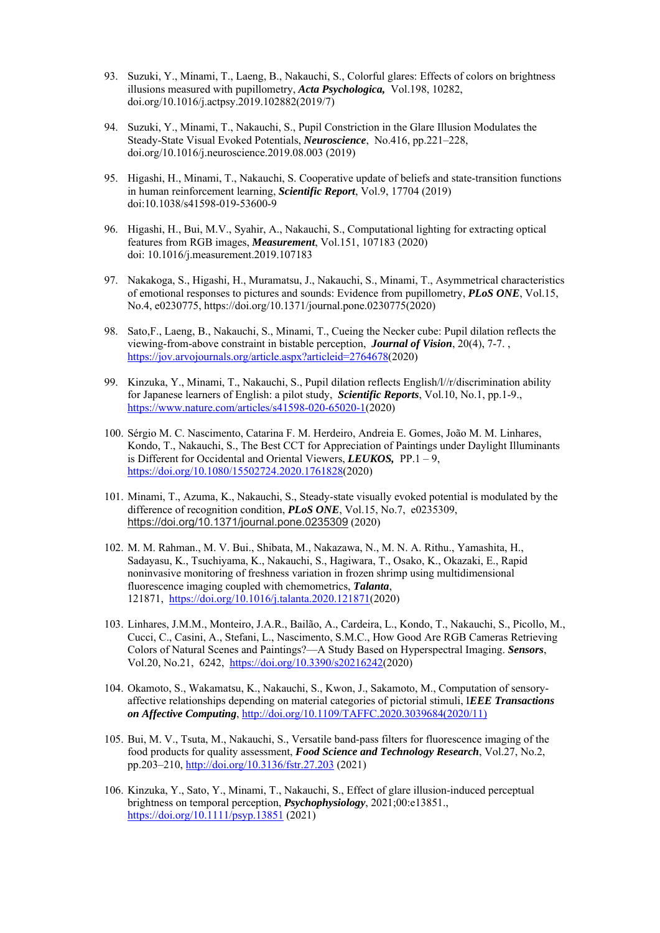- 93. Suzuki, Y., Minami, T., Laeng, B., Nakauchi, S., Colorful glares: Effects of colors on brightness illusions measured with pupillometry, *Acta Psychologica,* Vol.198, 10282, doi.org/10.1016/j.actpsy.2019.102882(2019/7)
- 94. Suzuki, Y., Minami, T., Nakauchi, S., Pupil Constriction in the Glare Illusion Modulates the Steady-State Visual Evoked Potentials, *Neuroscience*, No.416, pp.221–228, doi.org/10.1016/j.neuroscience.2019.08.003 (2019)
- 95. Higashi, H., Minami, T., Nakauchi, S. Cooperative update of beliefs and state-transition functions in human reinforcement learning, *Scientific Report*, Vol.9, 17704 (2019) doi:10.1038/s41598-019-53600-9
- 96. Higashi, H., Bui, M.V., Syahir, A., Nakauchi, S., Computational lighting for extracting optical features from RGB images, *Measurement*, Vol.151, 107183 (2020) doi: 10.1016/j.measurement.2019.107183
- 97. Nakakoga, S., Higashi, H., Muramatsu, J., Nakauchi, S., Minami, T., Asymmetrical characteristics of emotional responses to pictures and sounds: Evidence from pupillometry, *PLoS ONE*, Vol.15, No.4, e0230775, https://doi.org/10.1371/journal.pone.0230775(2020)
- 98. Sato,F., Laeng, B., Nakauchi, S., Minami, T., Cueing the Necker cube: Pupil dilation reflects the viewing-from-above constraint in bistable perception, *Journal of Vision*, 20(4), 7-7. , https://jov.arvojournals.org/article.aspx?articleid=2764678(2020)
- 99. Kinzuka, Y., Minami, T., Nakauchi, S., Pupil dilation reflects English/l//r/discrimination ability for Japanese learners of English: a pilot study, *Scientific Reports*, Vol.10, No.1, pp.1-9., https://www.nature.com/articles/s41598-020-65020-1(2020)
- 100. Sérgio M. C. Nascimento, Catarina F. M. Herdeiro, Andreia E. Gomes, João M. M. Linhares, Kondo, T., Nakauchi, S., The Best CCT for Appreciation of Paintings under Daylight Illuminants is Different for Occidental and Oriental Viewers, *LEUKOS,* PP.1 – 9, https://doi.org/10.1080/15502724.2020.1761828(2020)
- 101. Minami, T., Azuma, K., Nakauchi, S., Steady-state visually evoked potential is modulated by the difference of recognition condition, *PLoS ONE*, Vol.15, No.7, e0235309, https://doi.org/10.1371/journal.pone.0235309 (2020)
- 102. M. M. Rahman., M. V. Bui., Shibata, M., Nakazawa, N., M. N. A. Rithu., Yamashita, H., Sadayasu, K., Tsuchiyama, K., Nakauchi, S., Hagiwara, T., Osako, K., Okazaki, E., Rapid noninvasive monitoring of freshness variation in frozen shrimp using multidimensional fluorescence imaging coupled with chemometrics, *Talanta*, 121871, https://doi.org/10.1016/j.talanta.2020.121871(2020)
- 103. Linhares, J.M.M., Monteiro, J.A.R., Bailão, A., Cardeira, L., Kondo, T., Nakauchi, S., Picollo, M., Cucci, C., Casini, A., Stefani, L., Nascimento, S.M.C., How Good Are RGB Cameras Retrieving Colors of Natural Scenes and Paintings?—A Study Based on Hyperspectral Imaging. *Sensors*, Vol.20, No.21, 6242, https://doi.org/10.3390/s20216242(2020)
- 104. Okamoto, S., Wakamatsu, K., Nakauchi, S., Kwon, J., Sakamoto, M., Computation of sensoryaffective relationships depending on material categories of pictorial stimuli, I*EEE Transactions on Affective Computing*, http://doi.org/10.1109/TAFFC.2020.3039684(2020/11)
- 105. Bui, M. V., Tsuta, M., Nakauchi, S., Versatile band-pass filters for fluorescence imaging of the food products for quality assessment, *Food Science and Technology Research*, Vol.27, No.2, pp.203–210, http://doi.org/10.3136/fstr.27.203 (2021)
- 106. Kinzuka, Y., Sato, Y., Minami, T., Nakauchi, S., Effect of glare illusion-induced perceptual brightness on temporal perception, *Psychophysiology*, 2021;00:e13851., https://doi.org/10.1111/psyp.13851 (2021)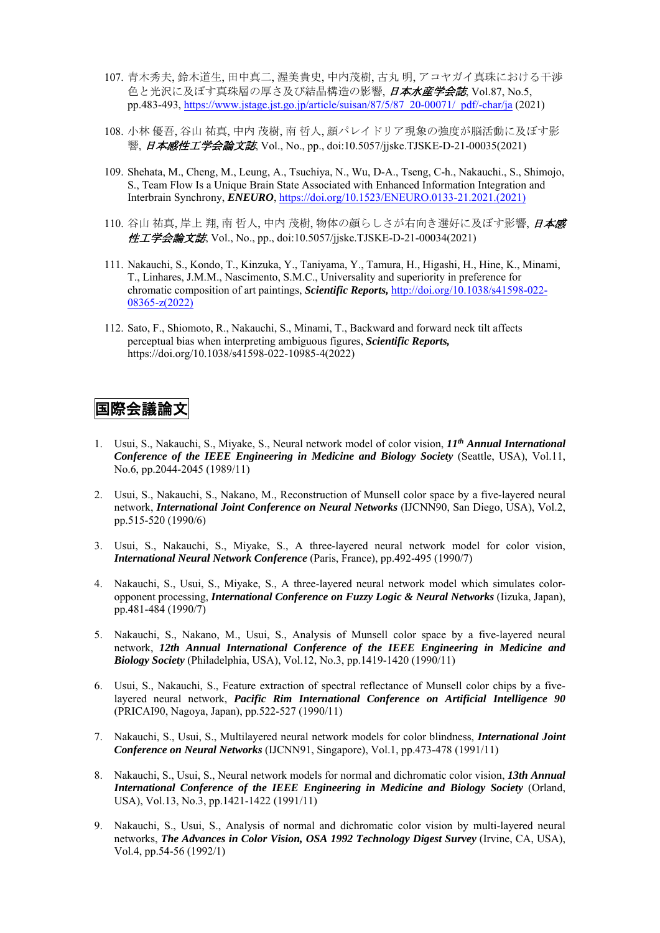- 107. 青木秀夫, 鈴木道生, 田中真二, 渥美貴史, 中内茂樹, 古丸 明, アコヤガイ真珠における干渉 色と光沢に及ぼす真珠層の厚さ及び結晶構造の影響, 日本水産学会誌, Vol.87, No.5, pp.483-493, https://www.jstage.jst.go.jp/article/suisan/87/5/87\_20-00071/\_pdf/-char/ja (2021)
- 108. 小林 優吾, 谷山 祐真, 中内 茂樹, 南 哲人, 顔パレイドリア現象の強度が脳活動に及ぼす影 響, 日本感性工学会論文誌, Vol., No., pp., doi:10.5057/jjske.TJSKE-D-21-00035(2021)
- 109. Shehata, M., Cheng, M., Leung, A., Tsuchiya, N., Wu, D-A., Tseng, C-h., Nakauchi., S., Shimojo, S., Team Flow Is a Unique Brain State Associated with Enhanced Information Integration and Interbrain Synchrony, *ENEURO*, https://doi.org/10.1523/ENEURO.0133-21.2021.(2021)
- 110. 谷山 祐真, 岸上 翔, 南 哲人, 中内 茂樹, 物体の顔らしさが右向き選好に及ぼす影響, 日本感 性工学会論文誌, Vol., No., pp., doi:10.5057/jjske.TJSKE-D-21-00034(2021)
- 111. Nakauchi, S., Kondo, T., Kinzuka, Y., Taniyama, Y., Tamura, H., Higashi, H., Hine, K., Minami, T., Linhares, J.M.M., Nascimento, S.M.C., Universality and superiority in preference for chromatic composition of art paintings, *Scientific Reports,* http://doi.org/10.1038/s41598-022- 08365-z(2022)
- 112. Sato, F., Shiomoto, R., Nakauchi, S., Minami, T., Backward and forward neck tilt affects perceptual bias when interpreting ambiguous figures, *Scientific Reports,*  https://doi.org/10.1038/s41598-022-10985-4(2022)

### 国際会議論文

- 1. Usui, S., Nakauchi, S., Miyake, S., Neural network model of color vision, *11th Annual International Conference of the IEEE Engineering in Medicine and Biology Society* (Seattle, USA), Vol.11, No.6, pp.2044-2045 (1989/11)
- 2. Usui, S., Nakauchi, S., Nakano, M., Reconstruction of Munsell color space by a five-layered neural network, *International Joint Conference on Neural Networks* (IJCNN90, San Diego, USA), Vol.2, pp.515-520 (1990/6)
- 3. Usui, S., Nakauchi, S., Miyake, S., A three-layered neural network model for color vision, *International Neural Network Conference* (Paris, France), pp.492-495 (1990/7)
- 4. Nakauchi, S., Usui, S., Miyake, S., A three-layered neural network model which simulates coloropponent processing, *International Conference on Fuzzy Logic & Neural Networks* (Iizuka, Japan), pp.481-484 (1990/7)
- 5. Nakauchi, S., Nakano, M., Usui, S., Analysis of Munsell color space by a five-layered neural network, *12th Annual International Conference of the IEEE Engineering in Medicine and Biology Society* (Philadelphia, USA), Vol.12, No.3, pp.1419-1420 (1990/11)
- 6. Usui, S., Nakauchi, S., Feature extraction of spectral reflectance of Munsell color chips by a fivelayered neural network, *Pacific Rim International Conference on Artificial Intelligence 90* (PRICAI90, Nagoya, Japan), pp.522-527 (1990/11)
- 7. Nakauchi, S., Usui, S., Multilayered neural network models for color blindness, *International Joint Conference on Neural Networks* (IJCNN91, Singapore), Vol.1, pp.473-478 (1991/11)
- 8. Nakauchi, S., Usui, S., Neural network models for normal and dichromatic color vision, *13th Annual International Conference of the IEEE Engineering in Medicine and Biology Society* (Orland, USA), Vol.13, No.3, pp.1421-1422 (1991/11)
- 9. Nakauchi, S., Usui, S., Analysis of normal and dichromatic color vision by multi-layered neural networks, *The Advances in Color Vision, OSA 1992 Technology Digest Survey* (Irvine, CA, USA), Vol.4, pp.54-56 (1992/1)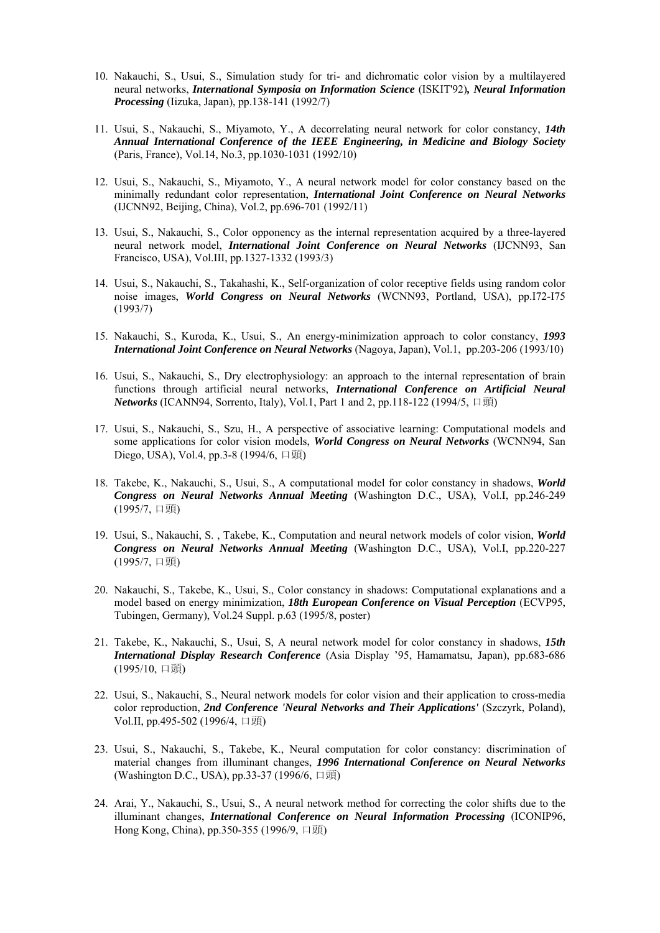- 10. Nakauchi, S., Usui, S., Simulation study for tri- and dichromatic color vision by a multilayered neural networks, *International Symposia on Information Science* (ISKIT'92)*, Neural Information Processing* (Iizuka, Japan), pp.138-141 (1992/7)
- 11. Usui, S., Nakauchi, S., Miyamoto, Y., A decorrelating neural network for color constancy, *14th Annual International Conference of the IEEE Engineering, in Medicine and Biology Society* (Paris, France), Vol.14, No.3, pp.1030-1031 (1992/10)
- 12. Usui, S., Nakauchi, S., Miyamoto, Y., A neural network model for color constancy based on the minimally redundant color representation, *International Joint Conference on Neural Networks* (IJCNN92, Beijing, China), Vol.2, pp.696-701 (1992/11)
- 13. Usui, S., Nakauchi, S., Color opponency as the internal representation acquired by a three-layered neural network model, *International Joint Conference on Neural Networks* (IJCNN93, San Francisco, USA), Vol.III, pp.1327-1332 (1993/3)
- 14. Usui, S., Nakauchi, S., Takahashi, K., Self-organization of color receptive fields using random color noise images, *World Congress on Neural Networks* (WCNN93, Portland, USA), pp.I72-I75 (1993/7)
- 15. Nakauchi, S., Kuroda, K., Usui, S., An energy-minimization approach to color constancy, *1993 International Joint Conference on Neural Networks* (Nagoya, Japan), Vol.1, pp.203-206 (1993/10)
- 16. Usui, S., Nakauchi, S., Dry electrophysiology: an approach to the internal representation of brain functions through artificial neural networks, *International Conference on Artificial Neural Networks* (ICANN94, Sorrento, Italy), Vol.1, Part 1 and 2, pp.118-122 (1994/5, 口頭)
- 17. Usui, S., Nakauchi, S., Szu, H., A perspective of associative learning: Computational models and some applications for color vision models, *World Congress on Neural Networks* (WCNN94, San Diego, USA), Vol.4, pp.3-8 (1994/6, 口頭)
- 18. Takebe, K., Nakauchi, S., Usui, S., A computational model for color constancy in shadows, *World Congress on Neural Networks Annual Meeting* (Washington D.C., USA), Vol.I, pp.246-249 (1995/7, 口頭)
- 19. Usui, S., Nakauchi, S. , Takebe, K., Computation and neural network models of color vision, *World Congress on Neural Networks Annual Meeting* (Washington D.C., USA), Vol.I, pp.220-227 (1995/7, 口頭)
- 20. Nakauchi, S., Takebe, K., Usui, S., Color constancy in shadows: Computational explanations and a model based on energy minimization, *18th European Conference on Visual Perception* (ECVP95, Tubingen, Germany), Vol.24 Suppl. p.63 (1995/8, poster)
- 21. Takebe, K., Nakauchi, S., Usui, S, A neural network model for color constancy in shadows, *15th International Display Research Conference* (Asia Display '95, Hamamatsu, Japan), pp.683-686 (1995/10, 口頭)
- 22. Usui, S., Nakauchi, S., Neural network models for color vision and their application to cross-media color reproduction, *2nd Conference 'Neural Networks and Their Applications'* (Szczyrk, Poland), Vol.II, pp.495-502 (1996/4, 口頭)
- 23. Usui, S., Nakauchi, S., Takebe, K., Neural computation for color constancy: discrimination of material changes from illuminant changes, *1996 International Conference on Neural Networks* (Washington D.C., USA), pp.33-37 (1996/6, 口頭)
- 24. Arai, Y., Nakauchi, S., Usui, S., A neural network method for correcting the color shifts due to the illuminant changes, *International Conference on Neural Information Processing* (ICONIP96, Hong Kong, China), pp.350-355 (1996/9, 口頭)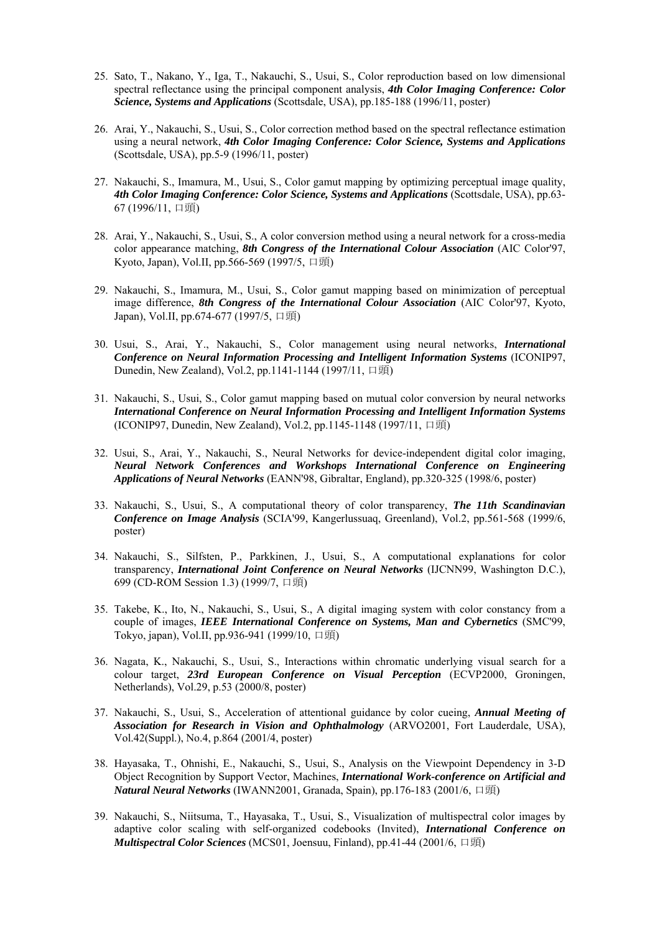- 25. Sato, T., Nakano, Y., Iga, T., Nakauchi, S., Usui, S., Color reproduction based on low dimensional spectral reflectance using the principal component analysis, *4th Color Imaging Conference: Color Science, Systems and Applications* (Scottsdale, USA), pp.185-188 (1996/11, poster)
- 26. Arai, Y., Nakauchi, S., Usui, S., Color correction method based on the spectral reflectance estimation using a neural network, *4th Color Imaging Conference: Color Science, Systems and Applications* (Scottsdale, USA), pp.5-9 (1996/11, poster)
- 27. Nakauchi, S., Imamura, M., Usui, S., Color gamut mapping by optimizing perceptual image quality, *4th Color Imaging Conference: Color Science, Systems and Applications* (Scottsdale, USA), pp.63- 67 (1996/11, 口頭)
- 28. Arai, Y., Nakauchi, S., Usui, S., A color conversion method using a neural network for a cross-media color appearance matching, *8th Congress of the International Colour Association* (AIC Color'97, Kyoto, Japan), Vol.II, pp.566-569 (1997/5, 口頭)
- 29. Nakauchi, S., Imamura, M., Usui, S., Color gamut mapping based on minimization of perceptual image difference, *8th Congress of the International Colour Association* (AIC Color'97, Kyoto, Japan), Vol.II, pp.674-677 (1997/5, 口頭)
- 30. Usui, S., Arai, Y., Nakauchi, S., Color management using neural networks, *International Conference on Neural Information Processing and Intelligent Information Systems* (ICONIP97, Dunedin, New Zealand), Vol.2, pp.1141-1144 (1997/11, 口頭)
- 31. Nakauchi, S., Usui, S., Color gamut mapping based on mutual color conversion by neural networks *International Conference on Neural Information Processing and Intelligent Information Systems* (ICONIP97, Dunedin, New Zealand), Vol.2, pp.1145-1148 (1997/11, 口頭)
- 32. Usui, S., Arai, Y., Nakauchi, S., Neural Networks for device-independent digital color imaging, *Neural Network Conferences and Workshops International Conference on Engineering Applications of Neural Networks* (EANN'98, Gibraltar, England), pp.320-325 (1998/6, poster)
- 33. Nakauchi, S., Usui, S., A computational theory of color transparency, *The 11th Scandinavian Conference on Image Analysis* (SCIA'99, Kangerlussuaq, Greenland), Vol.2, pp.561-568 (1999/6, poster)
- 34. Nakauchi, S., Silfsten, P., Parkkinen, J., Usui, S., A computational explanations for color transparency, *International Joint Conference on Neural Networks* (IJCNN99, Washington D.C.), 699 (CD-ROM Session 1.3) (1999/7, 口頭)
- 35. Takebe, K., Ito, N., Nakauchi, S., Usui, S., A digital imaging system with color constancy from a couple of images, *IEEE International Conference on Systems, Man and Cybernetics* (SMC'99, Tokyo, japan), Vol.II, pp.936-941 (1999/10, 口頭)
- 36. Nagata, K., Nakauchi, S., Usui, S., Interactions within chromatic underlying visual search for a colour target, *23rd European Conference on Visual Perception* (ECVP2000, Groningen, Netherlands), Vol.29, p.53 (2000/8, poster)
- 37. Nakauchi, S., Usui, S., Acceleration of attentional guidance by color cueing, *Annual Meeting of Association for Research in Vision and Ophthalmology* (ARVO2001, Fort Lauderdale, USA), Vol.42(Suppl.), No.4, p.864 (2001/4, poster)
- 38. Hayasaka, T., Ohnishi, E., Nakauchi, S., Usui, S., Analysis on the Viewpoint Dependency in 3-D Object Recognition by Support Vector, Machines, *International Work-conference on Artificial and Natural Neural Networks* (IWANN2001, Granada, Spain), pp.176-183 (2001/6, 口頭)
- 39. Nakauchi, S., Niitsuma, T., Hayasaka, T., Usui, S., Visualization of multispectral color images by adaptive color scaling with self-organized codebooks (Invited), *International Conference on Multispectral Color Sciences* (MCS01, Joensuu, Finland), pp.41-44 (2001/6, 口頭)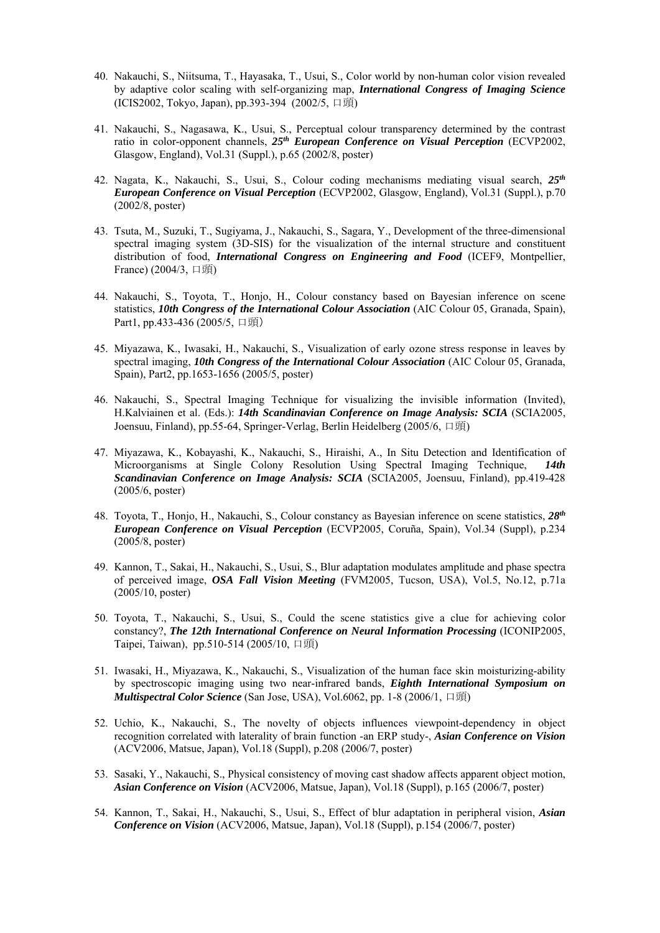- 40. Nakauchi, S., Niitsuma, T., Hayasaka, T., Usui, S., Color world by non-human color vision revealed by adaptive color scaling with self-organizing map, *International Congress of Imaging Science* (ICIS2002, Tokyo, Japan), pp.393-394 (2002/5, 口頭)
- 41. Nakauchi, S., Nagasawa, K., Usui, S., Perceptual colour transparency determined by the contrast ratio in color-opponent channels, *25th European Conference on Visual Perception* (ECVP2002, Glasgow, England), Vol.31 (Suppl.), p.65 (2002/8, poster)
- 42. Nagata, K., Nakauchi, S., Usui, S., Colour coding mechanisms mediating visual search, *25th European Conference on Visual Perception* (ECVP2002, Glasgow, England), Vol.31 (Suppl.), p.70 (2002/8, poster)
- 43. Tsuta, M., Suzuki, T., Sugiyama, J., Nakauchi, S., Sagara, Y., Development of the three-dimensional spectral imaging system (3D-SIS) for the visualization of the internal structure and constituent distribution of food, *International Congress on Engineering and Food* (ICEF9, Montpellier, France) (2004/3, 口頭)
- 44. Nakauchi, S., Toyota, T., Honjo, H., Colour constancy based on Bayesian inference on scene statistics, *10th Congress of the International Colour Association* (AIC Colour 05, Granada, Spain), Part1, pp.433-436 (2005/5, 口頭)
- 45. Miyazawa, K., Iwasaki, H., Nakauchi, S., Visualization of early ozone stress response in leaves by spectral imaging, *10th Congress of the International Colour Association* (AIC Colour 05, Granada, Spain), Part2, pp.1653-1656 (2005/5, poster)
- 46. Nakauchi, S., Spectral Imaging Technique for visualizing the invisible information (Invited), H.Kalviainen et al. (Eds.): *14th Scandinavian Conference on Image Analysis: SCIA* (SCIA2005, Joensuu, Finland), pp.55-64, Springer-Verlag, Berlin Heidelberg (2005/6, 口頭)
- 47. Miyazawa, K., Kobayashi, K., Nakauchi, S., Hiraishi, A., In Situ Detection and Identification of Microorganisms at Single Colony Resolution Using Spectral Imaging Technique, *14th Scandinavian Conference on Image Analysis: SCIA* (SCIA2005, Joensuu, Finland), pp.419-428 (2005/6, poster)
- 48. Toyota, T., Honjo, H., Nakauchi, S., Colour constancy as Bayesian inference on scene statistics, *28th European Conference on Visual Perception* (ECVP2005, Coruña, Spain), Vol.34 (Suppl), p.234 (2005/8, poster)
- 49. Kannon, T., Sakai, H., Nakauchi, S., Usui, S., Blur adaptation modulates amplitude and phase spectra of perceived image, *OSA Fall Vision Meeting* (FVM2005, Tucson, USA), Vol.5, No.12, p.71a (2005/10, poster)
- 50. Toyota, T., Nakauchi, S., Usui, S., Could the scene statistics give a clue for achieving color constancy?, *The 12th International Conference on Neural Information Processing* (ICONIP2005, Taipei, Taiwan), pp.510-514 (2005/10, 口頭)
- 51. Iwasaki, H., Miyazawa, K., Nakauchi, S., Visualization of the human face skin moisturizing-ability by spectroscopic imaging using two near-infrared bands, *Eighth International Symposium on Multispectral Color Science* (San Jose, USA), Vol.6062, pp. 1-8 (2006/1, 口頭)
- 52. Uchio, K., Nakauchi, S., The novelty of objects influences viewpoint-dependency in object recognition correlated with laterality of brain function -an ERP study-, *Asian Conference on Vision*  (ACV2006, Matsue, Japan), Vol.18 (Suppl), p.208 (2006/7, poster)
- 53. Sasaki, Y., Nakauchi, S., Physical consistency of moving cast shadow affects apparent object motion, *Asian Conference on Vision* (ACV2006, Matsue, Japan), Vol.18 (Suppl), p.165 (2006/7, poster)
- 54. Kannon, T., Sakai, H., Nakauchi, S., Usui, S., Effect of blur adaptation in peripheral vision, *Asian Conference on Vision* (ACV2006, Matsue, Japan), Vol.18 (Suppl), p.154 (2006/7, poster)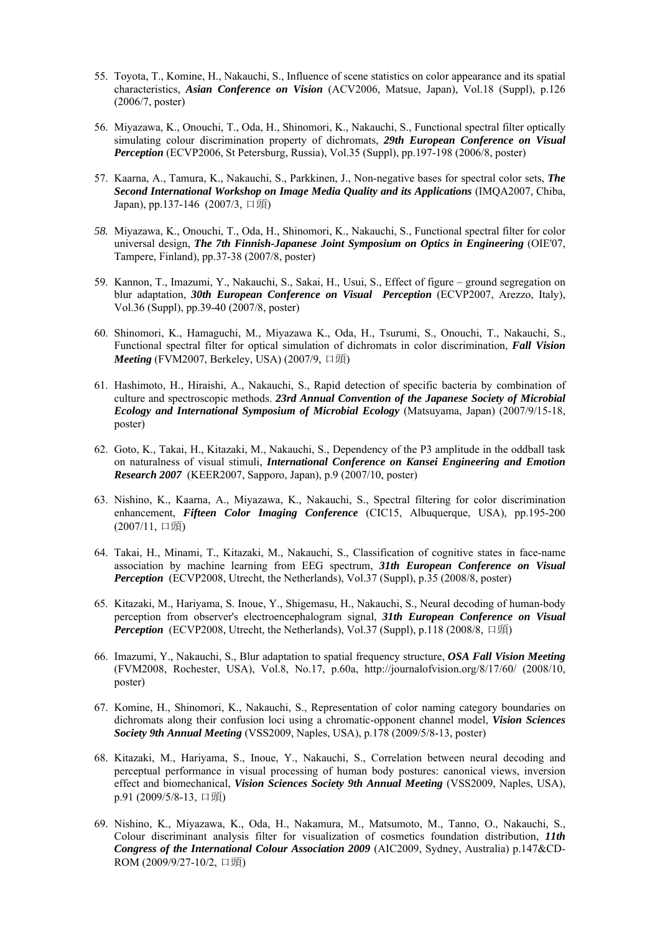- 55. Toyota, T., Komine, H., Nakauchi, S., Influence of scene statistics on color appearance and its spatial characteristics, *Asian Conference on Vision* (ACV2006, Matsue, Japan), Vol.18 (Suppl), p.126 (2006/7, poster)
- 56. Miyazawa, K., Onouchi, T., Oda, H., Shinomori, K., Nakauchi, S., Functional spectral filter optically simulating colour discrimination property of dichromats, *29th European Conference on Visual Perception* (ECVP2006, St Petersburg, Russia), Vol.35 (Suppl), pp.197-198 (2006/8, poster)
- 57. Kaarna, A., Tamura, K., Nakauchi, S., Parkkinen, J., Non-negative bases for spectral color sets, *The Second International Workshop on Image Media Quality and its Applications* (IMQA2007, Chiba, Japan), pp.137-146 (2007/3, 口頭)
- *58.* Miyazawa, K., Onouchi, T., Oda, H., Shinomori, K., Nakauchi, S., Functional spectral filter for color universal design, *The 7th Finnish-Japanese Joint Symposium on Optics in Engineering* (OIE'07, Tampere, Finland), pp.37-38 (2007/8, poster)
- 59. Kannon, T., Imazumi, Y., Nakauchi, S., Sakai, H., Usui, S., Effect of figure ground segregation on blur adaptation, *30th European Conference on Visual Perception* (ECVP2007, Arezzo, Italy), Vol.36 (Suppl), pp.39-40 (2007/8, poster)
- 60. Shinomori, K., Hamaguchi, M., Miyazawa K., Oda, H., Tsurumi, S., Onouchi, T., Nakauchi, S., Functional spectral filter for optical simulation of dichromats in color discrimination, *Fall Vision Meeting* (FVM2007, Berkeley, USA) (2007/9, 口頭)
- 61. Hashimoto, H., Hiraishi, A., Nakauchi, S., Rapid detection of specific bacteria by combination of culture and spectroscopic methods. *23rd Annual Convention of the Japanese Society of Microbial Ecology and International Symposium of Microbial Ecology* (Matsuyama, Japan) (2007/9/15-18, poster)
- 62. Goto, K., Takai, H., Kitazaki, M., Nakauchi, S., Dependency of the P3 amplitude in the oddball task on naturalness of visual stimuli, *International Conference on Kansei Engineering and Emotion Research 2007* (KEER2007, Sapporo, Japan), p.9 (2007/10, poster)
- 63. Nishino, K., Kaarna, A., Miyazawa, K., Nakauchi, S., Spectral filtering for color discrimination enhancement, *Fifteen Color Imaging Conference* (CIC15, Albuquerque, USA), pp.195-200 (2007/11, 口頭)
- 64. Takai, H., Minami, T., Kitazaki, M., Nakauchi, S., Classification of cognitive states in face-name association by machine learning from EEG spectrum, *31th European Conference on Visual Perception* (ECVP2008, Utrecht, the Netherlands), Vol.37 (Suppl), p.35 (2008/8, poster)
- 65. Kitazaki, M., Hariyama, S. Inoue, Y., Shigemasu, H., Nakauchi, S., Neural decoding of human-body perception from observer's electroencephalogram signal, *31th European Conference on Visual Perception* (ECVP2008, Utrecht, the Netherlands), Vol.37 (Suppl), p.118 (2008/8, 口頭)
- 66. Imazumi, Y., Nakauchi, S., Blur adaptation to spatial frequency structure, *OSA Fall Vision Meeting* (FVM2008, Rochester, USA), Vol.8, No.17, p.60a, http://journalofvision.org/8/17/60/ (2008/10, poster)
- 67. Komine, H., Shinomori, K., Nakauchi, S., Representation of color naming category boundaries on dichromats along their confusion loci using a chromatic-opponent channel model, *Vision Sciences Society 9th Annual Meeting* (VSS2009, Naples, USA), p.178 (2009/5/8-13, poster)
- 68. Kitazaki, M., Hariyama, S., Inoue, Y., Nakauchi, S., Correlation between neural decoding and perceptual performance in visual processing of human body postures: canonical views, inversion effect and biomechanical, *Vision Sciences Society 9th Annual Meeting* (VSS2009, Naples, USA), p.91 (2009/5/8-13, 口頭)
- 69. Nishino, K., Miyazawa, K., Oda, H., Nakamura, M., Matsumoto, M., Tanno, O., Nakauchi, S., Colour discriminant analysis filter for visualization of cosmetics foundation distribution, *11th Congress of the International Colour Association 2009* (AIC2009, Sydney, Australia) p.147&CD-ROM (2009/9/27-10/2, 口頭)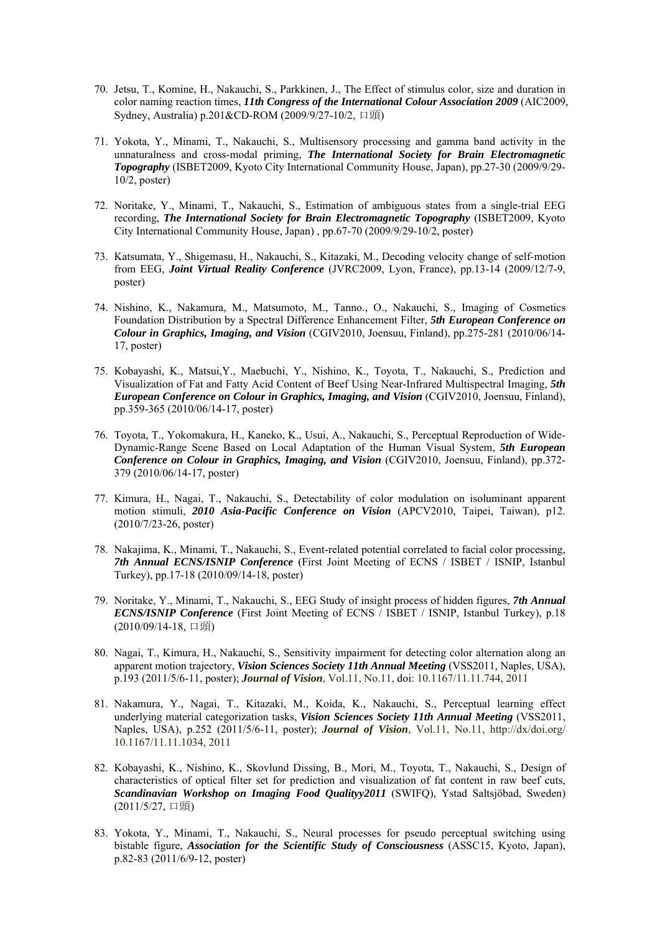- 70. Jetsu, T., Komine, H., Nakauchi, S., Parkkinen, J., The Effect of stimulus color, size and duration in color naming reaction times, *11th Congress of the International Colour Association 2009* (AIC2009, Sydney, Australia) p.201&CD-ROM (2009/9/27-10/2, 口頭)
- 71. Yokota, Y., Minami, T., Nakauchi, S., Multisensory processing and gamma band activity in the unnaturalness and cross-modal priming, *The International Society for Brain Electromagnetic Topography* (ISBET2009, Kyoto City International Community House, Japan), pp.27-30 (2009/9/29- 10/2, poster)
- 72. Noritake, Y., Minami, T., Nakauchi, S., Estimation of ambiguous states from a single-trial EEG recording, *The International Society for Brain Electromagnetic Topography* (ISBET2009, Kyoto City International Community House, Japan) , pp.67-70 (2009/9/29-10/2, poster)
- 73. Katsumata, Y., Shigemasu, H., Nakauchi, S., Kitazaki, M., Decoding velocity change of self-motion from EEG, *Joint Virtual Reality Conference* (JVRC2009, Lyon, France), pp.13-14 (2009/12/7-9, poster)
- 74. Nishino, K., Nakamura, M., Matsumoto, M., Tanno., O., Nakauchi, S., Imaging of Cosmetics Foundation Distribution by a Spectral Difference Enhancement Filter, *5th European Conference on Colour in Graphics, Imaging, and Vision* (CGIV2010, Joensuu, Finland), pp.275-281 (2010/06/14- 17, poster)
- 75. Kobayashi, K., Matsui,Y., Maebuchi, Y., Nishino, K., Toyota, T., Nakauchi, S., Prediction and Visualization of Fat and Fatty Acid Content of Beef Using Near-Infrared Multispectral Imaging, *5th European Conference on Colour in Graphics, Imaging, and Vision* (CGIV2010, Joensuu, Finland), pp.359-365 (2010/06/14-17, poster)
- 76. Toyota, T., Yokomakura, H., Kaneko, K., Usui, A., Nakauchi, S., Perceptual Reproduction of Wide-Dynamic-Range Scene Based on Local Adaptation of the Human Visual System, *5th European Conference on Colour in Graphics, Imaging, and Vision* (CGIV2010, Joensuu, Finland), pp.372- 379 (2010/06/14-17, poster)
- 77. Kimura, H., Nagai, T., Nakauchi, S., Detectability of color modulation on isoluminant apparent motion stimuli, *2010 Asia-Pacific Conference on Vision* (APCV2010, Taipei, Taiwan), p12. (2010/7/23-26, poster)
- 78. Nakajima, K., Minami, T., Nakauchi, S., Event-related potential correlated to facial color processing, *7th Annual ECNS/ISNIP Conference* (First Joint Meeting of ECNS / ISBET / ISNIP, Istanbul Turkey), pp.17-18 (2010/09/14-18, poster)
- 79. Noritake, Y., Minami, T., Nakauchi, S., EEG Study of insight process of hidden figures, *7th Annual ECNS/ISNIP Conference* (First Joint Meeting of ECNS / ISBET / ISNIP, Istanbul Turkey), p.18 (2010/09/14-18, 口頭)
- 80. Nagai, T., Kimura, H., Nakauchi, S., Sensitivity impairment for detecting color alternation along an apparent motion trajectory, *Vision Sciences Society 11th Annual Meeting* (VSS2011, Naples, USA), p.193 (2011/5/6-11, poster); *Journal of Vision*, Vol.11, No.11, doi: 10.1167/11.11.744, 2011
- 81. Nakamura, Y., Nagai, T., Kitazaki, M., Koida, K., Nakauchi, S., Perceptual learning effect underlying material categorization tasks, *Vision Sciences Society 11th Annual Meeting* (VSS2011, Naples, USA), p.252 (2011/5/6-11, poster); *Journal of Vision*, Vol.11, No.11, http://dx/doi.org/ 10.1167/11.11.1034, 2011
- 82. Kobayashi, K., Nishino, K., Skovlund Dissing, B., Mori, M., Toyota, T., Nakauchi, S., Design of characteristics of optical filter set for prediction and visualization of fat content in raw beef cuts, *Scandinavian Workshop on Imaging Food Qualityy2011* (SWIFQ), Ystad Saltsjöbad, Sweden) (2011/5/27, 口頭)
- 83. Yokota, Y., Minami, T., Nakauchi, S., Neural processes for pseudo perceptual switching using bistable figure, *Association for the Scientific Study of Consciousness* (ASSC15, Kyoto, Japan), p.82-83 (2011/6/9-12, poster)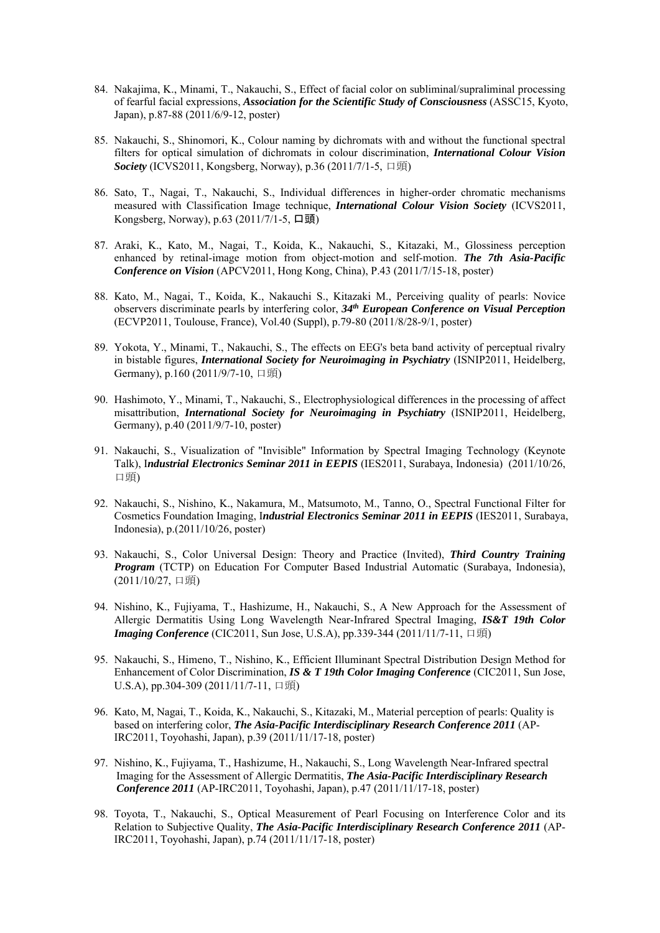- 84. Nakajima, K., Minami, T., Nakauchi, S., Effect of facial color on subliminal/supraliminal processing of fearful facial expressions, *Association for the Scientific Study of Consciousness* (ASSC15, Kyoto, Japan), p.87-88 (2011/6/9-12, poster)
- 85. Nakauchi, S., Shinomori, K., Colour naming by dichromats with and without the functional spectral filters for optical simulation of dichromats in colour discrimination, *International Colour Vision Society* (ICVS2011, Kongsberg, Norway), p.36 (2011/7/1-5, 口頭)
- 86. Sato, T., Nagai, T., Nakauchi, S., Individual differences in higher-order chromatic mechanisms measured with Classification Image technique, *International Colour Vision Society* (ICVS2011, Kongsberg, Norway), p.63 (2011/7/1-5, 口頭)
- 87. Araki, K., Kato, M., Nagai, T., Koida, K., Nakauchi, S., Kitazaki, M., Glossiness perception enhanced by retinal-image motion from object-motion and self-motion. *The 7th Asia-Pacific Conference on Vision* (APCV2011, Hong Kong, China), P.43 (2011/7/15-18, poster)
- 88. Kato, M., Nagai, T., Koida, K., Nakauchi S., Kitazaki M., Perceiving quality of pearls: Novice observers discriminate pearls by interfering color, *34th European Conference on Visual Perception*  (ECVP2011, Toulouse, France), Vol.40 (Suppl), p.79-80 (2011/8/28-9/1, poster)
- 89. Yokota, Y., Minami, T., Nakauchi, S., The effects on EEG's beta band activity of perceptual rivalry in bistable figures, *International Society for Neuroimaging in Psychiatry* (ISNIP2011, Heidelberg, Germany), p.160 (2011/9/7-10, 口頭)
- 90. Hashimoto, Y., Minami, T., Nakauchi, S., Electrophysiological differences in the processing of affect misattribution, *International Society for Neuroimaging in Psychiatry* (ISNIP2011, Heidelberg, Germany), p.40 (2011/9/7-10, poster)
- 91. Nakauchi, S., Visualization of "Invisible" Information by Spectral Imaging Technology (Keynote Talk), I*ndustrial Electronics Seminar 2011 in EEPIS* (IES2011, Surabaya, Indonesia) (2011/10/26, 口頭)
- 92. Nakauchi, S., Nishino, K., Nakamura, M., Matsumoto, M., Tanno, O., Spectral Functional Filter for Cosmetics Foundation Imaging, I*ndustrial Electronics Seminar 2011 in EEPIS* (IES2011, Surabaya, Indonesia), p.(2011/10/26, poster)
- 93. Nakauchi, S., Color Universal Design: Theory and Practice (Invited), *Third Country Training Program* (TCTP) on Education For Computer Based Industrial Automatic (Surabaya, Indonesia), (2011/10/27, 口頭)
- 94. Nishino, K., Fujiyama, T., Hashizume, H., Nakauchi, S., A New Approach for the Assessment of Allergic Dermatitis Using Long Wavelength Near-Infrared Spectral Imaging, *IS&T 19th Color Imaging Conference* (CIC2011, Sun Jose, U.S.A), pp.339-344 (2011/11/7-11, 口頭)
- 95. Nakauchi, S., Himeno, T., Nishino, K., Efficient Illuminant Spectral Distribution Design Method for Enhancement of Color Discrimination, *IS & T 19th Color Imaging Conference* (CIC2011, Sun Jose, U.S.A), pp.304-309 (2011/11/7-11, 口頭)
- 96. Kato, M, Nagai, T., Koida, K., Nakauchi, S., Kitazaki, M., Material perception of pearls: Quality is based on interfering color, *The Asia-Pacific Interdisciplinary Research Conference 2011* (AP-IRC2011, Toyohashi, Japan), p.39 (2011/11/17-18, poster)
- 97. Nishino, K., Fujiyama, T., Hashizume, H., Nakauchi, S., Long Wavelength Near-Infrared spectral Imaging for the Assessment of Allergic Dermatitis, *The Asia-Pacific Interdisciplinary Research Conference 2011* (AP-IRC2011, Toyohashi, Japan), p.47 (2011/11/17-18, poster)
- 98. Toyota, T., Nakauchi, S., Optical Measurement of Pearl Focusing on Interference Color and its Relation to Subjective Quality, *The Asia-Pacific Interdisciplinary Research Conference 2011* (AP-IRC2011, Toyohashi, Japan), p.74 (2011/11/17-18, poster)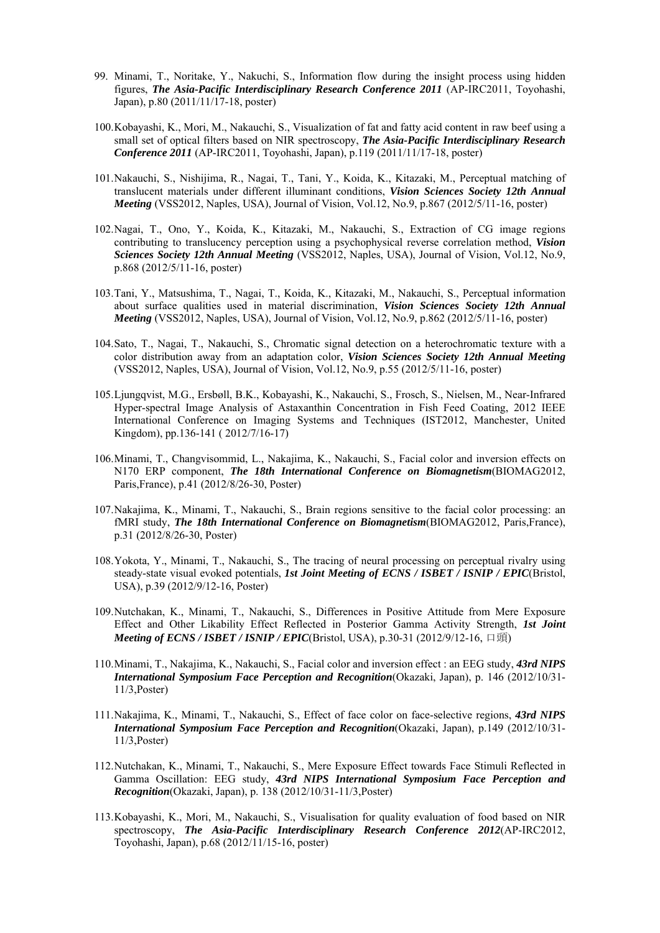- 99. Minami, T., Noritake, Y., Nakuchi, S., Information flow during the insight process using hidden figures, *The Asia-Pacific Interdisciplinary Research Conference 2011* (AP-IRC2011, Toyohashi, Japan), p.80 (2011/11/17-18, poster)
- 100.Kobayashi, K., Mori, M., Nakauchi, S., Visualization of fat and fatty acid content in raw beef using a small set of optical filters based on NIR spectroscopy, *The Asia-Pacific Interdisciplinary Research Conference 2011* (AP-IRC2011, Toyohashi, Japan), p.119 (2011/11/17-18, poster)
- 101.Nakauchi, S., Nishijima, R., Nagai, T., Tani, Y., Koida, K., Kitazaki, M., Perceptual matching of translucent materials under different illuminant conditions, *Vision Sciences Society 12th Annual Meeting* (VSS2012, Naples, USA), Journal of Vision, Vol.12, No.9, p.867 (2012/5/11-16, poster)
- 102.Nagai, T., Ono, Y., Koida, K., Kitazaki, M., Nakauchi, S., Extraction of CG image regions contributing to translucency perception using a psychophysical reverse correlation method, *Vision Sciences Society 12th Annual Meeting* (VSS2012, Naples, USA), Journal of Vision, Vol.12, No.9, p.868 (2012/5/11-16, poster)
- 103.Tani, Y., Matsushima, T., Nagai, T., Koida, K., Kitazaki, M., Nakauchi, S., Perceptual information about surface qualities used in material discrimination, *Vision Sciences Society 12th Annual Meeting* (VSS2012, Naples, USA), Journal of Vision, Vol.12, No.9, p.862 (2012/5/11-16, poster)
- 104.Sato, T., Nagai, T., Nakauchi, S., Chromatic signal detection on a heterochromatic texture with a color distribution away from an adaptation color, *Vision Sciences Society 12th Annual Meeting*  (VSS2012, Naples, USA), Journal of Vision, Vol.12, No.9, p.55 (2012/5/11-16, poster)
- 105.Ljungqvist, M.G., Ersbøll, B.K., Kobayashi, K., Nakauchi, S., Frosch, S., Nielsen, M., Near-Infrared Hyper-spectral Image Analysis of Astaxanthin Concentration in Fish Feed Coating, 2012 IEEE International Conference on Imaging Systems and Techniques (IST2012, Manchester, United Kingdom), pp.136-141 ( 2012/7/16-17)
- 106.Minami, T., Changvisommid, L., Nakajima, K., Nakauchi, S., Facial color and inversion effects on N170 ERP component, *The 18th International Conference on Biomagnetism*(BIOMAG2012, Paris,France), p.41 (2012/8/26-30, Poster)
- 107.Nakajima, K., Minami, T., Nakauchi, S., Brain regions sensitive to the facial color processing: an fMRI study, *The 18th International Conference on Biomagnetism*(BIOMAG2012, Paris,France), p.31 (2012/8/26-30, Poster)
- 108.Yokota, Y., Minami, T., Nakauchi, S., The tracing of neural processing on perceptual rivalry using steady-state visual evoked potentials, *1st Joint Meeting of ECNS / ISBET / ISNIP / EPIC*(Bristol, USA), p.39 (2012/9/12-16, Poster)
- 109.Nutchakan, K., Minami, T., Nakauchi, S., Differences in Positive Attitude from Mere Exposure Effect and Other Likability Effect Reflected in Posterior Gamma Activity Strength, *1st Joint Meeting of ECNS / ISBET / ISNIP / EPIC*(Bristol, USA), p.30-31 (2012/9/12-16, 口頭)
- 110.Minami, T., Nakajima, K., Nakauchi, S., Facial color and inversion effect : an EEG study, *43rd NIPS International Symposium Face Perception and Recognition*(Okazaki, Japan), p. 146 (2012/10/31- 11/3,Poster)
- 111.Nakajima, K., Minami, T., Nakauchi, S., Effect of face color on face-selective regions, *43rd NIPS International Symposium Face Perception and Recognition*(Okazaki, Japan), p.149 (2012/10/31- 11/3,Poster)
- 112.Nutchakan, K., Minami, T., Nakauchi, S., Mere Exposure Effect towards Face Stimuli Reflected in Gamma Oscillation: EEG study, *43rd NIPS International Symposium Face Perception and Recognition*(Okazaki, Japan), p. 138 (2012/10/31-11/3,Poster)
- 113.Kobayashi, K., Mori, M., Nakauchi, S., Visualisation for quality evaluation of food based on NIR spectroscopy, *The Asia-Pacific Interdisciplinary Research Conference 2012*(AP-IRC2012, Toyohashi, Japan), p.68 (2012/11/15-16, poster)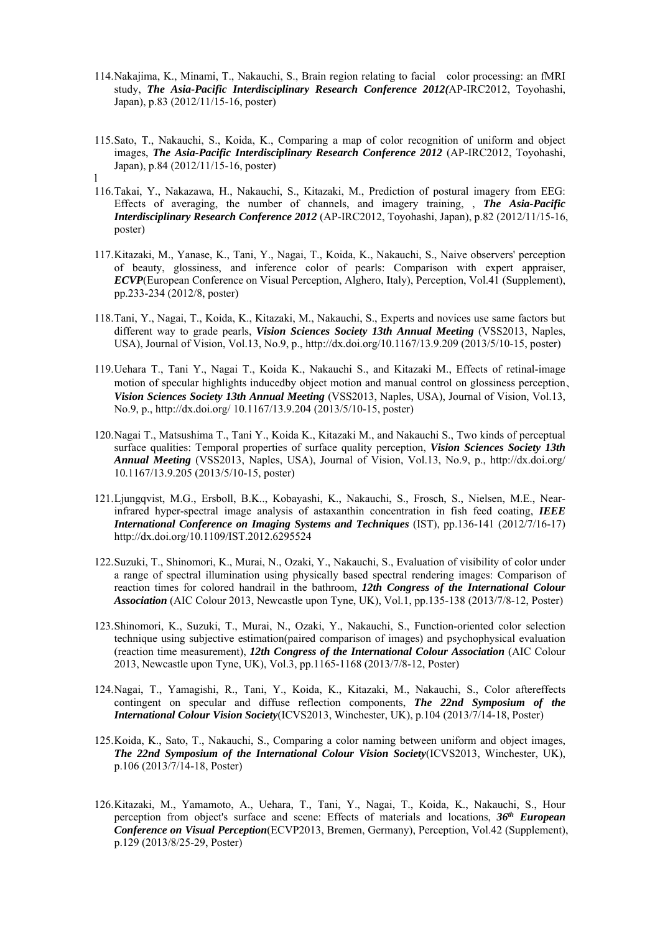- 114.Nakajima, K., Minami, T., Nakauchi, S., Brain region relating to facial color processing: an fMRI study, *The Asia-Pacific Interdisciplinary Research Conference 2012(*AP-IRC2012, Toyohashi, Japan), p.83 (2012/11/15-16, poster)
- 115.Sato, T., Nakauchi, S., Koida, K., Comparing a map of color recognition of uniform and object images, *The Asia-Pacific Interdisciplinary Research Conference 2012* (AP-IRC2012, Toyohashi, Japan), p.84 (2012/11/15-16, poster) l
- 116.Takai, Y., Nakazawa, H., Nakauchi, S., Kitazaki, M., Prediction of postural imagery from EEG: Effects of averaging, the number of channels, and imagery training, , *The Asia-Pacific Interdisciplinary Research Conference 2012* (AP-IRC2012, Toyohashi, Japan), p.82 (2012/11/15-16, poster)
- 117.Kitazaki, M., Yanase, K., Tani, Y., Nagai, T., Koida, K., Nakauchi, S., Naive observers' perception of beauty, glossiness, and inference color of pearls: Comparison with expert appraiser, *ECVP*(European Conference on Visual Perception, Alghero, Italy), Perception, Vol.41 (Supplement), pp.233-234 (2012/8, poster)
- 118.Tani, Y., Nagai, T., Koida, K., Kitazaki, M., Nakauchi, S., Experts and novices use same factors but different way to grade pearls, *Vision Sciences Society 13th Annual Meeting* (VSS2013, Naples, USA), Journal of Vision, Vol.13, No.9, p., http://dx.doi.org/10.1167/13.9.209 (2013/5/10-15, poster)
- 119.Uehara T., Tani Y., Nagai T., Koida K., Nakauchi S., and Kitazaki M., Effects of retinal-image motion of specular highlights inducedby object motion and manual control on glossiness perception、 *Vision Sciences Society 13th Annual Meeting* (VSS2013, Naples, USA), Journal of Vision, Vol.13, No.9, p., http://dx.doi.org/ 10.1167/13.9.204 (2013/5/10-15, poster)
- 120.Nagai T., Matsushima T., Tani Y., Koida K., Kitazaki M., and Nakauchi S., Two kinds of perceptual surface qualities: Temporal properties of surface quality perception, *Vision Sciences Society 13th Annual Meeting* (VSS2013, Naples, USA), Journal of Vision, Vol.13, No.9, p., http://dx.doi.org/ 10.1167/13.9.205 (2013/5/10-15, poster)
- 121.Ljungqvist, M.G., Ersboll, B.K.., Kobayashi, K., Nakauchi, S., Frosch, S., Nielsen, M.E., Nearinfrared hyper-spectral image analysis of astaxanthin concentration in fish feed coating, *IEEE International Conference on Imaging Systems and Techniques* (IST), pp.136-141 (2012/7/16-17) http://dx.doi.org/10.1109/IST.2012.6295524
- 122.Suzuki, T., Shinomori, K., Murai, N., Ozaki, Y., Nakauchi, S., Evaluation of visibility of color under a range of spectral illumination using physically based spectral rendering images: Comparison of reaction times for colored handrail in the bathroom, *12th Congress of the International Colour Association* (AIC Colour 2013, Newcastle upon Tyne, UK), Vol.1, pp.135-138 (2013/7/8-12, Poster)
- 123.Shinomori, K., Suzuki, T., Murai, N., Ozaki, Y., Nakauchi, S., Function-oriented color selection technique using subjective estimation(paired comparison of images) and psychophysical evaluation (reaction time measurement), *12th Congress of the International Colour Association* (AIC Colour 2013, Newcastle upon Tyne, UK), Vol.3, pp.1165-1168 (2013/7/8-12, Poster)
- 124.Nagai, T., Yamagishi, R., Tani, Y., Koida, K., Kitazaki, M., Nakauchi, S., Color aftereffects contingent on specular and diffuse reflection components, *The 22nd Symposium of the International Colour Vision Society*(ICVS2013, Winchester, UK), p.104 (2013/7/14-18, Poster)
- 125.Koida, K., Sato, T., Nakauchi, S., Comparing a color naming between uniform and object images, *The 22nd Symposium of the International Colour Vision Society*(ICVS2013, Winchester, UK), p.106 (2013/7/14-18, Poster)
- 126.Kitazaki, M., Yamamoto, A., Uehara, T., Tani, Y., Nagai, T., Koida, K., Nakauchi, S., Hour perception from object's surface and scene: Effects of materials and locations, *36th European Conference on Visual Perception*(ECVP2013, Bremen, Germany), Perception, Vol.42 (Supplement), p.129 (2013/8/25-29, Poster)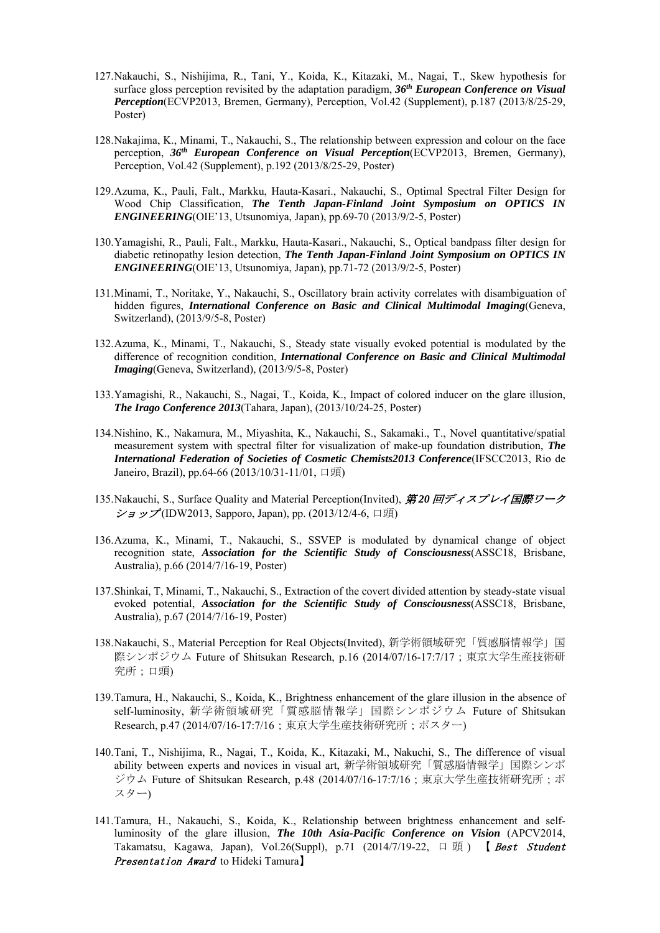- 127.Nakauchi, S., Nishijima, R., Tani, Y., Koida, K., Kitazaki, M., Nagai, T., Skew hypothesis for surface gloss perception revisited by the adaptation paradigm, *36th European Conference on Visual Perception*(ECVP2013, Bremen, Germany), Perception, Vol.42 (Supplement), p.187 (2013/8/25-29, Poster)
- 128.Nakajima, K., Minami, T., Nakauchi, S., The relationship between expression and colour on the face perception, *36th European Conference on Visual Perception*(ECVP2013, Bremen, Germany), Perception, Vol.42 (Supplement), p.192 (2013/8/25-29, Poster)
- 129.Azuma, K., Pauli, Falt., Markku, Hauta-Kasari., Nakauchi, S., Optimal Spectral Filter Design for Wood Chip Classification, *The Tenth Japan-Finland Joint Symposium on OPTICS IN ENGINEERING*(OIE'13, Utsunomiya, Japan), pp.69-70 (2013/9/2-5, Poster)
- 130.Yamagishi, R., Pauli, Falt., Markku, Hauta-Kasari., Nakauchi, S., Optical bandpass filter design for diabetic retinopathy lesion detection, *The Tenth Japan-Finland Joint Symposium on OPTICS IN ENGINEERING*(OIE'13, Utsunomiya, Japan), pp.71-72 (2013/9/2-5, Poster)
- 131.Minami, T., Noritake, Y., Nakauchi, S., Oscillatory brain activity correlates with disambiguation of hidden figures, *International Conference on Basic and Clinical Multimodal Imaging*(Geneva, Switzerland), (2013/9/5-8, Poster)
- 132.Azuma, K., Minami, T., Nakauchi, S., Steady state visually evoked potential is modulated by the difference of recognition condition, *International Conference on Basic and Clinical Multimodal Imaging*(Geneva, Switzerland), (2013/9/5-8, Poster)
- 133.Yamagishi, R., Nakauchi, S., Nagai, T., Koida, K., Impact of colored inducer on the glare illusion, *The Irago Conference 2013*(Tahara, Japan), (2013/10/24-25, Poster)
- 134.Nishino, K., Nakamura, M., Miyashita, K., Nakauchi, S., Sakamaki., T., Novel quantitative/spatial measurement system with spectral filter for visualization of make-up foundation distribution, *The International Federation of Societies of Cosmetic Chemists2013 Conference*(IFSCC2013, Rio de Janeiro, Brazil), pp.64-66 (2013/10/31-11/01, 口頭)
- 135.Nakauchi, S., Surface Quality and Material Perception(Invited), 第 *20* 回ディスプレイ国際ワーク  $\mathcal{Y}$  =  $\mathcal{Y}$  (IDW2013, Sapporo, Japan), pp. (2013/12/4-6, 口頭)
- 136.Azuma, K., Minami, T., Nakauchi, S., SSVEP is modulated by dynamical change of object recognition state, *Association for the Scientific Study of Consciousness*(ASSC18, Brisbane, Australia), p.66 (2014/7/16-19, Poster)
- 137.Shinkai, T, Minami, T., Nakauchi, S., Extraction of the covert divided attention by steady-state visual evoked potential, *Association for the Scientific Study of Consciousness*(ASSC18, Brisbane, Australia), p.67 (2014/7/16-19, Poster)
- 138.Nakauchi, S., Material Perception for Real Objects(Invited), 新学術領域研究「質感脳情報学」国 際シンポジウム Future of Shitsukan Research, p.16 (2014/07/16-17:7/17; 東京大学生産技術研 究所;口頭)
- 139.Tamura, H., Nakauchi, S., Koida, K., Brightness enhancement of the glare illusion in the absence of self-luminosity, 新学術領域研究「質感脳情報学」国際シンポジウム Future of Shitsukan Research, p.47 (2014/07/16-17:7/16;東京大学生産技術研究所;ポスター)
- 140.Tani, T., Nishijima, R., Nagai, T., Koida, K., Kitazaki, M., Nakuchi, S., The difference of visual ability between experts and novices in visual art, 新学術領域研究「質感脳情報学」国際シンポ ジウム Future of Shitsukan Research, p.48 (2014/07/16-17:7/16;東京大学生産技術研究所;ポ スター)
- 141.Tamura, H., Nakauchi, S., Koida, K., Relationship between brightness enhancement and selfluminosity of the glare illusion, *The 10th Asia-Pacific Conference on Vision* (APCV2014, Takamatsu, Kagawa, Japan), Vol.26(Suppl), p.71 (2014/7/19-22, 口頭) 【 Best Student Presentation Award to Hideki Tamura]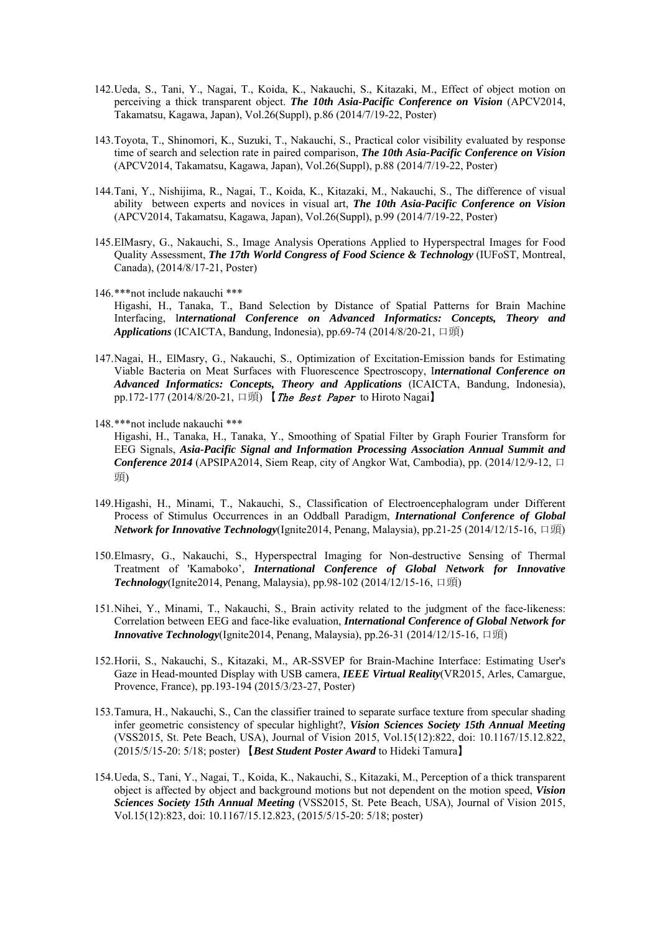- 142.Ueda, S., Tani, Y., Nagai, T., Koida, K., Nakauchi, S., Kitazaki, M., Effect of object motion on perceiving a thick transparent object. *The 10th Asia-Pacific Conference on Vision* (APCV2014, Takamatsu, Kagawa, Japan), Vol.26(Suppl), p.86 (2014/7/19-22, Poster)
- 143.Toyota, T., Shinomori, K., Suzuki, T., Nakauchi, S., Practical color visibility evaluated by response time of search and selection rate in paired comparison, *The 10th Asia-Pacific Conference on Vision* (APCV2014, Takamatsu, Kagawa, Japan), Vol.26(Suppl), p.88 (2014/7/19-22, Poster)
- 144.Tani, Y., Nishijima, R., Nagai, T., Koida, K., Kitazaki, M., Nakauchi, S., The difference of visual ability between experts and novices in visual art, *The 10th Asia-Pacific Conference on Vision* (APCV2014, Takamatsu, Kagawa, Japan), Vol.26(Suppl), p.99 (2014/7/19-22, Poster)
- 145.ElMasry, G., Nakauchi, S., Image Analysis Operations Applied to Hyperspectral Images for Food Quality Assessment, *The 17th World Congress of Food Science & Technology* (IUFoST, Montreal, Canada), (2014/8/17-21, Poster)
- 146.\*\*\*not include nakauchi \*\*\*
	- Higashi, H., Tanaka, T., Band Selection by Distance of Spatial Patterns for Brain Machine Interfacing, I*nternational Conference on Advanced Informatics: Concepts, Theory and Applications* (ICAICTA, Bandung, Indonesia), pp.69-74 (2014/8/20-21, 口頭)
- 147.Nagai, H., ElMasry, G., Nakauchi, S., Optimization of Excitation-Emission bands for Estimating Viable Bacteria on Meat Surfaces with Fluorescence Spectroscopy, I*nternational Conference on Advanced Informatics: Concepts, Theory and Applications* (ICAICTA, Bandung, Indonesia), pp.172-177 (2014/8/20-21, 口頭) 【The Best Paper to Hiroto Nagai】
- 148.\*\*\*not include nakauchi \*\*\*

Higashi, H., Tanaka, H., Tanaka, Y., Smoothing of Spatial Filter by Graph Fourier Transform for EEG Signals, *Asia-Pacific Signal and Information Processing Association Annual Summit and Conference 2014* (APSIPA2014, Siem Reap, city of Angkor Wat, Cambodia), pp.  $(2014/12/9-12, \Box)$ 頭)

- 149.Higashi, H., Minami, T., Nakauchi, S., Classification of Electroencephalogram under Different Process of Stimulus Occurrences in an Oddball Paradigm, *International Conference of Global Network for Innovative Technology*(Ignite2014, Penang, Malaysia), pp.21-25 (2014/12/15-16, 口頭)
- 150.Elmasry, G., Nakauchi, S., Hyperspectral Imaging for Non-destructive Sensing of Thermal Treatment of 'Kamaboko', *International Conference of Global Network for Innovative Technology*(Ignite2014, Penang, Malaysia), pp.98-102 (2014/12/15-16, 口頭)
- 151.Nihei, Y., Minami, T., Nakauchi, S., Brain activity related to the judgment of the face-likeness: Correlation between EEG and face-like evaluation, *International Conference of Global Network for Innovative Technology*(Ignite2014, Penang, Malaysia), pp.26-31 (2014/12/15-16, 口頭)
- 152.Horii, S., Nakauchi, S., Kitazaki, M., AR-SSVEP for Brain-Machine Interface: Estimating User's Gaze in Head-mounted Display with USB camera, *IEEE Virtual Reality*(VR2015, Arles, Camargue, Provence, France), pp.193-194 (2015/3/23-27, Poster)
- 153.Tamura, H., Nakauchi, S., Can the classifier trained to separate surface texture from specular shading infer geometric consistency of specular highlight?, *Vision Sciences Society 15th Annual Meeting* (VSS2015, St. Pete Beach, USA), Journal of Vision 2015, Vol.15(12):822, doi: 10.1167/15.12.822, (2015/5/15-20: 5/18; poster) 【*Best Student Poster Award* to Hideki Tamura】
- 154.Ueda, S., Tani, Y., Nagai, T., Koida, K., Nakauchi, S., Kitazaki, M., Perception of a thick transparent object is affected by object and background motions but not dependent on the motion speed, *Vision Sciences Society 15th Annual Meeting* (VSS2015, St. Pete Beach, USA), Journal of Vision 2015, Vol.15(12):823, doi: 10.1167/15.12.823, (2015/5/15-20: 5/18; poster)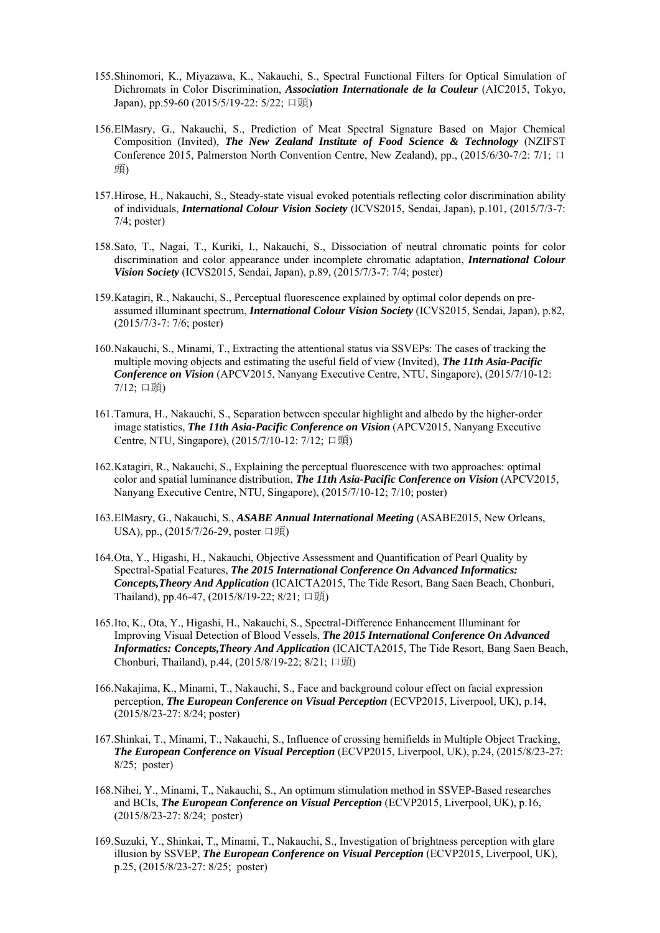- 155.Shinomori, K., Miyazawa, K., Nakauchi, S., Spectral Functional Filters for Optical Simulation of Dichromats in Color Discrimination, *Association Internationale de la Couleur* (AIC2015, Tokyo, Japan), pp.59-60 (2015/5/19-22: 5/22; 口頭)
- 156.ElMasry, G., Nakauchi, S., Prediction of Meat Spectral Signature Based on Major Chemical Composition (Invited), *The New Zealand Institute of Food Science & Technology* (NZIFST Conference 2015, Palmerston North Convention Centre, New Zealand), pp.,  $(2015/6/30-7/2: 7/1; \Box)$ 頭)
- 157.Hirose, H., Nakauchi, S., Steady-state visual evoked potentials reflecting color discrimination ability of individuals, *International Colour Vision Society* (ICVS2015, Sendai, Japan), p.101, (2015/7/3-7: 7/4; poster)
- 158.Sato, T., Nagai, T., Kuriki, I., Nakauchi, S., Dissociation of neutral chromatic points for color discrimination and color appearance under incomplete chromatic adaptation, *International Colour Vision Society* (ICVS2015, Sendai, Japan), p.89, (2015/7/3-7: 7/4; poster)
- 159.Katagiri, R., Nakauchi, S., Perceptual fluorescence explained by optimal color depends on preassumed illuminant spectrum, *International Colour Vision Society* (ICVS2015, Sendai, Japan), p.82, (2015/7/3-7: 7/6; poster)
- 160.Nakauchi, S., Minami, T., Extracting the attentional status via SSVEPs: The cases of tracking the multiple moving objects and estimating the useful field of view (Invited), *The 11th Asia-Pacific Conference on Vision* (APCV2015, Nanyang Executive Centre, NTU, Singapore), (2015/7/10-12: 7/12; 口頭)
- 161.Tamura, H., Nakauchi, S., Separation between specular highlight and albedo by the higher-order image statistics, *The 11th Asia-Pacific Conference on Vision* (APCV2015, Nanyang Executive Centre, NTU, Singapore), (2015/7/10-12: 7/12; 口頭)
- 162.Katagiri, R., Nakauchi, S., Explaining the perceptual fluorescence with two approaches: optimal color and spatial luminance distribution, *The 11th Asia-Pacific Conference on Vision* (APCV2015, Nanyang Executive Centre, NTU, Singapore), (2015/7/10-12; 7/10; poster)
- 163.ElMasry, G., Nakauchi, S., *ASABE Annual International Meeting* (ASABE2015, New Orleans, USA), pp., (2015/7/26-29, poster 口頭)
- 164.Ota, Y., Higashi, H., Nakauchi, Objective Assessment and Quantification of Pearl Quality by Spectral-Spatial Features, *The 2015 International Conference On Advanced Informatics: Concepts,Theory And Application* (ICAICTA2015, The Tide Resort, Bang Saen Beach, Chonburi, Thailand), pp.46-47, (2015/8/19-22; 8/21; 口頭)
- 165.Ito, K., Ota, Y., Higashi, H., Nakauchi, S., Spectral-Difference Enhancement Illuminant for Improving Visual Detection of Blood Vessels, *The 2015 International Conference On Advanced Informatics: Concepts,Theory And Application* (ICAICTA2015, The Tide Resort, Bang Saen Beach, Chonburi, Thailand), p.44, (2015/8/19-22; 8/21; 口頭)
- 166.Nakajima, K., Minami, T., Nakauchi, S., Face and background colour effect on facial expression perception, *The European Conference on Visual Perception* (ECVP2015, Liverpool, UK), p.14, (2015/8/23-27: 8/24; poster)
- 167.Shinkai, T., Minami, T., Nakauchi, S., Influence of crossing hemifields in Multiple Object Tracking, *The European Conference on Visual Perception* (ECVP2015, Liverpool, UK), p.24, (2015/8/23-27: 8/25; poster)
- 168.Nihei, Y., Minami, T., Nakauchi, S., An optimum stimulation method in SSVEP-Based researches and BCIs, *The European Conference on Visual Perception* (ECVP2015, Liverpool, UK), p.16, (2015/8/23-27: 8/24; poster)
- 169.Suzuki, Y., Shinkai, T., Minami, T., Nakauchi, S., Investigation of brightness perception with glare illusion by SSVEP, *The European Conference on Visual Perception* (ECVP2015, Liverpool, UK), p.25, (2015/8/23-27: 8/25; poster)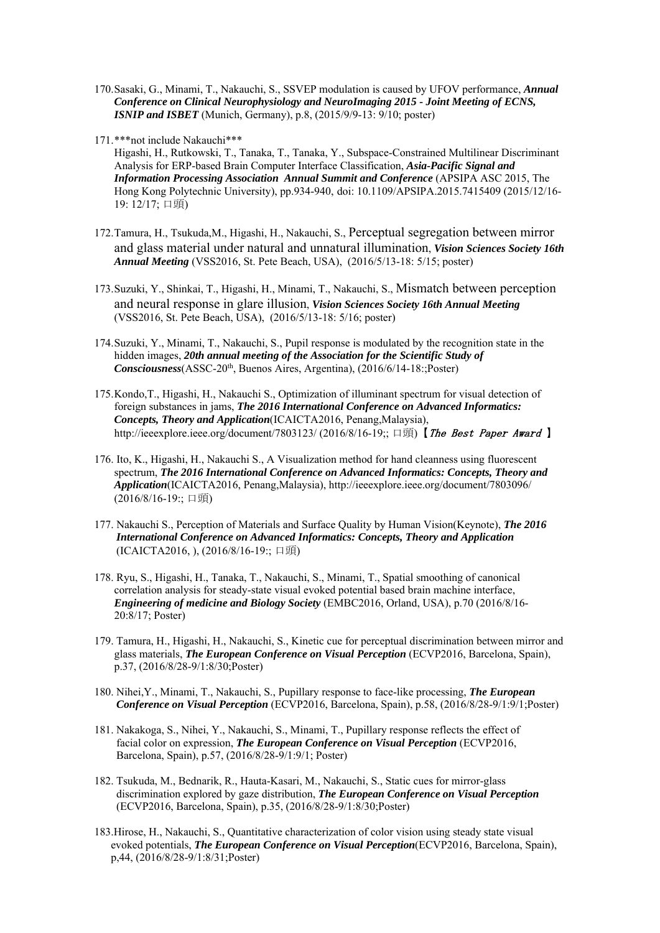- 170.Sasaki, G., Minami, T., Nakauchi, S., SSVEP modulation is caused by UFOV performance, *Annual Conference on Clinical Neurophysiology and NeuroImaging 2015 - Joint Meeting of ECNS, ISNIP and ISBET* (Munich, Germany), p.8, (2015/9/9-13: 9/10; poster)
- 171.\*\*\*not include Nakauchi\*\*\*

Higashi, H., Rutkowski, T., Tanaka, T., Tanaka, Y., Subspace-Constrained Multilinear Discriminant Analysis for ERP-based Brain Computer Interface Classification, *Asia-Pacific Signal and Information Processing Association Annual Summit and Conference* (APSIPA ASC 2015, The Hong Kong Polytechnic University), pp.934-940, doi: 10.1109/APSIPA.2015.7415409 (2015/12/16- 19: 12/17; 口頭)

- 172.Tamura, H., Tsukuda,M., Higashi, H., Nakauchi, S., Perceptual segregation between mirror and glass material under natural and unnatural illumination, *Vision Sciences Society 16th Annual Meeting* (VSS2016, St. Pete Beach, USA), (2016/5/13-18: 5/15; poster)
- 173.Suzuki, Y., Shinkai, T., Higashi, H., Minami, T., Nakauchi, S., Mismatch between perception and neural response in glare illusion, *Vision Sciences Society 16th Annual Meeting* (VSS2016, St. Pete Beach, USA), (2016/5/13-18: 5/16; poster)
- 174.Suzuki, Y., Minami, T., Nakauchi, S., Pupil response is modulated by the recognition state in the hidden images, *20th annual meeting of the Association for the Scientific Study of Consciousness*(ASSC-20<sup>th</sup>, Buenos Aires, Argentina), (2016/6/14-18:;Poster)
- 175.Kondo,T., Higashi, H., Nakauchi S., Optimization of illuminant spectrum for visual detection of foreign substances in jams, *The 2016 International Conference on Advanced Informatics: Concepts, Theory and Application*(ICAICTA2016, Penang,Malaysia), http://ieeexplore.ieee.org/document/7803123/ (2016/8/16-19;; 口頭)【The Best Paper Award】
- 176. Ito, K., Higashi, H., Nakauchi S., A Visualization method for hand cleanness using fluorescent spectrum, *The 2016 International Conference on Advanced Informatics: Concepts, Theory and Application*(ICAICTA2016, Penang,Malaysia), http://ieeexplore.ieee.org/document/7803096/ (2016/8/16-19:; 口頭)
- 177. Nakauchi S., Perception of Materials and Surface Quality by Human Vision(Keynote), *The 2016 International Conference on Advanced Informatics: Concepts, Theory and Application*  (ICAICTA2016, ), (2016/8/16-19:; 口頭)
- 178. Ryu, S., Higashi, H., Tanaka, T., Nakauchi, S., Minami, T., Spatial smoothing of canonical correlation analysis for steady-state visual evoked potential based brain machine interface, *Engineering of medicine and Biology Society* (EMBC2016, Orland, USA), p.70 (2016/8/16- 20:8/17; Poster)
- 179. Tamura, H., Higashi, H., Nakauchi, S., Kinetic cue for perceptual discrimination between mirror and glass materials, *The European Conference on Visual Perception* (ECVP2016, Barcelona, Spain), p.37, (2016/8/28-9/1:8/30;Poster)
- 180. Nihei,Y., Minami, T., Nakauchi, S., Pupillary response to face-like processing, *The European Conference on Visual Perception* (ECVP2016, Barcelona, Spain), p.58, (2016/8/28-9/1:9/1;Poster)
- 181. Nakakoga, S., Nihei, Y., Nakauchi, S., Minami, T., Pupillary response reflects the effect of facial color on expression, *The European Conference on Visual Perception* (ECVP2016, Barcelona, Spain), p.57, (2016/8/28-9/1:9/1; Poster)
- 182. Tsukuda, M., Bednarik, R., Hauta-Kasari, M., Nakauchi, S., Static cues for mirror-glass discrimination explored by gaze distribution, *The European Conference on Visual Perception* (ECVP2016, Barcelona, Spain), p.35, (2016/8/28-9/1:8/30;Poster)
- 183.Hirose, H., Nakauchi, S., Quantitative characterization of color vision using steady state visual evoked potentials, *The European Conference on Visual Perception*(ECVP2016, Barcelona, Spain), p,44, (2016/8/28-9/1:8/31;Poster)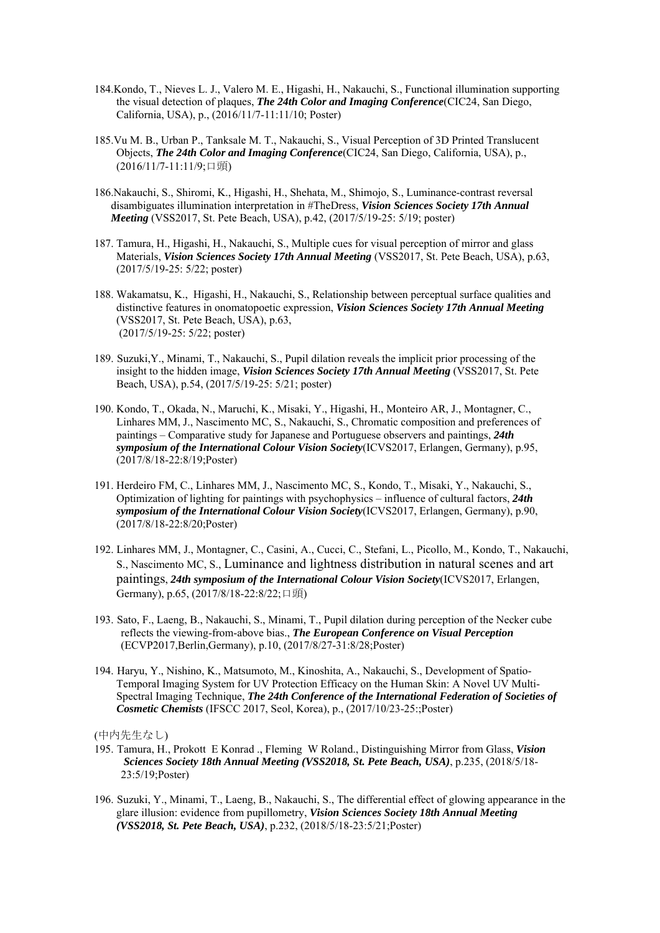- 184.Kondo, T., Nieves L. J., Valero M. E., Higashi, H., Nakauchi, S., Functional illumination supporting the visual detection of plaques, *The 24th Color and Imaging Conference*(CIC24, San Diego, California, USA), p., (2016/11/7-11:11/10; Poster)
- 185.Vu M. B., Urban P., Tanksale M. T., Nakauchi, S., Visual Perception of 3D Printed Translucent Objects, *The 24th Color and Imaging Conference*(CIC24, San Diego, California, USA), p., (2016/11/7-11:11/9;口頭)
- 186.Nakauchi, S., Shiromi, K., Higashi, H., Shehata, M., Shimojo, S., Luminance-contrast reversal disambiguates illumination interpretation in #TheDress, *Vision Sciences Society 17th Annual Meeting* (VSS2017, St. Pete Beach, USA), p.42, (2017/5/19-25: 5/19; poster)
- 187. Tamura, H., Higashi, H., Nakauchi, S., Multiple cues for visual perception of mirror and glass Materials, *Vision Sciences Society 17th Annual Meeting* (VSS2017, St. Pete Beach, USA), p.63, (2017/5/19-25: 5/22; poster)
- 188. Wakamatsu, K., Higashi, H., Nakauchi, S., Relationship between perceptual surface qualities and distinctive features in onomatopoetic expression, *Vision Sciences Society 17th Annual Meeting* (VSS2017, St. Pete Beach, USA), p.63, (2017/5/19-25: 5/22; poster)
- 189. Suzuki,Y., Minami, T., Nakauchi, S., Pupil dilation reveals the implicit prior processing of the insight to the hidden image, *Vision Sciences Society 17th Annual Meeting* (VSS2017, St. Pete Beach, USA), p.54, (2017/5/19-25: 5/21; poster)
- 190. Kondo, T., Okada, N., Maruchi, K., Misaki, Y., Higashi, H., Monteiro AR, J., Montagner, C., Linhares MM, J., Nascimento MC, S., Nakauchi, S., Chromatic composition and preferences of paintings – Comparative study for Japanese and Portuguese observers and paintings, *24th symposium of the International Colour Vision Society*(ICVS2017, Erlangen, Germany), p.95, (2017/8/18-22:8/19;Poster)
- 191. Herdeiro FM, C., Linhares MM, J., Nascimento MC, S., Kondo, T., Misaki, Y., Nakauchi, S., Optimization of lighting for paintings with psychophysics – influence of cultural factors, *24th symposium of the International Colour Vision Society*(ICVS2017, Erlangen, Germany), p.90, (2017/8/18-22:8/20;Poster)
- 192. Linhares MM, J., Montagner, C., Casini, A., Cucci, C., Stefani, L., Picollo, M., Kondo, T., Nakauchi, S., Nascimento MC, S., Luminance and lightness distribution in natural scenes and art paintings, *24th symposium of the International Colour Vision Society*(ICVS2017, Erlangen, Germany), p.65, (2017/8/18-22:8/22;口頭)
- 193. Sato, F., Laeng, B., Nakauchi, S., Minami, T., Pupil dilation during perception of the Necker cube reflects the viewing-from-above bias., *The European Conference on Visual Perception* (ECVP2017,Berlin,Germany), p.10, (2017/8/27-31:8/28;Poster)
- 194. Haryu, Y., Nishino, K., Matsumoto, M., Kinoshita, A., Nakauchi, S., Development of Spatio-Temporal Imaging System for UV Protection Efficacy on the Human Skin: A Novel UV Multi-Spectral Imaging Technique, *The 24th Conference of the International Federation of Societies of Cosmetic Chemists* (IFSCC 2017, Seol, Korea), p., (2017/10/23-25:;Poster)

- 195. Tamura, H., Prokott E Konrad ., Fleming W Roland., Distinguishing Mirror from Glass, *Vision Sciences Society 18th Annual Meeting (VSS2018, St. Pete Beach, USA)*, p.235, (2018/5/18- 23:5/19;Poster)
- 196. Suzuki, Y., Minami, T., Laeng, B., Nakauchi, S., The differential effect of glowing appearance in the glare illusion: evidence from pupillometry, *Vision Sciences Society 18th Annual Meeting (VSS2018, St. Pete Beach, USA)*, p.232, (2018/5/18-23:5/21;Poster)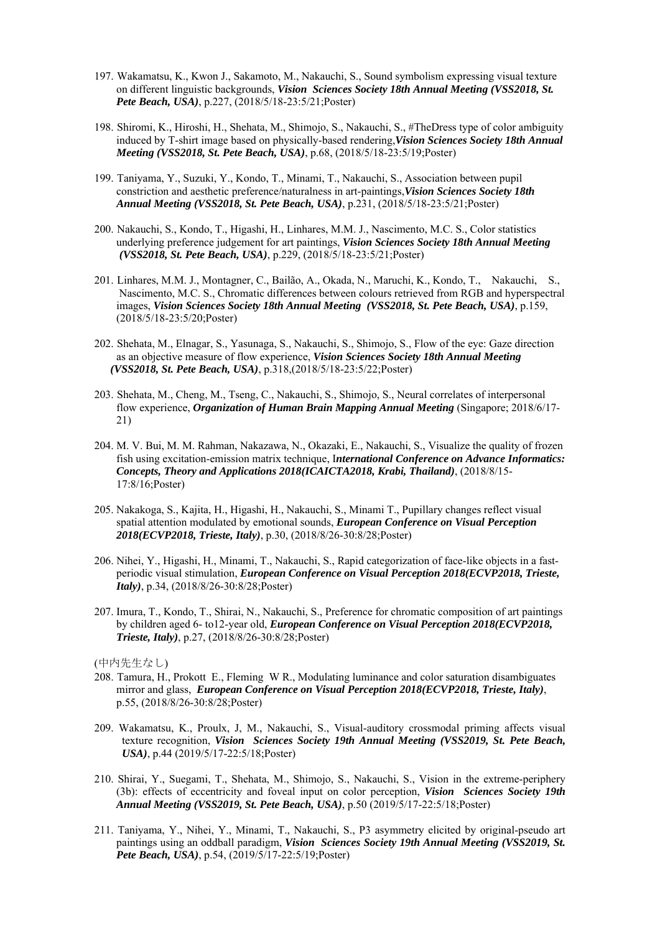- 197. Wakamatsu, K., Kwon J., Sakamoto, M., Nakauchi, S., Sound symbolism expressing visual texture on different linguistic backgrounds, *Vision Sciences Society 18th Annual Meeting (VSS2018, St. Pete Beach, USA)*, p.227, (2018/5/18-23:5/21;Poster)
- 198. Shiromi, K., Hiroshi, H., Shehata, M., Shimojo, S., Nakauchi, S., #TheDress type of color ambiguity induced by T-shirt image based on physically-based rendering,*Vision Sciences Society 18th Annual Meeting (VSS2018, St. Pete Beach, USA)*, p.68, (2018/5/18-23:5/19;Poster)
- 199. Taniyama, Y., Suzuki, Y., Kondo, T., Minami, T., Nakauchi, S., Association between pupil constriction and aesthetic preference/naturalness in art-paintings,*Vision Sciences Society 18th Annual Meeting (VSS2018, St. Pete Beach, USA)*, p.231, (2018/5/18-23:5/21;Poster)
- 200. Nakauchi, S., Kondo, T., Higashi, H., Linhares, M.M. J., Nascimento, M.C. S., Color statistics underlying preference judgement for art paintings, *Vision Sciences Society 18th Annual Meeting (VSS2018, St. Pete Beach, USA)*, p.229, (2018/5/18-23:5/21;Poster)
- 201. Linhares, M.M. J., Montagner, C., Bailão, A., Okada, N., Maruchi, K., Kondo, T., Nakauchi, S., Nascimento, M.C. S., Chromatic differences between colours retrieved from RGB and hyperspectral images, *Vision Sciences Society 18th Annual Meeting (VSS2018, St. Pete Beach, USA)*, p.159, (2018/5/18-23:5/20;Poster)
- 202. Shehata, M., Elnagar, S., Yasunaga, S., Nakauchi, S., Shimojo, S., Flow of the eye: Gaze direction as an objective measure of flow experience, *Vision Sciences Society 18th Annual Meeting (VSS2018, St. Pete Beach, USA)*, p.318,(2018/5/18-23:5/22;Poster)
- 203. Shehata, M., Cheng, M., Tseng, C., Nakauchi, S., Shimojo, S., Neural correlates of interpersonal flow experience, *Organization of Human Brain Mapping Annual Meeting* (Singapore; 2018/6/17- 21)
- 204. M. V. Bui, M. M. Rahman, Nakazawa, N., Okazaki, E., Nakauchi, S., Visualize the quality of frozen fish using excitation-emission matrix technique, I*nternational Conference on Advance Informatics: Concepts, Theory and Applications 2018(ICAICTA2018, Krabi, Thailand)*, (2018/8/15- 17:8/16;Poster)
- 205. Nakakoga, S., Kajita, H., Higashi, H., Nakauchi, S., Minami T., Pupillary changes reflect visual spatial attention modulated by emotional sounds, *European Conference on Visual Perception 2018(ECVP2018, Trieste, Italy)*, p.30, (2018/8/26-30:8/28;Poster)
- 206. Nihei, Y., Higashi, H., Minami, T., Nakauchi, S., Rapid categorization of face-like objects in a fastperiodic visual stimulation, *European Conference on Visual Perception 2018(ECVP2018, Trieste, Italy)*, p.34, (2018/8/26-30:8/28;Poster)
- 207. Imura, T., Kondo, T., Shirai, N., Nakauchi, S., Preference for chromatic composition of art paintings by children aged 6- to12-year old, *European Conference on Visual Perception 2018(ECVP2018, Trieste, Italy)*, p.27, (2018/8/26-30:8/28;Poster)

- 208. Tamura, H., Prokott E., Fleming W R., Modulating luminance and color saturation disambiguates mirror and glass, *European Conference on Visual Perception 2018(ECVP2018, Trieste, Italy)*, p.55, (2018/8/26-30:8/28;Poster)
- 209. Wakamatsu, K., Proulx, J, M., Nakauchi, S., Visual-auditory crossmodal priming affects visual texture recognition, *Vision Sciences Society 19th Annual Meeting (VSS2019, St. Pete Beach, USA)*, p.44 (2019/5/17-22:5/18;Poster)
- 210. Shirai, Y., Suegami, T., Shehata, M., Shimojo, S., Nakauchi, S., Vision in the extreme-periphery (3b): effects of eccentricity and foveal input on color perception, *Vision Sciences Society 19th Annual Meeting (VSS2019, St. Pete Beach, USA)*, p.50 (2019/5/17-22:5/18;Poster)
- 211. Taniyama, Y., Nihei, Y., Minami, T., Nakauchi, S., P3 asymmetry elicited by original-pseudo art paintings using an oddball paradigm, *Vision Sciences Society 19th Annual Meeting (VSS2019, St. Pete Beach, USA)*, p.54, (2019/5/17-22:5/19;Poster)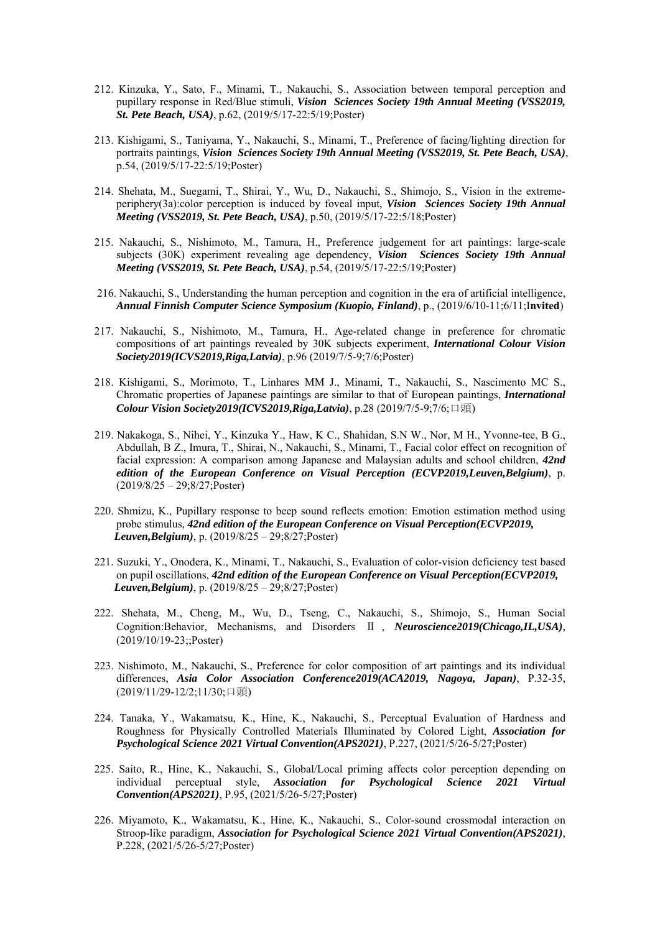- 212. Kinzuka, Y., Sato, F., Minami, T., Nakauchi, S., Association between temporal perception and pupillary response in Red/Blue stimuli, *Vision Sciences Society 19th Annual Meeting (VSS2019, St. Pete Beach, USA)*, p.62, (2019/5/17-22:5/19;Poster)
- 213. Kishigami, S., Taniyama, Y., Nakauchi, S., Minami, T., Preference of facing/lighting direction for portraits paintings, *Vision Sciences Society 19th Annual Meeting (VSS2019, St. Pete Beach, USA)*, p.54, (2019/5/17-22:5/19;Poster)
- 214. Shehata, M., Suegami, T., Shirai, Y., Wu, D., Nakauchi, S., Shimojo, S., Vision in the extremeperiphery(3a):color perception is induced by foveal input, *Vision Sciences Society 19th Annual Meeting (VSS2019, St. Pete Beach, USA)*, p.50, (2019/5/17-22:5/18;Poster)
- 215. Nakauchi, S., Nishimoto, M., Tamura, H., Preference judgement for art paintings: large-scale subjects (30K) experiment revealing age dependency, *Vision Sciences Society 19th Annual Meeting (VSS2019, St. Pete Beach, USA)*, p.54, (2019/5/17-22:5/19;Poster)
- 216. Nakauchi, S., Understanding the human perception and cognition in the era of artificial intelligence, *Annual Finnish Computer Science Symposium (Kuopio, Finland)*, p., (2019/6/10-11;6/11;I**nvited**)
- 217. Nakauchi, S., Nishimoto, M., Tamura, H., Age-related change in preference for chromatic compositions of art paintings revealed by 30K subjects experiment, *International Colour Vision Society2019(ICVS2019,Riga,Latvia)*, p.96 (2019/7/5-9;7/6;Poster)
- 218. Kishigami, S., Morimoto, T., Linhares MM J., Minami, T., Nakauchi, S., Nascimento MC S., Chromatic properties of Japanese paintings are similar to that of European paintings, *International Colour Vision Society2019(ICVS2019,Riga,Latvia)*, p.28 (2019/7/5-9;7/6;口頭)
- 219. Nakakoga, S., Nihei, Y., Kinzuka Y., Haw, K C., Shahidan, S.N W., Nor, M H., Yvonne-tee, B G., Abdullah, B Z., Imura, T., Shirai, N., Nakauchi, S., Minami, T., Facial color effect on recognition of facial expression: A comparison among Japanese and Malaysian adults and school children, *42nd edition of the European Conference on Visual Perception (ECVP2019,Leuven,Belgium)*, p. (2019/8/25 – 29;8/27;Poster)
- 220. Shmizu, K., Pupillary response to beep sound reflects emotion: Emotion estimation method using probe stimulus, *42nd edition of the European Conference on Visual Perception(ECVP2019, Leuven,Belgium)*, p. (2019/8/25 – 29;8/27;Poster)
- 221. Suzuki, Y., Onodera, K., Minami, T., Nakauchi, S., Evaluation of color-vision deficiency test based on pupil oscillations, *42nd edition of the European Conference on Visual Perception(ECVP2019, Leuven,Belgium)*, p. (2019/8/25 – 29;8/27;Poster)
- 222. Shehata, M., Cheng, M., Wu, D., Tseng, C., Nakauchi, S., Shimojo, S., Human Social Cognition:Behavior, Mechanisms, and Disorders Ⅱ , *Neuroscience2019(Chicago,IL,USA)*, (2019/10/19-23;;Poster)
- 223. Nishimoto, M., Nakauchi, S., Preference for color composition of art paintings and its individual differences, *Asia Color Association Conference2019(ACA2019, Nagoya, Japan)*, P.32-35, (2019/11/29-12/2;11/30;口頭)
- 224. Tanaka, Y., Wakamatsu, K., Hine, K., Nakauchi, S., Perceptual Evaluation of Hardness and Roughness for Physically Controlled Materials Illuminated by Colored Light, *Association for Psychological Science 2021 Virtual Convention(APS2021)*, P.227, (2021/5/26-5/27;Poster)
- 225. Saito, R., Hine, K., Nakauchi, S., Global/Local priming affects color perception depending on individual perceptual style, *Association for Psychological Science 2021 Virtual Convention(APS2021)*, P.95, (2021/5/26-5/27;Poster)
- 226. Miyamoto, K., Wakamatsu, K., Hine, K., Nakauchi, S., Color-sound crossmodal interaction on Stroop-like paradigm, *Association for Psychological Science 2021 Virtual Convention(APS2021)*, P.228, (2021/5/26-5/27;Poster)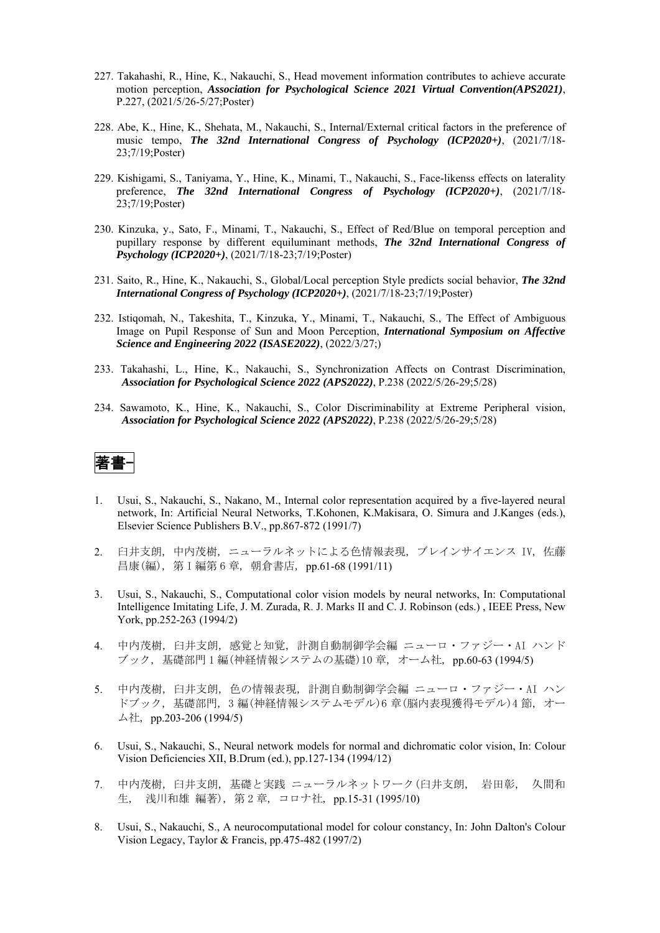- 227. Takahashi, R., Hine, K., Nakauchi, S., Head movement information contributes to achieve accurate motion perception, *Association for Psychological Science 2021 Virtual Convention(APS2021)*, P.227, (2021/5/26-5/27;Poster)
- 228. Abe, K., Hine, K., Shehata, M., Nakauchi, S., Internal/External critical factors in the preference of music tempo, *The 32nd International Congress of Psychology (ICP2020+)*, (2021/7/18- 23;7/19;Poster)
- 229. Kishigami, S., Taniyama, Y., Hine, K., Minami, T., Nakauchi, S., Face-likenss effects on laterality preference, *The 32nd International Congress of Psychology (ICP2020+)*, (2021/7/18- 23;7/19;Poster)
- 230. Kinzuka, y., Sato, F., Minami, T., Nakauchi, S., Effect of Red/Blue on temporal perception and pupillary response by different equiluminant methods, *The 32nd International Congress of Psychology (ICP2020+)*, (2021/7/18-23;7/19;Poster)
- 231. Saito, R., Hine, K., Nakauchi, S., Global/Local perception Style predicts social behavior, *The 32nd International Congress of Psychology (ICP2020+)*, (2021/7/18-23;7/19;Poster)
- 232. Istiqomah, N., Takeshita, T., Kinzuka, Y., Minami, T., Nakauchi, S., The Effect of Ambiguous Image on Pupil Response of Sun and Moon Perception, *International Symposium on Affective Science and Engineering 2022 (ISASE2022)*, (2022/3/27;)
- 233. Takahashi, L., Hine, K., Nakauchi, S., Synchronization Affects on Contrast Discrimination, *Association for Psychological Science 2022 (APS2022)*, P.238 (2022/5/26-29;5/28)
- 234. Sawamoto, K., Hine, K., Nakauchi, S., Color Discriminability at Extreme Peripheral vision, *Association for Psychological Science 2022 (APS2022)*, P.238 (2022/5/26-29;5/28)



- 1. Usui, S., Nakauchi, S., Nakano, M., Internal color representation acquired by a five-layered neural network, In: Artificial Neural Networks, T.Kohonen, K.Makisara, O. Simura and J.Kanges (eds.), Elsevier Science Publishers B.V., pp.867-872 (1991/7)
- 2. 臼井支朗, 中内茂樹, ニューラルネットによる色情報表現, ブレインサイエンス IV, 佐藤 昌康(編), 第 I 編第 6 章, 朝倉書店, pp.61-68 (1991/11)
- 3. Usui, S., Nakauchi, S., Computational color vision models by neural networks, In: Computational Intelligence Imitating Life, J. M. Zurada, R. J. Marks II and C. J. Robinson (eds.) , IEEE Press, New York, pp.252-263 (1994/2)
- 4. 中内茂樹, 臼井支朗, 感覚と知覚, 計測自動制御学会編 ニューロ・ファジー・AI ハンド ブック, 基礎部門 1 編(神経情報システムの基礎)10 章, オーム社, pp.60-63 (1994/5)
- 5. 中内茂樹, 臼井支朗, 色の情報表現, 計測自動制御学会編 ニューロ・ファジー・AI ハン ドブック, 基礎部門, 3 編(神経情報システムモデル)6 章(脳内表現獲得モデル)4 節, オー ム社, pp.203-206 (1994/5)
- 6. Usui, S., Nakauchi, S., Neural network models for normal and dichromatic color vision, In: Colour Vision Deficiencies XII, B.Drum (ed.), pp.127-134 (1994/12)
- 7. 中内茂樹, 臼井支朗, 基礎と実践 ニューラルネットワーク(臼井支朗, 岩田彰, 久間和 生, 浅川和雄 編著), 第 2 章, コロナ社, pp.15-31 (1995/10)
- 8. Usui, S., Nakauchi, S., A neurocomputational model for colour constancy, In: John Dalton's Colour Vision Legacy, Taylor & Francis, pp.475-482 (1997/2)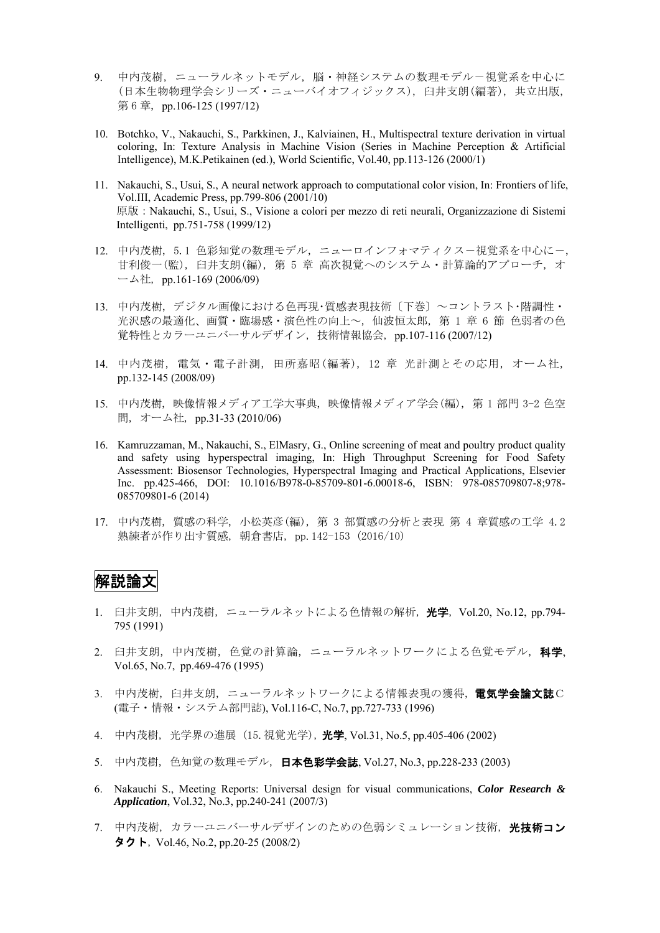- 9. 中内茂樹,ニューラルネットモデル,脳・神経システムの数理モデルー視覚系を中心に (日本生物物理学会シリーズ・ニューバイオフィジックス), 臼井支朗(編著), 共立出版, 第 6 章, pp.106-125 (1997/12)
- 10. Botchko, V., Nakauchi, S., Parkkinen, J., Kalviainen, H., Multispectral texture derivation in virtual coloring, In: Texture Analysis in Machine Vision (Series in Machine Perception & Artificial Intelligence), M.K.Petikainen (ed.), World Scientific, Vol.40, pp.113-126 (2000/1)
- 11. Nakauchi, S., Usui, S., A neural network approach to computational color vision, In: Frontiers of life, Vol.III, Academic Press, pp.799-806 (2001/10) 原版:Nakauchi, S., Usui, S., Visione a colori per mezzo di reti neurali, Organizzazione di Sistemi Intelligenti, pp.751-758 (1999/12)
- 12. 中内茂樹, 5.1 色彩知覚の数理モデル, ニューロインフォマティクスー視覚系を中心にー, 甘利俊一(監), 臼井支朗(編), 第 5 章 高次視覚へのシステム・計算論的アプローチ, オ ーム社, pp.161-169 (2006/09)
- 13. 中内茂樹, デジタル画像における色再現・質感表現技術〔下巻〕~コントラスト・階調性・ 光沢感の最適化、画質・臨場感・演色性の向上~, 仙波恒太郎, 第 1 章 6 節 色弱者の色 覚特性とカラーユニバーサルデザイン, 技術情報協会, pp.107-116 (2007/12)
- 14. 中内茂樹, 電気・電子計測, 田所嘉昭(編著), 12 章 光計測とその応用, オーム社, pp.132-145 (2008/09)
- 15. 中内茂樹, 映像情報メディア工学大事典, 映像情報メディア学会(編), 第 1 部門 3-2 色空 間, オーム社, pp.31-33 (2010/06)
- 16. Kamruzzaman, M., Nakauchi, S., ElMasry, G., Online screening of meat and poultry product quality and safety using hyperspectral imaging, In: High Throughput Screening for Food Safety Assessment: Biosensor Technologies, Hyperspectral Imaging and Practical Applications, Elsevier Inc. pp.425-466, DOI: 10.1016/B978-0-85709-801-6.00018-6, ISBN: 978-085709807-8;978- 085709801-6 (2014)
- 17. 中内茂樹, 質感の科学, 小松英彦(編), 第 3 部質感の分析と表現 第 4 章質感の工学 4.2 熟練者が作り出す質感, 朝倉書店, pp.142-153 (2016/10)

### 解説論文

- 1. 臼井支朗, 中内茂樹, ニューラルネットによる色情報の解析, 光学, Vol.20, No.12, pp.794- 795 (1991)
- 2. 臼井支朗, 中内茂樹, 色覚の計算論, ニューラルネットワークによる色覚モデル, 科学, Vol.65, No.7, pp.469-476 (1995)
- 3. 中内茂樹, 臼井支朗, ニューラルネットワークによる情報表現の獲得, 電気学会論文誌C (電子・情報・システム部門誌), Vol.116-C, No.7, pp.727-733 (1996)
- 4. 中内茂樹, 光学界の進展 (15.視覚光学), 光学, Vol.31, No.5, pp.405-406 (2002)
- 5. 中内茂樹, 色知覚の数理モデル, 日本色彩学会誌, Vol.27, No.3, pp.228-233 (2003)
- 6. Nakauchi S., Meeting Reports: Universal design for visual communications, *Color Research & Application*, Vol.32, No.3, pp.240-241 (2007/3)
- 7. 中内茂樹、カラーユニバーサルデザインのための色弱シミュレーション技術、光技術コン タクト, Vol.46, No.2, pp.20-25 (2008/2)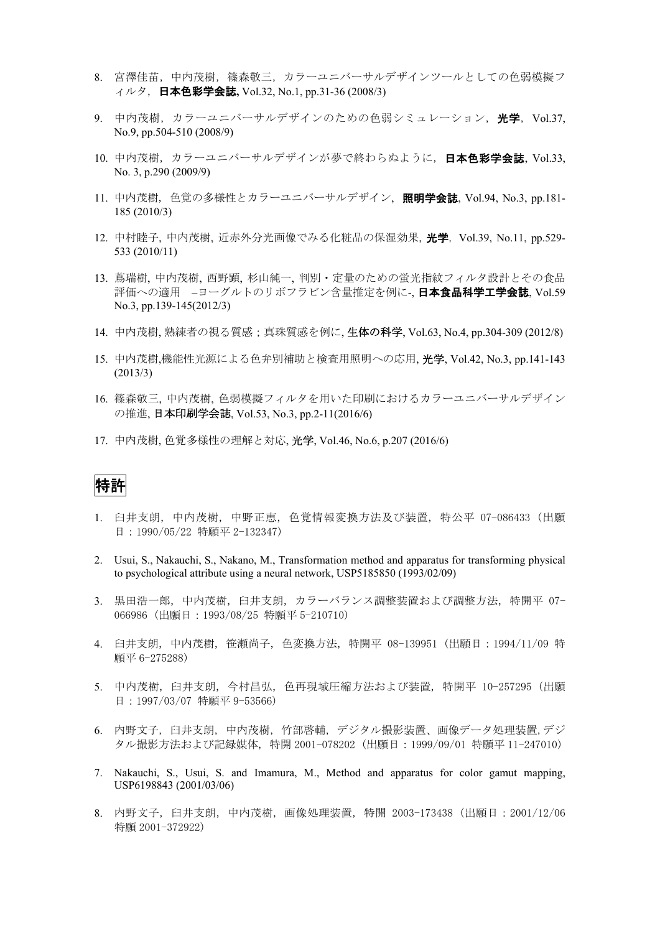- 8. 宮澤佳苗,中内茂樹,篠森敬三,カラーユニバーサルデザインツールとしての色弱模擬フ ィルタ, 日本色彩学会誌**,** Vol.32, No.1, pp.31-36 (2008/3)
- 9. 中内茂樹, カラーユニバーサルデザインのための色弱シミュレーション, 光学, Vol.37, No.9, pp.504-510 (2008/9)
- 10. 中内茂樹, カラーユニバーサルデザインが夢で終わらぬように, 日本色彩学会誌, Vol.33, No. 3, p.290 (2009/9)
- 11. 中内茂樹, 色覚の多様性とカラーユニバーサルデザイン, 照明学会誌, Vol.94, No.3, pp.181- 185 (2010/3)
- 12. 中村睦子, 中内茂樹, 近赤外分光画像でみる化粧品の保湿効果, 光学, Vol.39, No.11, pp.529- 533 (2010/11)
- 13. 蔦瑞樹, 中内茂樹, 西野顕, 杉山純一, 判別・定量のための蛍光指紋フィルタ設計とその食品 評価への適用 –ヨーグルトのリボフラビン含量推定を例に-, **日本食品科学工学会誌**, Vol.59 No.3, pp.139-145(2012/3)
- 14. 中内茂樹, 熟練者の視る質感;真珠質感を例に, 生体の科学, Vol.63, No.4, pp.304-309 (2012/8)
- 15. 中内茂樹,機能性光源による色弁別補助と検査用照明への応用, 光学, Vol.42, No.3, pp.141-143 (2013/3)
- 16. 篠森敬三, 中内茂樹, 色弱模擬フィルタを用いた印刷におけるカラーユニバーサルデザイン の推進, 日本印刷学会誌, Vol.53, No.3, pp.2-11(2016/6)
- 17. 中内茂樹, 色覚多様性の理解と対応, 光学, Vol.46, No.6, p.207 (2016/6)

### 特許

- 1. 臼井支朗, 中内茂樹, 中野正恵, 色覚情報変換方法及び装置, 特公平 07-086433 (出願 日:1990/05/22 特願平 2-132347)
- 2. Usui, S., Nakauchi, S., Nakano, M., Transformation method and apparatus for transforming physical to psychological attribute using a neural network, USP5185850 (1993/02/09)
- 3. 黒田浩一郎, 中内茂樹, 臼井支朗, カラーバランス調整装置および調整方法, 特開平 07- 066986 (出願日:1993/08/25 特願平 5-210710)
- 4. 臼井支朗, 中内茂樹, 笹瀬尚子, 色変換方法, 特開平 08-139951 (出願日:1994/11/09 特 願平 6-275288)
- 5. 中内茂樹, 臼井支朗, 今村昌弘, 色再現域圧縮方法および装置, 特開平 10-257295 (出願 日:1997/03/07 特願平 9-53566)
- 6. 内野文子, 臼井支朗, 中内茂樹, 竹部啓輔, デジタル撮影装置、画像データ処理装置,デジ タル撮影方法および記録媒体, 特開 2001-078202 (出願日:1999/09/01 特願平 11-247010)
- 7. Nakauchi, S., Usui, S. and Imamura, M., Method and apparatus for color gamut mapping, USP6198843 (2001/03/06)
- 8. 内野文子, 臼井支朗, 中内茂樹, 画像処理装置, 特開 2003-173438 (出願日:2001/12/06 特願 2001-372922)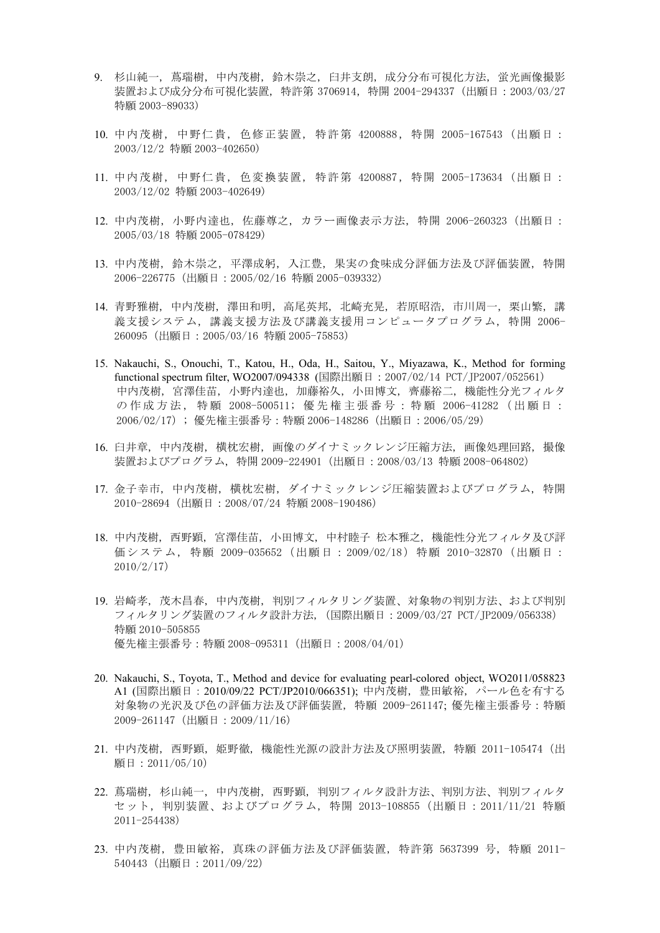- 9. 杉山純一, 蔦瑞樹, 中内茂樹, 鈴木崇之, 臼井支朗, 成分分布可視化方法, 蛍光画像撮影 装置および成分分布可視化装置, 特許第 3706914,特開 2004-294337 (出願日:2003/03/27 特願 2003-89033)
- 10. 中内茂樹 , 中野仁貴 , 色修正装置 , 特許第 4200888,特開 2005-167543 (出願日: 2003/12/2 特願 2003-402650)
- 11. 中内茂樹 , 中野仁貴 , 色変換装置 , 特許第 4200887,特開 2005-173634 (出願日: 2003/12/02 特願 2003-402649)
- 12. 中内茂樹, 小野内達也, 佐藤尊之, カラー画像表示方法, 特開 2006-260323(出願日: 2005/03/18 特願 2005-078429)
- 13. 中内茂樹, 鈴木崇之, 平澤成躬, 入江豊, 果実の食味成分評価方法及び評価装置, 特開 2006-226775(出願日:2005/02/16 特願 2005-039332)
- 14. 青野雅樹, 中内茂樹, 澤田和明, 高尾英邦, 北崎充晃, 若原昭浩, 市川周一, 栗山繁, 講 義支援システム, 講義支援方法及び講義支援用コンピュータプログラム, 特開 2006- 260095(出願日:2005/03/16 特願 2005-75853)
- 15. Nakauchi, S., Onouchi, T., Katou, H., Oda, H., Saitou, Y., Miyazawa, K., Method for forming functional spectrum filter, WO2007/094338 (国際出願日:2007/02/14 PCT/JP2007/052561) 中内茂樹, 宮澤佳苗, 小野内達也, 加藤裕久, 小田博文, 齊藤裕二, 機能性分光フィルタ の 作 成 方 法 , 特 願 2008-500511; 優 先 権 主 張 番 号 : 特 願 2006-41282 ( 出 願 日 : 2006/02/17); 優先権主張番号:特願 2006-148286(出願日:2006/05/29)
- 16. 臼井章, 中内茂樹, 横枕宏樹, 画像のダイナミックレンジ圧縮方法, 画像処理回路, 撮像 装置およびプログラム, 特開 2009-224901(出願日:2008/03/13 特願 2008-064802)
- 17. 金子幸市, 中内茂樹, 横枕宏樹, ダイナミックレンジ圧縮装置およびプログラム, 特開 2010-28694(出願日:2008/07/24 特願 2008-190486)
- 18. 中内茂樹, 西野顕, 宮澤佳苗, 小田博文, 中村睦子 松本雅之, 機能性分光フィルタ及び評 価システム , 特願 2009-035652(出願日: 2009/02/18)特願 2010-32870(出願日: 2010/2/17)
- 19. 岩崎孝, 茂木昌春, 中内茂樹, 判別フィルタリング装置、対象物の判別方法、および判別 フィルタリング装置のフィルタ設計方法,(国際出願日:2009/03/27 PCT/JP2009/056338) 特願 2010-505855 優先権主張番号:特願 2008-095311(出願日:2008/04/01)
- 20. Nakauchi, S., Toyota, T., Method and device for evaluating pearl-colored object, WO2011/058823 A1 (国際出願日:2010/09/22 PCT/JP2010/066351); 中内茂樹, 豊田敏裕, パール色を有する 対象物の光沢及び色の評価方法及び評価装置, 特願 2009-261147; 優先権主張番号:特願 2009-261147(出願日:2009/11/16)
- 21. 中内茂樹, 西野顕, 姫野徹, 機能性光源の設計方法及び照明装置, 特願 2011-105474(出 願日:2011/05/10)
- 22. 蔦瑞樹, 杉山純一, 中内茂樹, 西野顕, 判別フィルタ設計方法、判別方法、判別フィルタ セット,判別装置、およびプログラム, 特開 2013-108855(出願日:2011/11/21 特願 2011-254438)
- 23. 中内茂樹, 豊田敏裕, 真珠の評価方法及び評価装置, 特許第 5637399 号, 特願 2011- 540443(出願日:2011/09/22)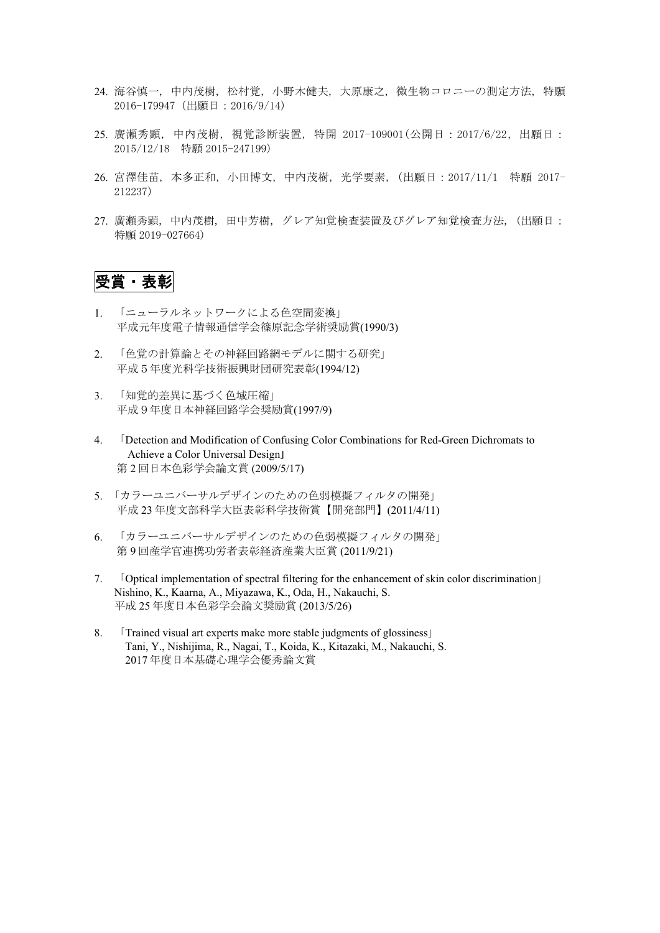- 24. 海谷慎一, 中内茂樹, 松村覚, 小野木健夫, 大原康之, 微生物コロニーの測定方法, 特願 2016-179947(出願日:2016/9/14)
- 25. 廣瀬秀顕, 中内茂樹, 視覚診断装置, 特開 2017-109001(公開日:2017/6/22,出願日: 2015/12/18 特願 2015-247199)
- 26. 宮澤佳苗, 本多正和, 小田博文, 中内茂樹, 光学要素,(出願日:2017/11/1 特願 2017- 212237)
- 27. 廣瀬秀顕, 中内茂樹, 田中芳樹, グレア知覚検査装置及びグレア知覚検査方法, (出願日: 特願 2019-027664)

## 受賞・表彰

- 1. 「ニューラルネットワークによる色空間変換」 平成元年度電子情報通信学会篠原記念学術奨励賞(1990/3)
- 2. 「色覚の計算論とその神経回路網モデルに関する研究」 平成5年度光科学技術振興財団研究表彰(1994/12)
- 3. 「知覚的差異に基づく色域圧縮」 平成9年度日本神経回路学会奨励賞(1997/9)
- 4. 「Detection and Modification of Confusing Color Combinations for Red-Green Dichromats to Achieve a Color Universal Design」 第 2 回日本色彩学会論文賞 (2009/5/17)
- 5. 「カラーユニバーサルデザインのための色弱模擬フィルタの開発」 平成 23 年度文部科学大臣表彰科学技術賞【開発部門】(2011/4/11)
- 6. 「カラーユニバーサルデザインのための色弱模擬フィルタの開発」 第 9 回産学官連携功労者表彰経済産業大臣賞 (2011/9/21)
- 7. 「Optical implementation of spectral filtering for the enhancement of skin color discrimination」 Nishino, K., Kaarna, A., Miyazawa, K., Oda, H., Nakauchi, S. 平成 25 年度日本色彩学会論文奨励賞 (2013/5/26)
- 8. 「Trained visual art experts make more stable judgments of glossiness」 Tani, Y., Nishijima, R., Nagai, T., Koida, K., Kitazaki, M., Nakauchi, S. 2017 年度日本基礎心理学会優秀論文賞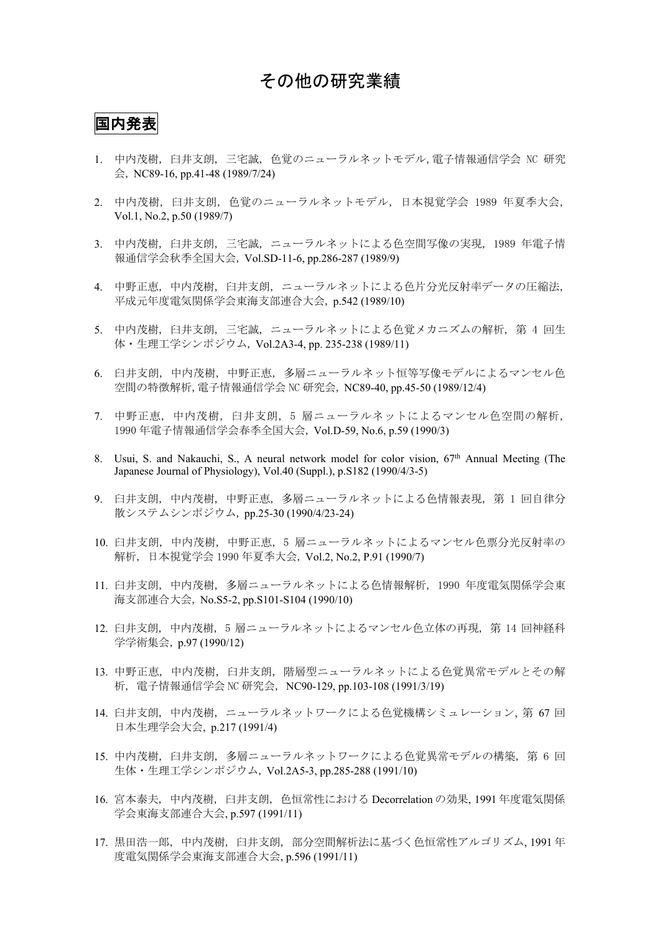### その他の研究業績

#### 国内発表

- 1. 中内茂樹, 臼井支朗, 三宅誠, 色覚のニューラルネットモデル,電子情報通信学会 NC 研究 会, NC89-16, pp.41-48 (1989/7/24)
- 2. 中内茂樹, 臼井支朗, 色覚のニューラルネットモデル, 日本視覚学会 1989 年夏季大会, Vol.1, No.2, p.50 (1989/7)
- 3. 中内茂樹, 臼井支朗, 三宅誠, ニューラルネットによる色空間写像の実現, 1989 年電子情 報通信学会秋季全国大会, Vol.SD-11-6, pp.286-287 (1989/9)
- 4. 中野正恵, 中内茂樹, 臼井支朗, ニューラルネットによる色片分光反射率データの圧縮法, 平成元年度電気関係学会東海支部連合大会, p.542 (1989/10)
- 5. 中内茂樹, 臼井支朗, 三宅誠, ニューラルネットによる色覚メカニズムの解析, 第 4 回生 体・生理工学シンポジウム, Vol.2A3-4, pp. 235-238 (1989/11)
- 6. 臼井支朗, 中内茂樹, 中野正恵, 多層ニューラルネット恒等写像モデルによるマンセル色 空間の特徴解析,電子情報通信学会 NC 研究会, NC89-40, pp.45-50 (1989/12/4)
- 7. 中野正恵, 中内茂樹, 臼井支朗, 5 層ニューラルネットによるマンセル色空間の解析, 1990 年電子情報通信学会春季全国大会, Vol.D-59, No.6, p.59 (1990/3)
- 8. Usui, S. and Nakauchi, S., A neural network model for color vision,  $67<sup>th</sup>$  Annual Meeting (The Japanese Journal of Physiology), Vol.40 (Suppl.), p.S182 (1990/4/3-5)
- 9. 臼井支朗, 中内茂樹, 中野正恵, 多層ニューラルネットによる色情報表現, 第 1 回自律分 散システムシンポジウム, pp.25-30 (1990/4/23-24)
- 10. 臼井支朗, 中内茂樹, 中野正恵, 5 層ニューラルネットによるマンセル色票分光反射率の 解析, 日本視覚学会 1990 年夏季大会, Vol.2, No.2, P.91 (1990/7)
- 11. 臼井支朗, 中内茂樹, 多層ニューラルネットによる色情報解析, 1990 年度電気関係学会東 海支部連合大会, No.S5-2, pp.S101-S104 (1990/10)
- 12. 臼井支朗, 中内茂樹, 5 層ニューラルネットによるマンセル色立体の再現, 第 14 回神経科 学学術集会, p.97 (1990/12)
- 13. 中野正恵, 中内茂樹, 臼井支朗, 階層型ニューラルネットによる色覚異常モデルとその解 析, 電子情報通信学会 NC 研究会, NC90-129, pp.103-108 (1991/3/19)
- 14. 臼井支朗, 中内茂樹, ニューラルネットワークによる色覚機構シミュレーション, 第 67 回 日本生理学会大会, p.217 (1991/4)
- 15. 中内茂樹, 臼井支朗, 多層ニューラルネットワークによる色覚異常モデルの構築, 第 6 回 生体・生理工学シンポジウム, Vol.2A5-3, pp.285-288 (1991/10)
- 16. 宮本泰夫, 中内茂樹, 臼井支朗, 色恒常性における Decorrelation の効果, 1991 年度電気関係 学会東海支部連合大会, p.597 (1991/11)
- 17. 黒田浩一郎, 中内茂樹, 臼井支朗, 部分空間解析法に基づく色恒常性アルゴリズム, 1991 年 度電気関係学会東海支部連合大会, p.596 (1991/11)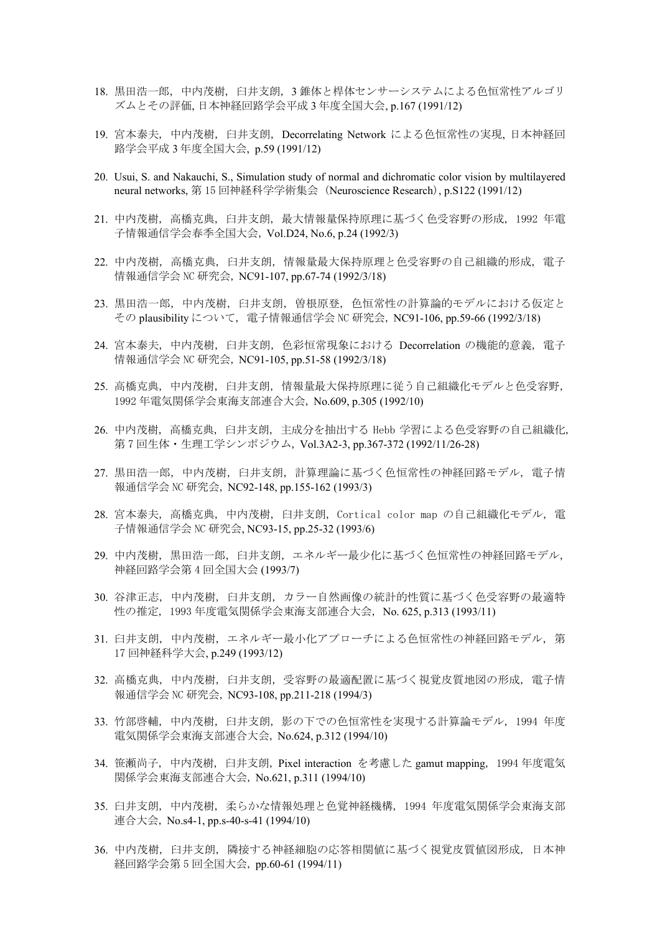- 18. 黒田浩一郎, 中内茂樹, 臼井支朗, 3 錐体と桿体センサーシステムによる色恒常性アルゴリ ズムとその評価, 日本神経回路学会平成 3 年度全国大会, p.167 (1991/12)
- 19. 宮本泰夫, 中内茂樹, 臼井支朗, Decorrelating Network による色恒常性の実現, 日本神経回 路学会平成 3 年度全国大会, p.59 (1991/12)
- 20. Usui, S. and Nakauchi, S., Simulation study of normal and dichromatic color vision by multilayered neural networks, 第 15 回神経科学学術集会 (Neuroscience Research), p.S122 (1991/12)
- 21. 中内茂樹, 高橋克典, 臼井支朗, 最大情報量保持原理に基づく色受容野の形成, 1992 年電 子情報通信学会春季全国大会, Vol.D24, No.6, p.24 (1992/3)
- 22. 中内茂樹, 高橋克典, 臼井支朗, 情報量最大保持原理と色受容野の自己組織的形成, 電子 情報通信学会 NC 研究会, NC91-107, pp.67-74 (1992/3/18)
- 23. 黒田浩一郎, 中内茂樹, 臼井支朗, 曽根原登, 色恒常性の計算論的モデルにおける仮定と その plausibility について, 電子情報通信学会 NC 研究会, NC91-106, pp.59-66 (1992/3/18)
- 24. 宮本泰夫, 中内茂樹, 臼井支朗, 色彩恒常現象における Decorrelation の機能的意義, 電子 情報通信学会 NC 研究会, NC91-105, pp.51-58 (1992/3/18)
- 25. 高橋克典, 中内茂樹, 臼井支朗, 情報量最大保持原理に従う自己組織化モデルと色受容野, 1992 年電気関係学会東海支部連合大会, No.609, p.305 (1992/10)
- 26. 中内茂樹, 高橋克典, 臼井支朗, 主成分を抽出する Hebb 学習による色受容野の自己組織化, 第 7 回生体・生理工学シンポジウム, Vol.3A2-3, pp.367-372 (1992/11/26-28)
- 27. 黒田浩一郎, 中内茂樹, 臼井支朗, 計算理論に基づく色恒常性の神経回路モデル, 電子情 報通信学会 NC 研究会, NC92-148, pp.155-162 (1993/3)
- 28. 宮本泰夫, 高橋克典, 中内茂樹, 臼井支朗, Cortical color map の自己組織化モデル, 電 子情報通信学会 NC 研究会, NC93-15, pp.25-32 (1993/6)
- 29. 中内茂樹, 黒田浩一郎, 臼井支朗, エネルギー最少化に基づく色恒常性の神経回路モデル, 神経回路学会第 4 回全国大会 (1993/7)
- 30. 谷津正志, 中内茂樹, 臼井支朗, カラー自然画像の統計的性質に基づく色受容野の最適特 性の推定, 1993 年度電気関係学会東海支部連合大会, No. 625, p.313 (1993/11)
- 31. 臼井支朗, 中内茂樹, エネルギー最小化アプローチによる色恒常性の神経回路モデル, 第 17 回神経科学大会, p.249 (1993/12)
- 32. 高橋克典, 中内茂樹, 臼井支朗, 受容野の最適配置に基づく視覚皮質地図の形成, 電子情 報通信学会 NC 研究会, NC93-108, pp.211-218 (1994/3)
- 33. 竹部啓輔, 中内茂樹, 臼井支朗, 影の下での色恒常性を実現する計算論モデル, 1994 年度 電気関係学会東海支部連合大会, No.624, p.312 (1994/10)
- 34. 笹瀬尚子, 中内茂樹, 臼井支朗, Pixel interaction を考慮した gamut mapping, 1994 年度電気 関係学会東海支部連合大会, No.621, p.311 (1994/10)
- 35. 臼井支朗, 中内茂樹, 柔らかな情報処理と色覚神経機構, 1994 年度電気関係学会東海支部 連合大会, No.s4-1, pp.s-40-s-41 (1994/10)
- 36. 中内茂樹, 臼井支朗, 隣接する神経細胞の応答相関値に基づく視覚皮質値図形成, 日本神 経回路学会第 5 回全国大会, pp.60-61 (1994/11)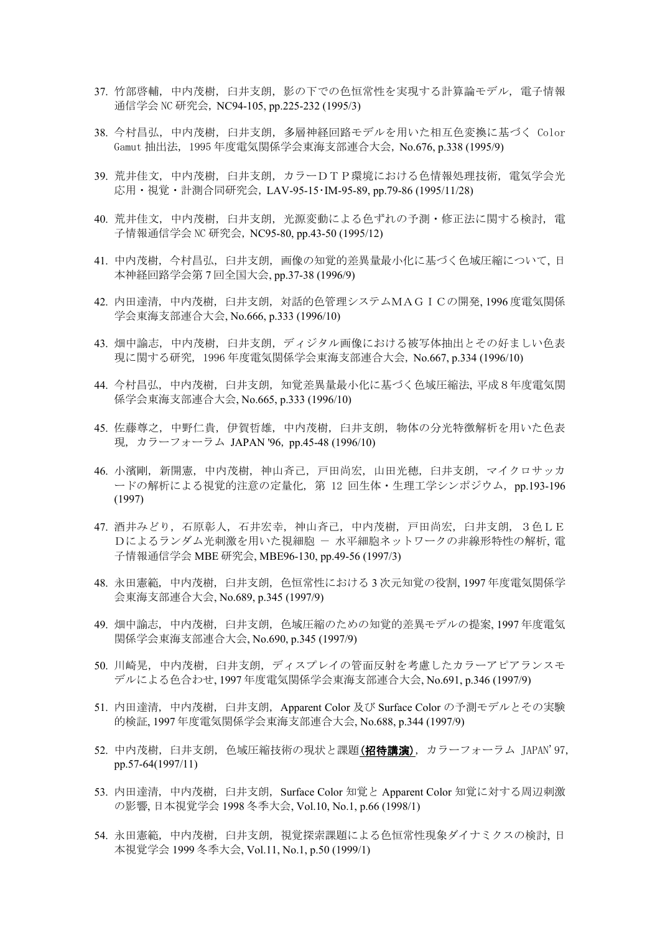- 37. 竹部啓輔, 中内茂樹, 臼井支朗, 影の下での色恒常性を実現する計算論モデル, 電子情報 通信学会 NC 研究会, NC94-105, pp.225-232 (1995/3)
- 38. 今村昌弘, 中内茂樹, 臼井支朗, 多層神経回路モデルを用いた相互色変換に基づく Color Gamut 抽出法, 1995 年度電気関係学会東海支部連合大会, No.676, p.338 (1995/9)
- 39. 荒井佳文, 中内茂樹, 臼井支朗, カラーDTP環境における色情報処理技術, 電気学会光 応用・視覚・計測合同研究会, LAV-95-15・IM-95-89, pp.79-86 (1995/11/28)
- 40. 荒井佳文, 中内茂樹, 臼井支朗, 光源変動による色ずれの予測・修正法に関する検討, 電 子情報通信学会 NC 研究会, NC95-80, pp.43-50 (1995/12)
- 41. 中内茂樹, 今村昌弘, 臼井支朗, 画像の知覚的差異量最小化に基づく色域圧縮について, 日 本神経回路学会第 7 回全国大会, pp.37-38 (1996/9)
- 42. 内田達清, 中内茂樹, 臼井支朗, 対話的色管理システムMAGICの開発, 1996 度電気関係 学会東海支部連合大会, No.666, p.333 (1996/10)
- 43. 畑中諭志, 中内茂樹, 臼井支朗, ディジタル画像における被写体抽出とその好ましい色表 現に関する研究, 1996 年度電気関係学会東海支部連合大会, No.667, p.334 (1996/10)
- 44. 今村昌弘, 中内茂樹, 臼井支朗, 知覚差異量最小化に基づく色域圧縮法, 平成8年度電気関 係学会東海支部連合大会, No.665, p.333 (1996/10)
- 45. 佐藤尊之, 中野仁貴, 伊賀哲雄, 中内茂樹, 臼井支朗, 物体の分光特徴解析を用いた色表 現, カラーフォーラム JAPAN '96, pp.45-48 (1996/10)
- 46. 小濱剛, 新開憲, 中内茂樹, 神山斉己, 戸田尚宏, 山田光穂, 臼井支朗, マイクロサッカ ードの解析による視覚的注意の定量化, 第 12 回生体・生理工学シンポジウム, pp.193-196 (1997)
- 47. 酒井みどり, 石原彰人, 石井宏幸, 神山斉己, 中内茂樹, 戸田尚宏, 臼井支朗, 3色LE Dによるランダム光刺激を用いた視細胞 - 水平細胞ネットワークの非線形特性の解析, 電 子情報通信学会 MBE 研究会, MBE96-130, pp.49-56 (1997/3)
- 48. 永田憲範, 中内茂樹, 臼井支朗, 色恒常性における 3 次元知覚の役割, 1997 年度電気関係学 会東海支部連合大会, No.689, p.345 (1997/9)
- 49. 畑中諭志, 中内茂樹, 臼井支朗, 色域圧縮のための知覚的差異モデルの提案, 1997 年度電気 関係学会東海支部連合大会, No.690, p.345 (1997/9)
- 50. 川崎晃, 中内茂樹, 臼井支朗, ディスプレイの管面反射を考慮したカラーアピアランスモ デルによる色合わせ, 1997 年度電気関係学会東海支部連合大会, No.691, p.346 (1997/9)
- 51. 内田達清, 中内茂樹, 臼井支朗, Apparent Color 及び Surface Color の予測モデルとその実験 的検証, 1997 年度電気関係学会東海支部連合大会, No.688, p.344 (1997/9)
- 52. 中内茂樹, 臼井支朗, 色域圧縮技術の現状と課題(招待講演), カラーフォーラム JAPAN'97, pp.57-64(1997/11)
- 53. 内田達清, 中内茂樹, 臼井支朗, Surface Color 知覚と Apparent Color 知覚に対する周辺刺激 の影響, 日本視覚学会 1998 冬季大会, Vol.10, No.1, p.66 (1998/1)
- 54. 永田憲範, 中内茂樹, 臼井支朗, 視覚探索課題による色恒常性現象ダイナミクスの検討, 日 本視覚学会 1999 冬季大会, Vol.11, No.1, p.50 (1999/1)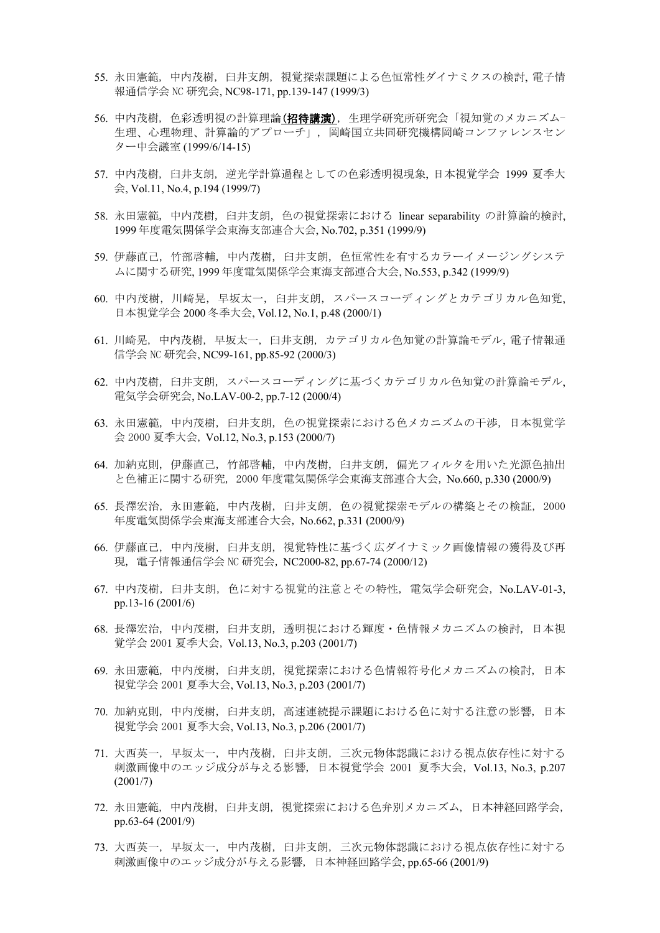- 55. 永田憲範, 中内茂樹, 臼井支朗, 視覚探索課題による色恒常性ダイナミクスの検討, 電子情 報通信学会 NC 研究会, NC98-171, pp.139-147 (1999/3)
- 56. 中内茂樹, 色彩透明視の計算理論(招待講演), 生理学研究所研究会「視知覚のメカニズム-生理、心理物理、計算論的アプローチ」, 岡崎国立共同研究機構岡崎コンファレンスセン ター中会議室 (1999/6/14-15)
- 57. 中内茂樹, 臼井支朗, 逆光学計算過程としての色彩透明視現象, 日本視覚学会 1999 夏季大 会, Vol.11, No.4, p.194 (1999/7)
- 58. 永田憲範, 中内茂樹, 臼井支朗, 色の視覚探索における linear separability の計算論的検討, 1999 年度電気関係学会東海支部連合大会, No.702, p.351 (1999/9)
- 59. 伊藤直己, 竹部啓輔, 中内茂樹, 臼井支朗, 色恒常性を有するカラーイメージングシステ ムに関する研究, 1999 年度電気関係学会東海支部連合大会, No.553, p.342 (1999/9)
- 60. 中内茂樹, 川崎晃, 早坂太一, 臼井支朗, スパースコーディングとカテゴリカル色知覚, 日本視覚学会 2000 冬季大会, Vol.12, No.1, p.48 (2000/1)
- 61. 川崎晃, 中内茂樹, 早坂太一, 臼井支朗, カテゴリカル色知覚の計算論モデル, 電子情報通 信学会 NC 研究会, NC99-161, pp.85-92 (2000/3)
- 62. 中内茂樹, 臼井支朗, スパースコーディングに基づくカテゴリカル色知覚の計算論モデル, 電気学会研究会, No.LAV-00-2, pp.7-12 (2000/4)
- 63. 永田憲範, 中内茂樹, 臼井支朗, 色の視覚探索における色メカニズムの干渉, 日本視覚学 会 2000 夏季大会, Vol.12, No.3, p.153 (2000/7)
- 64. 加納克則, 伊藤直己, 竹部啓輔, 中内茂樹, 臼井支朗, 偏光フィルタを用いた光源色抽出 と色補正に関する研究, 2000 年度電気関係学会東海支部連合大会, No.660, p.330 (2000/9)
- 65. 長澤宏治, 永田憲範, 中内茂樹, 臼井支朗, 色の視覚探索モデルの構築とその検証, 2000 年度電気関係学会東海支部連合大会, No.662, p.331 (2000/9)
- 66. 伊藤直己, 中内茂樹, 臼井支朗, 視覚特性に基づく広ダイナミック画像情報の獲得及び再 現, 電子情報通信学会 NC 研究会, NC2000-82, pp.67-74 (2000/12)
- 67. 中内茂樹, 臼井支朗, 色に対する視覚的注意とその特性, 電気学会研究会, No.LAV-01-3, pp.13-16 (2001/6)
- 68. 長澤宏治, 中内茂樹, 臼井支朗, 透明視における輝度・色情報メカニズムの検討, 日本視 覚学会 2001 夏季大会, Vol.13, No.3, p.203 (2001/7)
- 69. 永田憲範, 中内茂樹, 臼井支朗, 視覚探索における色情報符号化メカニズムの検討, 日本 視覚学会 2001 夏季大会, Vol.13, No.3, p.203 (2001/7)
- 70. 加納克則, 中内茂樹, 臼井支朗, 高速連続提示課題における色に対する注意の影響, 日本 視覚学会 2001 夏季大会, Vol.13, No.3, p.206 (2001/7)
- 71. 大西英一, 早坂太一, 中内茂樹, 臼井支朗, 三次元物体認識における視点依存性に対する 刺激画像中のエッジ成分が与える影響, 日本視覚学会 2001 夏季大会, Vol.13, No.3, p.207 (2001/7)
- 72. 永田憲範, 中内茂樹, 臼井支朗, 視覚探索における色弁別メカニズム, 日本神経回路学会, pp.63-64 (2001/9)
- 73. 大西英一, 早坂太一, 中内茂樹, 臼井支朗, 三次元物体認識における視点依存性に対する 刺激画像中のエッジ成分が与える影響, 日本神経回路学会, pp.65-66 (2001/9)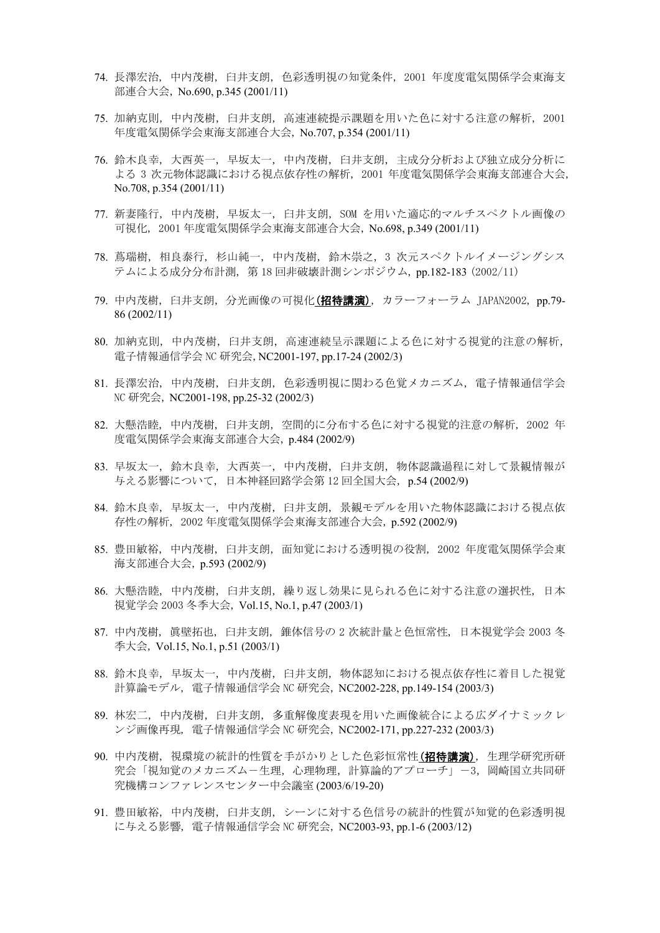- 74. 長澤宏治, 中内茂樹, 臼井支朗, 色彩透明視の知覚条件, 2001 年度度電気関係学会東海支 部連合大会, No.690, p.345 (2001/11)
- 75. 加納克則, 中内茂樹, 臼井支朗, 高速連続提示課題を用いた色に対する注意の解析, 2001 年度電気関係学会東海支部連合大会, No.707, p.354 (2001/11)
- 76. 鈴木良幸, 大西英一, 早坂太一, 中内茂樹, 臼井支朗, 主成分分析および独立成分分析に よる 3 次元物体認識における視点依存性の解析, 2001 年度電気関係学会東海支部連合大会, No.708, p.354 (2001/11)
- 77. 新妻隆行, 中内茂樹, 早坂太一, 臼井支朗, SOM を用いた適応的マルチスペクトル画像の 可視化, 2001 年度電気関係学会東海支部連合大会, No.698, p.349 (2001/11)
- 78. 蔦瑞樹, 相良泰行, 杉山純一, 中内茂樹, 鈴木崇之, 3 次元スペクトルイメージングシス テムによる成分分布計測, 第 18 回非破壊計測シンポジウム, pp.182-183 (2002/11)
- 79. 中内茂樹, 臼井支朗, 分光画像の可視化(招待講演), カラーフォーラム JAPAN2002, pp.79- 86 (2002/11)
- 80. 加納克則, 中内茂樹, 臼井支朗, 高速連続呈示課題による色に対する視覚的注意の解析, 電子情報通信学会 NC 研究会,NC2001-197, pp.17-24 (2002/3)
- 81. 長澤宏治, 中内茂樹, 臼井支朗, 色彩透明視に関わる色覚メカニズム, 電子情報通信学会 NC 研究会, NC2001-198, pp.25-32 (2002/3)
- 82. 大懸浩睦, 中内茂樹, 臼井支朗, 空間的に分布する色に対する視覚的注意の解析, 2002 年 度電気関係学会東海支部連合大会, p.484 (2002/9)
- 83. 早坂太一, 鈴木良幸, 大西英一, 中内茂樹, 臼井支朗, 物体認識過程に対して景観情報が 与える影響について, 日本神経回路学会第 12 回全国大会, p.54 (2002/9)
- 84. 鈴木良幸, 早坂太一, 中内茂樹, 臼井支朗, 景観モデルを用いた物体認識における視点依 存性の解析, 2002 年度電気関係学会東海支部連合大会, p.592 (2002/9)
- 85. 豊田敏裕, 中内茂樹, 臼井支朗, 面知覚における透明視の役割, 2002 年度電気関係学会東 海支部連合大会, p.593 (2002/9)
- 86. 大懸浩睦, 中内茂樹, 臼井支朗, 繰り返し効果に見られる色に対する注意の選択性, 日本 視覚学会 2003 冬季大会, Vol.15, No.1, p.47 (2003/1)
- 87. 中内茂樹, 眞壁拓也, 臼井支朗, 錐体信号の 2 次統計量と色恒常性, 日本視覚学会 2003 冬 季大会, Vol.15, No.1, p.51 (2003/1)
- 88. 鈴木良幸, 早坂太一, 中内茂樹, 臼井支朗, 物体認知における視点依存性に着目した視覚 計算論モデル, 電子情報通信学会 NC 研究会, NC2002-228, pp.149-154 (2003/3)
- 89. 林宏二, 中内茂樹, 臼井支朗, 多重解像度表現を用いた画像統合による広ダイナミックレ ンジ画像再現, 電子情報通信学会 NC 研究会, NC2002-171, pp.227-232 (2003/3)
- 90. 中内茂樹, 視環境の統計的性質を手がかりとした色彩恒常性(招待講演), 生理学研究所研 究会「視知覚のメカニズムー生理,心理物理,計算論的アプローチ」ー3,岡崎国立共同研 究機構コンファレンスセンター中会議室 (2003/6/19-20)
- 91. 豊田敏裕, 中内茂樹, 臼井支朗, シーンに対する色信号の統計的性質が知覚的色彩透明視 に与える影響, 電子情報通信学会 NC 研究会, NC2003-93, pp.1-6 (2003/12)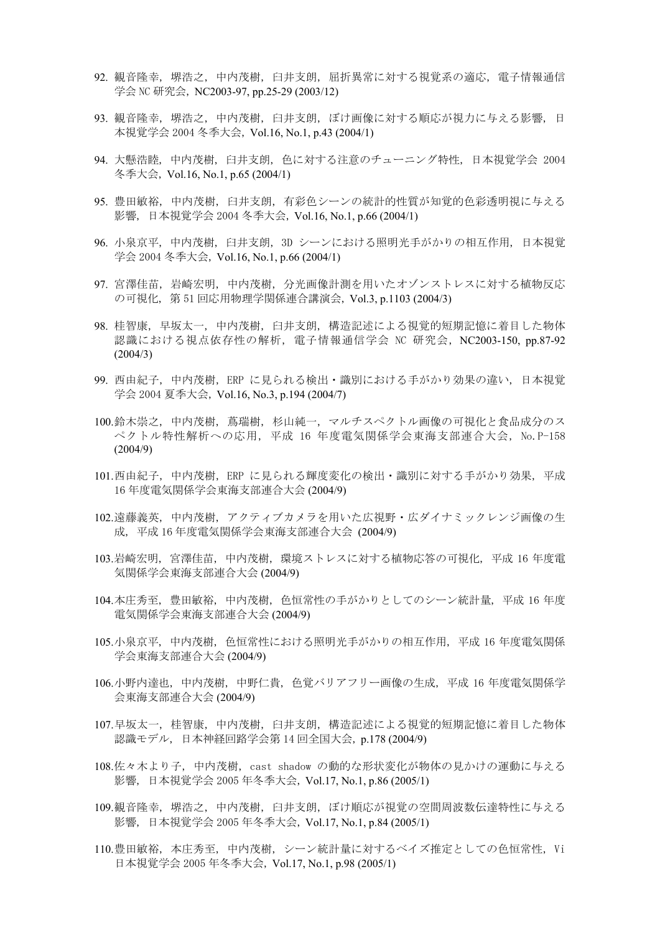- 92. 観音隆幸, 堺浩之, 中内茂樹, 臼井支朗, 屈折異常に対する視覚系の適応, 電子情報通信 学会 NC 研究会, NC2003-97, pp.25-29 (2003/12)
- 93. 観音隆幸, 堺浩之, 中内茂樹, 臼井支朗, ぼけ画像に対する順応が視力に与える影響, 日 本視覚学会 2004 冬季大会, Vol.16, No.1, p.43 (2004/1)
- 94. 大懸浩睦, 中内茂樹, 臼井支朗, 色に対する注意のチューニング特性, 日本視覚学会 2004 冬季大会, Vol.16, No.1, p.65 (2004/1)
- 95. 豊田敏裕, 中内茂樹, 臼井支朗, 有彩色シーンの統計的性質が知覚的色彩透明視に与える 影響, 日本視覚学会 2004 冬季大会, Vol.16, No.1, p.66 (2004/1)
- 96. 小泉京平, 中内茂樹, 臼井支朗, 3D シーンにおける照明光手がかりの相互作用, 日本視覚 学会 2004 冬季大会, Vol.16, No.1, p.66 (2004/1)
- 97. 宮澤佳苗, 岩崎宏明, 中内茂樹, 分光画像計測を用いたオゾンストレスに対する植物反応 の可視化, 第 51 回応用物理学関係連合講演会, Vol.3, p.1103 (2004/3)
- 98. 桂智康, 早坂太一, 中内茂樹, 臼井支朗, 構造記述による視覚的短期記憶に着目した物体 認識における視点依存性の解析, 電子情報通信学会 NC 研究会, NC2003-150, pp.87-92 (2004/3)
- 99. 西由紀子, 中内茂樹, ERP に見られる検出・識別における手がかり効果の違い, 日本視覚 学会 2004 夏季大会, Vol.16, No.3, p.194 (2004/7)
- 100.鈴木崇之, 中内茂樹, 蔦瑞樹, 杉山純一, マルチスペクトル画像の可視化と食品成分のス ペクトル特性解析への応用, 平成 16 年度電気関係学会東海支部連合大会, No.P-158 (2004/9)
- 101.西由紀子, 中内茂樹, ERP に見られる輝度変化の検出・識別に対する手がかり効果, 平成 16 年度電気関係学会東海支部連合大会 (2004/9)
- 102.遠藤義英, 中内茂樹, アクティブカメラを用いた広視野・広ダイナミックレンジ画像の生 成, 平成 16 年度電気関係学会東海支部連合大会 (2004/9)
- 103.岩崎宏明, 宮澤佳苗, 中内茂樹, 環境ストレスに対する植物応答の可視化, 平成 16 年度電 気関係学会東海支部連合大会 (2004/9)
- 104.本庄秀至, 豊田敏裕, 中内茂樹, 色恒常性の手がかりとしてのシーン統計量, 平成 16 年度 電気関係学会東海支部連合大会 (2004/9)
- 105.小泉京平, 中内茂樹, 色恒常性における照明光手がかりの相互作用, 平成 16 年度電気関係 学会東海支部連合大会 (2004/9)
- 106.小野内達也, 中内茂樹, 中野仁貴, 色覚バリアフリー画像の生成, 平成 16 年度電気関係学 会東海支部連合大会 (2004/9)
- 107.早坂太一, 桂智康, 中内茂樹, 臼井支朗, 構造記述による視覚的短期記憶に着目した物体 認識モデル, 日本神経回路学会第 14 回全国大会, p.178 (2004/9)
- 108.佐々木より子, 中内茂樹, cast shadow の動的な形状変化が物体の見かけの運動に与える 影響, 日本視覚学会 2005 年冬季大会, Vol.17, No.1, p.86 (2005/1)
- 109.観音隆幸, 堺浩之, 中内茂樹, 臼井支朗, ぼけ順応が視覚の空間周波数伝達特性に与える 影響, 日本視覚学会 2005 年冬季大会, Vol.17, No.1, p.84 (2005/1)
- 110.豊田敏裕, 本庄秀至, 中内茂樹, シーン統計量に対するベイズ推定としての色恒常性, Vi 日本視覚学会 2005 年冬季大会, Vol.17, No.1, p.98 (2005/1)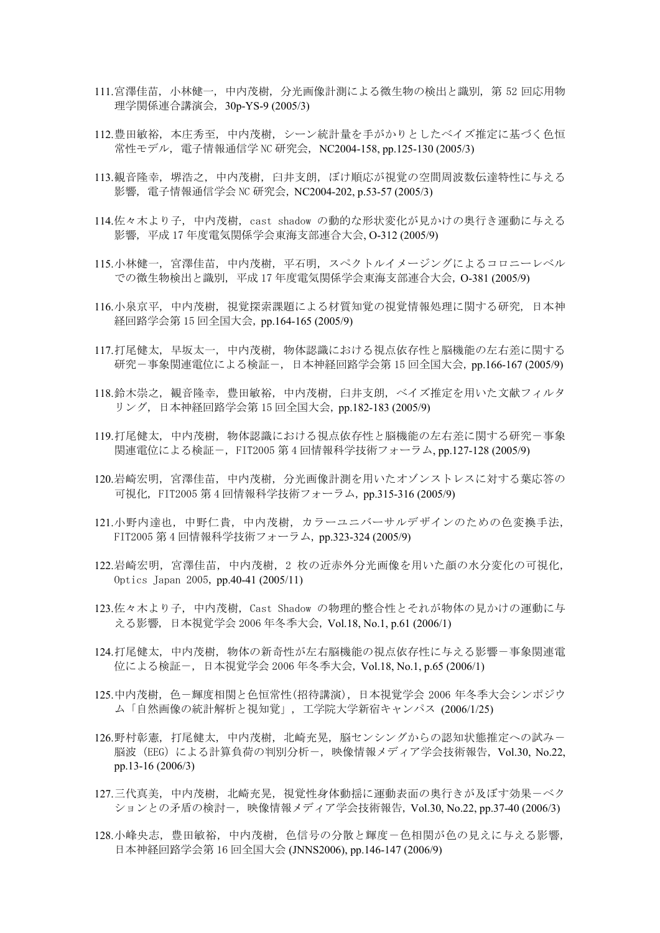- 111.宮澤佳苗, 小林健一, 中内茂樹, 分光画像計測による微生物の検出と識別, 第 52 回応用物 理学関係連合講演会, 30p-YS-9 (2005/3)
- 112.豊田敏裕, 本庄秀至, 中内茂樹, シーン統計量を手がかりとしたベイズ推定に基づく色恒 常性モデル, 電子情報通信学 NC 研究会, NC2004-158, pp.125-130 (2005/3)
- 113.観音隆幸, 堺浩之, 中内茂樹, 臼井支朗, ぼけ順応が視覚の空間周波数伝達特性に与える 影響, 電子情報通信学会 NC 研究会, NC2004-202, p.53-57 (2005/3)
- 114.佐々木より子, 中内茂樹, cast shadow の動的な形状変化が見かけの奥行き運動に与える 影響, 平成 17 年度電気関係学会東海支部連合大会, O-312 (2005/9)
- 115.小林健一, 宮澤佳苗, 中内茂樹, 平石明, スペクトルイメージングによるコロニーレベル での微生物検出と識別, 平成 17 年度電気関係学会東海支部連合大会, O-381 (2005/9)
- 116.小泉京平, 中内茂樹, 視覚探索課題による材質知覚の視覚情報処理に関する研究, 日本神 経回路学会第 15 回全国大会, pp.164-165 (2005/9)
- 117.打尾健太, 早坂太一, 中内茂樹, 物体認識における視点依存性と脳機能の左右差に関する 研究-事象関連電位による検証-, 日本神経回路学会第 15 回全国大会, pp.166-167 (2005/9)
- 118.鈴木崇之, 観音隆幸, 豊田敏裕, 中内茂樹, 臼井支朗, ベイズ推定を用いた文献フィルタ リング, 日本神経回路学会第 15 回全国大会, pp.182-183 (2005/9)
- 119.打尾健太, 中内茂樹, 物体認識における視点依存性と脳機能の左右差に関する研究-事象 関連電位による検証-, FIT2005 第 4 回情報科学技術フォーラム, pp.127-128 (2005/9)
- 120.岩崎宏明, 宮澤佳苗, 中内茂樹, 分光画像計測を用いたオゾンストレスに対する葉応答の 可視化, FIT2005 第 4 回情報科学技術フォーラム, pp.315-316 (2005/9)
- 121.小野内達也, 中野仁貴, 中内茂樹, カラーユニバーサルデザインのための色変換手法, FIT2005 第 4 回情報科学技術フォーラム, pp.323-324 (2005/9)
- 122.岩崎宏明, 宮澤佳苗, 中内茂樹, 2 枚の近赤外分光画像を用いた顔の水分変化の可視化, Optics Japan 2005, pp.40-41 (2005/11)
- 123.佐々木より子, 中内茂樹, Cast Shadow の物理的整合性とそれが物体の見かけの運動に与 える影響, 日本視覚学会 2006 年冬季大会, Vol.18, No.1, p.61 (2006/1)
- 124.打尾健太, 中内茂樹, 物体の新奇性が左右脳機能の視点依存性に与える影響-事象関連電 位による検証-, 日本視覚学会 2006 年冬季大会, Vol.18, No.1, p.65 (2006/1)
- 125.中内茂樹,色-輝度相関と色恒常性(招待講演),日本視覚学会 2006 年冬季大会シンポジウ ム「自然画像の統計解析と視知覚」, 工学院大学新宿キャンパス (2006/1/25)
- 126.野村彰憲, 打尾健太, 中内茂樹, 北崎充晃, 脳センシングからの認知状態推定への試みー 脳波(EEG)による計算負荷の判別分析-, 映像情報メディア学会技術報告, Vol.30, No.22, pp.13-16 (2006/3)
- 127.三代真美, 中内茂樹, 北崎充晃, 視覚性身体動揺に運動表面の奥行きが及ぼす効果ーベク ションとの矛盾の検討-, 映像情報メディア学会技術報告, Vol.30, No.22, pp.37-40 (2006/3)
- 128.小峰央志, 豊田敏裕, 中内茂樹, 色信号の分散と輝度-色相関が色の見えに与える影響, 日本神経回路学会第 16 回全国大会 (JNNS2006), pp.146-147 (2006/9)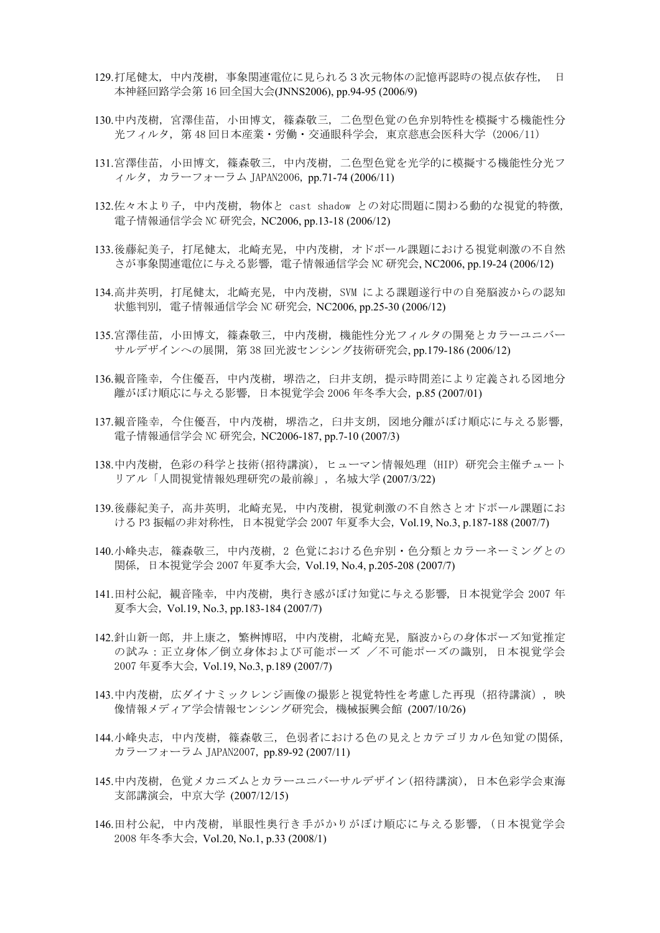- 129.打尾健太, 中内茂樹, 事象関連電位に見られる3次元物体の記憶再認時の視点依存性, 日 本神経回路学会第 16 回全国大会(JNNS2006), pp.94-95 (2006/9)
- 130.中内茂樹, 宮澤佳苗, 小田博文, 篠森敬三, 二色型色覚の色弁別特性を模擬する機能性分 光フィルタ, 第 48 回日本産業・労働・交通眼科学会, 東京慈恵会医科大学 (2006/11)
- 131.宮澤佳苗, 小田博文, 篠森敬三, 中内茂樹, 二色型色覚を光学的に模擬する機能性分光フ ィルタ, カラーフォーラム JAPAN2006, pp.71-74 (2006/11)
- 132.佐々木より子, 中内茂樹, 物体と cast shadow との対応問題に関わる動的な視覚的特徴, 電子情報通信学会 NC 研究会, NC2006, pp.13-18 (2006/12)
- 133.後藤紀美子, 打尾健太, 北崎充晃, 中内茂樹, オドボール課題における視覚刺激の不自然 さが事象関連電位に与える影響, 電子情報通信学会 NC 研究会, NC2006, pp.19-24 (2006/12)
- 134.高井英明, 打尾健太, 北崎充晃, 中内茂樹, SVM による課題遂行中の自発脳波からの認知 状態判別, 電子情報通信学会 NC 研究会, NC2006, pp.25-30 (2006/12)
- 135.宮澤佳苗, 小田博文, 篠森敬三, 中内茂樹, 機能性分光フィルタの開発とカラーユニバー サルデザインへの展開, 第 38 回光波センシング技術研究会, pp.179-186 (2006/12)
- 136.観音隆幸, 今住優吾, 中内茂樹, 堺浩之, 臼井支朗, 提示時間差により定義される図地分 離がぼけ順応に与える影響, 日本視覚学会 2006 年冬季大会, p.85 (2007/01)
- 137.観音隆幸, 今住優吾, 中内茂樹, 堺浩之, 臼井支朗, 図地分離がぼけ順応に与える影響, 電子情報通信学会 NC 研究会, NC2006-187, pp.7-10 (2007/3)
- 138.中内茂樹, 色彩の科学と技術(招待講演), ヒューマン情報処理 (HIP) 研究会主催チュート リアル「人間視覚情報処理研究の最前線」, 名城大学 (2007/3/22)
- 139.後藤紀美子, 高井英明, 北崎充晃, 中内茂樹, 視覚刺激の不自然さとオドボール課題にお ける P3 振幅の非対称性, 日本視覚学会 2007 年夏季大会, Vol.19, No.3, p.187-188 (2007/7)
- 140.小峰央志, 篠森敬三, 中内茂樹, 2 色覚における色弁別・色分類とカラーネーミングとの 関係, 日本視覚学会 2007 年夏季大会, Vol.19, No.4, p.205-208 (2007/7)
- 141.田村公紀, 観音隆幸, 中内茂樹, 奥行き感がぼけ知覚に与える影響, 日本視覚学会 2007 年 夏季大会, Vol.19, No.3, pp.183-184 (2007/7)
- 142.針山新一郎, 井上康之, 繁桝博昭, 中内茂樹, 北崎充晃, 脳波からの身体ポーズ知覚推定 の試み:正立身体/倒立身体および可能ポーズ /不可能ポーズの識別, 日本視覚学会 2007 年夏季大会, Vol.19, No.3, p.189 (2007/7)
- 143.中内茂樹, 広ダイナミックレンジ画像の撮影と視覚特性を考慮した再現(招待講演), 映 像情報メディア学会情報センシング研究会, 機械振興会館 (2007/10/26)
- 144.小峰央志, 中内茂樹, 篠森敬三, 色弱者における色の見えとカテゴリカル色知覚の関係, カラーフォーラム JAPAN2007, pp.89-92 (2007/11)
- 145.中内茂樹, 色覚メカニズムとカラーユニバーサルデザイン(招待講演), 日本色彩学会東海 支部講演会, 中京大学 (2007/12/15)
- 146.田村公紀, 中内茂樹, 単眼性奥行き手がかりがぼけ順応に与える影響, (日本視覚学会 2008 年冬季大会, Vol.20, No.1, p.33 (2008/1)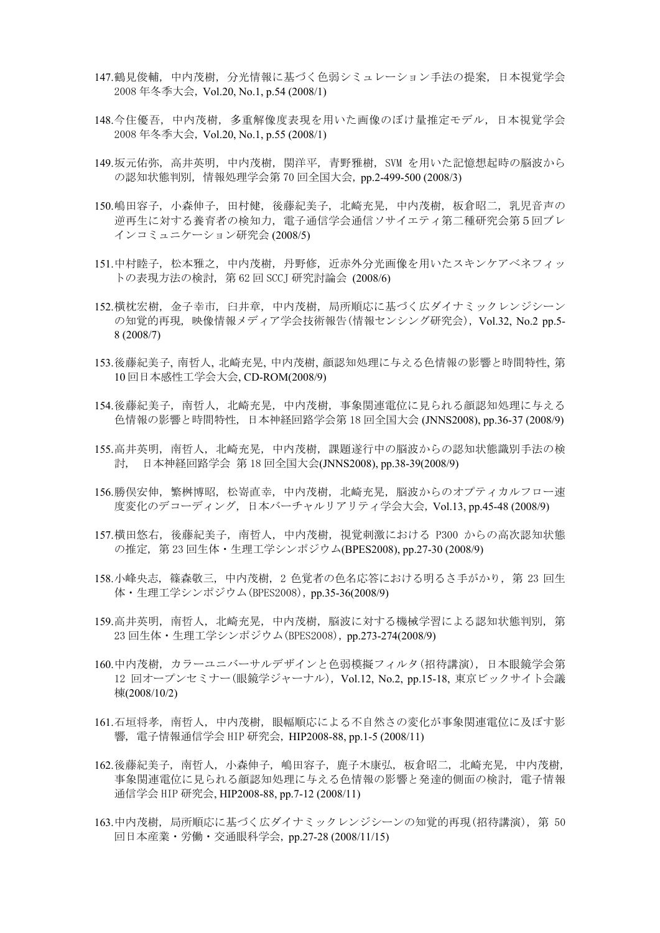- 147.鶴見俊輔, 中内茂樹, 分光情報に基づく色弱シミュレーション手法の提案, 日本視覚学会 2008 年冬季大会, Vol.20, No.1, p.54 (2008/1)
- 148.今住優吾, 中内茂樹, 多重解像度表現を用いた画像のぼけ量推定モデル, 日本視覚学会 2008 年冬季大会, Vol.20, No.1, p.55 (2008/1)
- 149.坂元佑弥, 高井英明, 中内茂樹, 関洋平, 青野雅樹, SVM を用いた記憶想起時の脳波から の認知状態判別, 情報処理学会第 70 回全国大会, pp.2-499-500 (2008/3)
- 150.嶋田容子, 小森伸子, 田村健, 後藤紀美子, 北崎充晃, 中内茂樹, 板倉昭二, 乳児音声の 逆再生に対する養育者の検知力, 電子通信学会通信ソサイエティ第二種研究会第5回ブレ インコミュニケーション研究会 (2008/5)
- 151.中村睦子, 松本雅之, 中内茂樹, 丹野修, 近赤外分光画像を用いたスキンケアベネフィッ トの表現方法の検討, 第 62 回 SCCJ 研究討論会 (2008/6)
- 152.横枕宏樹, 金子幸市, 臼井章, 中内茂樹, 局所順応に基づく広ダイナミックレンジシーン の知覚的再現, 映像情報メディア学会技術報告(情報センシング研究会), Vol.32, No.2 pp.5- 8 (2008/7)
- 153.後藤紀美子, 南哲人, 北崎充晃, 中内茂樹, 顔認知処理に与える色情報の影響と時間特性, 第 10 回日本感性工学会大会, CD-ROM(2008/9)
- 154.後藤紀美子, 南哲人, 北崎充晃, 中内茂樹, 事象関連電位に見られる顔認知処理に与える 色情報の影響と時間特性, 日本神経回路学会第 18 回全国大会 (JNNS2008), pp.36-37 (2008/9)
- 155.高井英明, 南哲人, 北崎充晃, 中内茂樹, 課題遂行中の脳波からの認知状態識別手法の検 討, 日本神経回路学会 第 18 回全国大会(JNNS2008), pp.38-39(2008/9)
- 156.勝俣安伸, 繁桝博昭, 松嵜直幸, 中内茂樹, 北崎充晃, 脳波からのオプティカルフロー速 度変化のデコーディング, 日本バーチャルリアリティ学会大会, Vol.13, pp.45-48 (2008/9)
- 157.横田悠右, 後藤紀美子, 南哲人, 中内茂樹, 視覚刺激における P300 からの高次認知状態 の推定, 第 23 回生体・生理工学シンポジウム(BPES2008), pp.27-30 (2008/9)
- 158.小峰央志, 篠森敬三, 中内茂樹, 2 色覚者の色名応答における明るさ手がかり, 第 23 回生 体・生理工学シンポジウム(BPES2008), pp.35-36(2008/9)
- 159.高井英明, 南哲人, 北崎充晃, 中内茂樹, 脳波に対する機械学習による認知状態判別, 第 23 回生体・生理工学シンポジウム(BPES2008), pp.273-274(2008/9)
- 160.中内茂樹, カラーユニバーサルデザインと色弱模擬フィルタ(招待講演), 日本眼鏡学会第 12 回オープンセミナー(眼鏡学ジャーナル), Vol.12, No.2, pp.15-18, 東京ビックサイト会議 棟(2008/10/2)
- 161.石垣将孝, 南哲人, 中内茂樹, 眼幅順応による不自然さの変化が事象関連電位に及ぼす影 響, 電子情報通信学会 HIP 研究会, HIP2008-88, pp.1-5 (2008/11)
- 162.後藤紀美子, 南哲人, 小森伸子, 嶋田容子, 鹿子木康弘, 板倉昭二, 北崎充晃, 中内茂樹, 事象関連電位に見られる顔認知処理に与える色情報の影響と発達的側面の検討, 電子情報 通信学会 HIP 研究会, HIP2008-88, pp.7-12 (2008/11)
- 163.中内茂樹, 局所順応に基づく広ダイナミックレンジシーンの知覚的再現(招待講演), 第 50 回日本産業・労働・交通眼科学会, pp.27-28 (2008/11/15)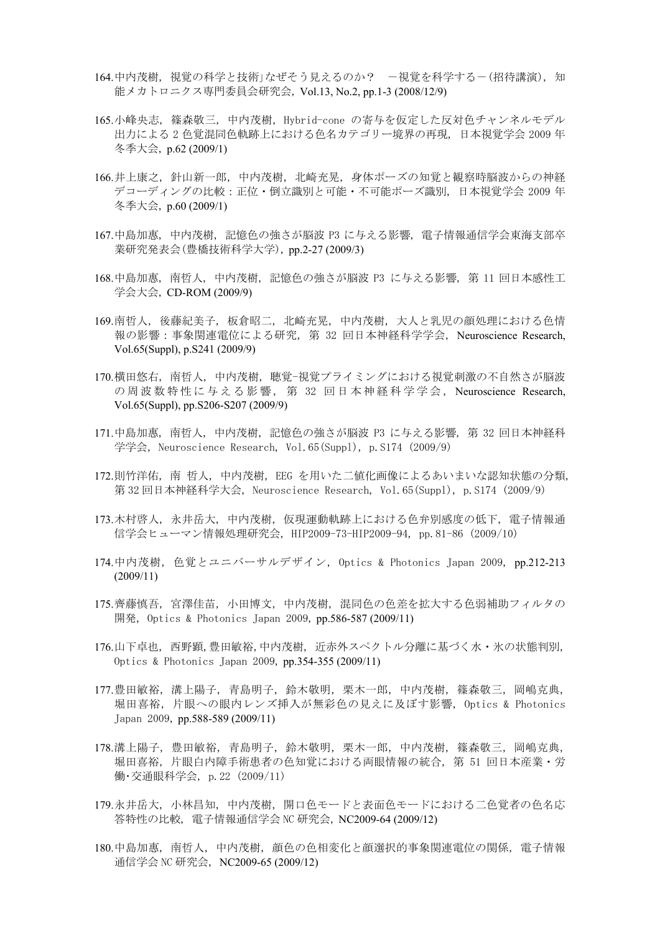- 164.中内茂樹,視覚の科学と技術」なぜそう見えるのか? -視覚を科学する-(招待講演),知 能メカトロニクス専門委員会研究会, Vol.13, No.2, pp.1-3 (2008/12/9)
- 165.小峰央志, 篠森敬三, 中内茂樹, Hybrid-cone の寄与を仮定した反対色チャンネルモデル 出力による 2 色覚混同色軌跡上における色名カテゴリー境界の再現, 日本視覚学会 2009 年 冬季大会, p.62 (2009/1)
- 166.井上康之, 針山新一郎, 中内茂樹, 北崎充晃, 身体ポーズの知覚と観察時脳波からの神経 デコーディングの比較:正位・倒立識別と可能・不可能ポーズ識別, 日本視覚学会 2009 年 冬季大会, p.60 (2009/1)
- 167.中島加惠, 中内茂樹, 記憶色の強さが脳波 P3 に与える影響, 電子情報通信学会東海支部卒 業研究発表会(豊橋技術科学大学), pp.2-27 (2009/3)
- 168.中島加惠, 南哲人, 中内茂樹, 記憶色の強さが脳波 P3 に与える影響, 第 11 回日本感性工 学会大会, CD-ROM (2009/9)
- 169.南哲人, 後藤紀美子, 板倉昭二, 北崎充晃, 中内茂樹, 大人と乳児の顔処理における色情 報の影響:事象関連電位による研究, 第 32 回日本神経科学学会, Neuroscience Research, Vol.65(Suppl), p.S241 (2009/9)
- 170.横田悠右, 南哲人, 中内茂樹, 聴覚-視覚プライミングにおける視覚刺激の不自然さが脳波 の周波数特性に与える影響, 第 32 回日本神経科学学会, Neuroscience Research, Vol.65(Suppl), pp.S206-S207 (2009/9)
- 171.中島加惠, 南哲人, 中内茂樹, 記憶色の強さが脳波 P3 に与える影響, 第 32 回日本神経科 学学会, Neuroscience Research, Vol.65(Suppl), p.S174 (2009/9)
- 172.則竹洋佑, 南 哲人, 中内茂樹, EEG を用いた二値化画像によるあいまいな認知状態の分類, 第 32 回日本神経科学大会, Neuroscience Research, Vol.65(Suppl), p.S174 (2009/9)
- 173.木村啓人, 永井岳大, 中内茂樹, 仮現運動軌跡上における色弁別感度の低下, 電子情報通 信学会ヒューマン情報処理研究会, HIP2009-73-HIP2009-94, pp.81-86 (2009/10)
- 174.中内茂樹, 色覚とユニバーサルデザイン, Optics & Photonics Japan 2009, pp.212-213 (2009/11)
- 175.齊藤慎吾, 宮澤佳苗, 小田博文, 中内茂樹, 混同色の色差を拡大する色弱補助フィルタの 開発, Optics & Photonics Japan 2009, pp.586-587 (2009/11)
- 176.山下卓也, 西野顕,豊田敏裕,中内茂樹, 近赤外スペクトル分離に基づく水・氷の状態判別, Optics & Photonics Japan 2009, pp.354-355 (2009/11)
- 177.豊田敏裕, 溝上陽子, 青島明子, 鈴木敬明, 栗木一郎, 中内茂樹, 篠森敬三, 岡嶋克典, 堀田喜裕, 片眼への眼内レンズ挿入が無彩色の見えに及ぼす影響, Optics & Photonics Japan 2009, pp.588-589 (2009/11)
- 178.溝上陽子, 豊田敏裕, 青島明子, 鈴木敬明, 栗木一郎, 中内茂樹, 篠森敬三, 岡嶋克典, 堀田喜裕, 片眼白内障手術患者の色知覚における両眼情報の統合, 第 51 回日本産業・労 働・交通眼科学会, p.22 (2009/11)
- 179.永井岳大, 小林昌知, 中内茂樹, 開口色モードと表面色モードにおける二色覚者の色名応 答特性の比較, 電子情報通信学会 NC 研究会, NC2009-64 (2009/12)
- 180.中島加惠, 南哲人, 中内茂樹, 顔色の色相変化と顔選択的事象関連電位の関係, 電子情報 通信学会 NC 研究会, NC2009-65 (2009/12)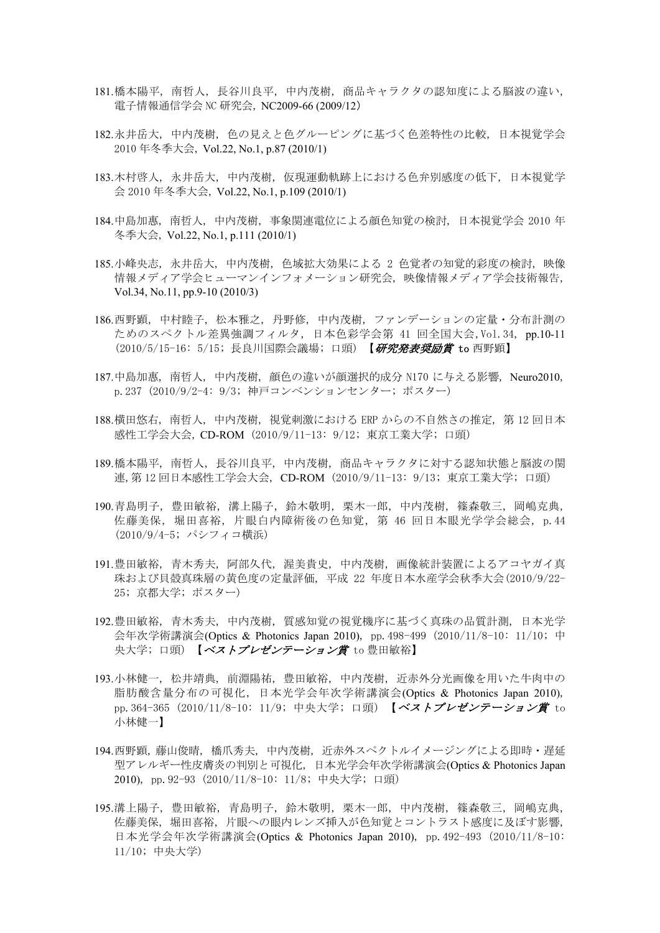- 181.橋本陽平, 南哲人, 長谷川良平, 中内茂樹, 商品キャラクタの認知度による脳波の違い, 電子情報通信学会 NC 研究会, NC2009-66 (2009/12)
- 182.永井岳大, 中内茂樹, 色の見えと色グルーピングに基づく色差特性の比較, 日本視覚学会 2010 年冬季大会, Vol.22, No.1, p.87 (2010/1)
- 183.木村啓人, 永井岳大, 中内茂樹, 仮現運動軌跡上における色弁別感度の低下, 日本視覚学 会 2010 年冬季大会, Vol.22, No.1, p.109 (2010/1)
- 184.中島加惠, 南哲人, 中内茂樹, 事象関連電位による顔色知覚の検討, 日本視覚学会 2010 年 冬季大会, Vol.22, No.1, p.111 (2010/1)
- 185.小峰央志, 永井岳大, 中内茂樹, 色域拡大効果による 2 色覚者の知覚的彩度の検討, 映像 情報メディア学会ヒューマンインフォメーション研究会, 映像情報メディア学会技術報告, Vol.34, No.11, pp.9-10 (2010/3)
- 186.西野顕, 中村睦子, 松本雅之, 丹野修, 中内茂樹, ファンデーションの定量・分布計測の ためのスペクトル差異強調フィルタ, 日本色彩学会第 41 回全国大会,Vol.34, pp.10-11 (2010/5/15-16: 5/15; 長良川国際会議場; 口頭) 【研究発表奨励賞 to 西野顕】
- 187.中島加惠, 南哲人, 中内茂樹, 顔色の違いが顔選択的成分 N170 に与える影響, Neuro2010, p.237 (2010/9/2-4: 9/3; 神戸コンベンションセンター; ポスター)
- 188.横田悠右, 南哲人, 中内茂樹, 視覚刺激における ERP からの不自然さの推定, 第 12 回日本 感性工学会大会, CD-ROM (2010/9/11-13: 9/12; 東京工業大学; 口頭)
- 189.橋本陽平, 南哲人, 長谷川良平, 中内茂樹, 商品キャラクタに対する認知状態と脳波の関 連,第 12 回日本感性工学会大会, CD-ROM (2010/9/11-13: 9/13; 東京工業大学; 口頭)
- 190.青島明子, 豊田敏裕, 溝上陽子, 鈴木敬明, 栗木一郎, 中内茂樹, 篠森敬三, 岡嶋克典, 佐藤美保, 堀田喜裕, 片眼白内障術後の色知覚, 第 46 回日本眼光学学会総会, p.44 (2010/9/4-5; パシフィコ横浜)
- 191.豊田敏裕, 青木秀夫, 阿部久代, 渥美貴史, 中内茂樹, 画像統計装置によるアコヤガイ真 珠および貝殻真珠層の黄色度の定量評価, 平成 22 年度日本水産学会秋季大会(2010/9/22- 25; 京都大学; ポスター)
- 192.豊田敏裕, 青木秀夫, 中内茂樹, 質感知覚の視覚機序に基づく真珠の品質計測, 日本光学 会年次学術講演会(Optics & Photonics Japan 2010), pp.498-499 (2010/11/8-10: 11/10; 中 央大学; 口頭) 【ベストプレゼンテーション賞 to 豊田敏裕】
- 193.小林健一, 松井靖典, 前淵陽祐, 豊田敏裕, 中内茂樹, 近赤外分光画像を用いた牛肉中の 脂肪酸含量分布の可視化, 日本光学会年次学術講演会(Optics & Photonics Japan 2010), pp. 364-365 (2010/11/8-10: 11/9; 中央大学; 口頭) 【ベストプレゼンテーション賞 to 小林健一】
- 194.西野顕, 藤山俊晴, 橋爪秀夫, 中内茂樹, 近赤外スペクトルイメージングによる即時・遅延 型アレルギー性皮膚炎の判別と可視化, 日本光学会年次学術講演会(Optics & Photonics Japan 2010), pp.92-93 (2010/11/8-10: 11/8; 中央大学; 口頭)
- 195.溝上陽子, 豊田敏裕, 青島明子, 鈴木敬明, 栗木一郎, 中内茂樹, 篠森敬三, 岡嶋克典, 佐藤美保, 堀田喜裕, 片眼への眼内レンズ挿入が色知覚とコントラスト感度に及ぼす影響, 日本光学会年次学術講演会(Optics & Photonics Japan 2010), pp.492-493 (2010/11/8-10: 11/10; 中央大学)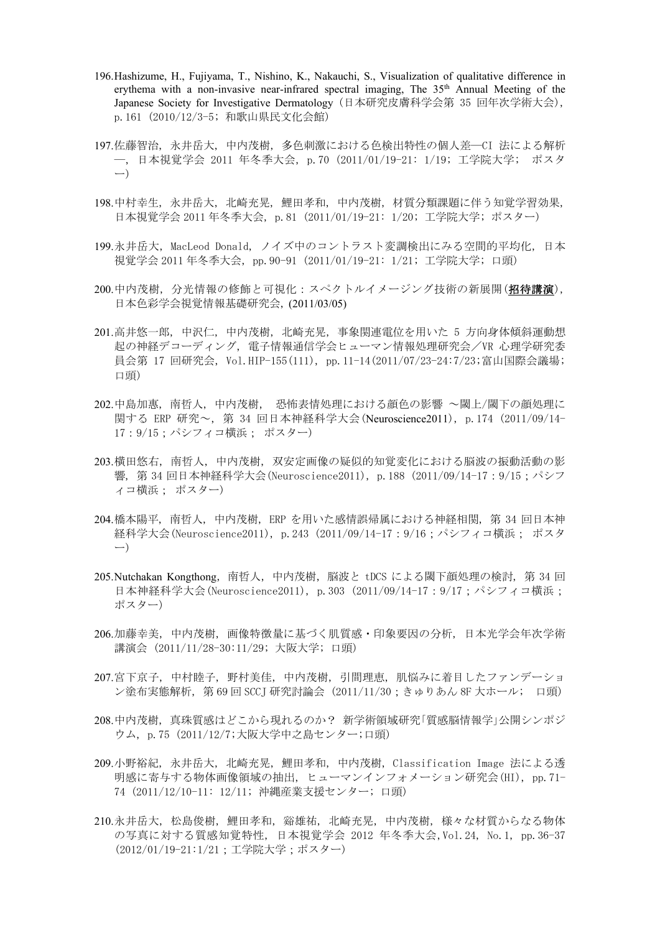- 196.Hashizume, H., Fujiyama, T., Nishino, K., Nakauchi, S., Visualization of qualitative difference in erythema with a non-invasive near-infrared spectral imaging, The 35<sup>th</sup> Annual Meeting of the Japanese Society for Investigative Dermatology (日本研究皮膚科学会第 35 回年次学術大会), p.161 (2010/12/3-5; 和歌山県民文化会館)
- 197.佐藤智治, 永井岳大, 中内茂樹, 多色刺激における色検出特性の個人差―CI 法による解析 ―, 日本視覚学会 2011 年冬季大会, p.70 (2011/01/19-21: 1/19; 工学院大学; ポスタ ー)
- 198.中村幸生, 永井岳大, 北崎充晃, 鯉田孝和, 中内茂樹, 材質分類課題に伴う知覚学習効果, 日本視覚学会 2011 年冬季大会, p.81 (2011/01/19-21: 1/20; 工学院大学; ポスター)
- 199.永井岳大, MacLeod Donald, ノイズ中のコントラスト変調検出にみる空間的平均化, 日本 視覚学会 2011 年冬季大会, pp.90-91 (2011/01/19-21: 1/21; 工学院大学; 口頭)
- 200.中内茂樹, 分光情報の修飾と可視化:スペクトルイメージング技術の新展開(招待講演), 日本色彩学会視覚情報基礎研究会, (2011/03/05)
- 201.高井悠一郎, 中沢仁, 中内茂樹, 北崎充晃, 事象関連電位を用いた 5 方向身体傾斜運動想 起の神経デコーディング, 電子情報通信学会ヒューマン情報処理研究会/VR 心理学研究委 員会第 17 回研究会, Vol.HIP-155(111), pp.11-14(2011/07/23-24:7/23;富山国際会議場; 口頭)
- 202.中島加惠, 南哲人, 中内茂樹, 恐怖表情処理における顔色の影響 ~閾上/閾下の顔処理に 関する ERP 研究~, 第 34 回日本神経科学大会(Neuroscience2011), p.174 (2011/09/14- 17:9/15;パシフィコ横浜; ポスター)
- 203.横田悠右, 南哲人, 中内茂樹, 双安定画像の疑似的知覚変化における脳波の振動活動の影 響, 第 34 回日本神経科学大会(Neuroscience2011), p.188 (2011/09/14-17:9/15;パシフ ィコ横浜; ポスター)
- 204.橋本陽平, 南哲人, 中内茂樹, ERP を用いた感情誤帰属における神経相関, 第 34 回日本神 経科学大会(Neuroscience2011), p.243 (2011/09/14-17:9/16;パシフィコ横浜; ポスタ ー)
- 205.Nutchakan Kongthong,南哲人,中内茂樹,脳波と tDCS による閾下顔処理の検討, 第 34 回 日本神経科学大会(Neuroscience2011), p.303 (2011/09/14-17:9/17;パシフィコ横浜; ポスター)
- 206.加藤幸美, 中内茂樹, 画像特徴量に基づく肌質感・印象要因の分析, 日本光学会年次学術 講演会 (2011/11/28-30:11/29; 大阪大学; 口頭)
- 207.宮下京子, 中村睦子, 野村美佳, 中内茂樹, 引間理恵, 肌悩みに着目したファンデーショ ン塗布実態解析, 第 69 回 SCCJ 研究討論会 (2011/11/30;きゅりあん 8F 大ホール; 口頭)
- 208.中内茂樹, 真珠質感はどこから現れるのか? 新学術領域研究「質感脳情報学」公開シンポジ ウム, p.75 (2011/12/7;大阪大学中之島センター;口頭)
- 209.小野裕紀, 永井岳大, 北崎充晃, 鯉田孝和, 中内茂樹, Classification Image 法による透 明感に寄与する物体画像領域の抽出, ヒューマンインフォメーション研究会(HI), pp.71- 74 (2011/12/10-11: 12/11; 沖縄産業支援センター; 口頭)
- 210.永井岳大, 松島俊樹, 鯉田孝和, 谿雄祐, 北崎充晃, 中内茂樹, 様々な材質からなる物体 の写真に対する質感知覚特性, 日本視覚学会 2012 年冬季大会,Vol.24, No.1, pp.36-37 (2012/01/19-21:1/21;工学院大学;ポスター)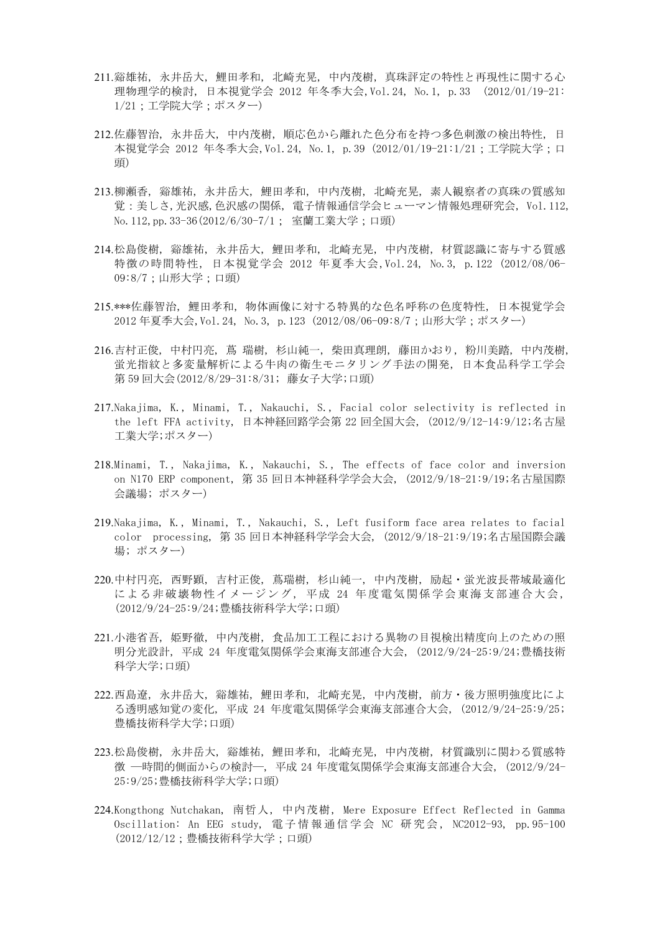- 211.谿雄祐, 永井岳大, 鯉田孝和, 北崎充晃, 中内茂樹, 真珠評定の特性と再現性に関する心 理物理学的検討, 日本視覚学会 2012 年冬季大会,Vol.24, No.1, p.33 (2012/01/19-21: 1/21;工学院大学;ポスター)
- 212.佐藤智治, 永井岳大, 中内茂樹, 順応色から離れた色分布を持つ多色刺激の検出特性, 日 本視覚学会 2012 年冬季大会,Vol.24, No.1, p.39 (2012/01/19-21:1/21;工学院大学;口 頭)
- 213.柳瀬香, 谿雄祐, 永井岳大, 鯉田孝和, 中内茂樹, 北崎充晃, 素人観察者の真珠の質感知 覚:美しさ,光沢感,色沢感の関係, 電子情報通信学会ヒューマン情報処理研究会, Vol.112, No. 112, pp. 33-36(2012/6/30-7/1; 室蘭工業大学;口頭)
- 214.松島俊樹, 谿雄祐, 永井岳大, 鯉田孝和, 北崎充晃, 中内茂樹, 材質認識に寄与する質感 特徴の時間特性, 日本視覚学会 2012 年夏季大会,Vol.24, No.3, p.122 (2012/08/06- 09:8/7;山形大学;口頭)
- 215.\*\*\*佐藤智治, 鯉田孝和, 物体画像に対する特異的な色名呼称の色度特性, 日本視覚学会 2012 年夏季大会,Vol.24, No.3, p.123 (2012/08/06-09:8/7;山形大学;ポスター)
- 216.吉村正俊, 中村円亮, 蔦 瑞樹, 杉山純一, 柴田真理朗, 藤田かおり, 粉川美踏, 中内茂樹, 蛍光指紋と多変量解析による牛肉の衛生モニタリング手法の開発, 日本食品科学工学会 第 59 回大会(2012/8/29-31:8/31; 藤女子大学;口頭)
- 217.Nakajima, K., Minami, T., Nakauchi, S., Facial color selectivity is reflected in the left FFA activity, 日本神経回路学会第 22 回全国大会, (2012/9/12-14:9/12;名古屋 工業大学;ポスター)
- 218.Minami, T., Nakajima, K., Nakauchi, S., The effects of face color and inversion on N170 ERP component, 第 35 回日本神経科学学会大会, (2012/9/18-21:9/19;名古屋国際 会議場; ポスター)
- 219.Nakajima, K., Minami, T., Nakauchi, S., Left fusiform face area relates to facial color processing, 第 35 回日本神経科学学会大会, (2012/9/18-21:9/19;名古屋国際会議 場; ポスター)
- 220.中村円亮, 西野顕, 吉村正俊, 蔦瑞樹, 杉山純一, 中内茂樹, 励起・蛍光波長帯域最適化 による非破壊物性イメージング,平成 24 年度電気関係学会東海支部連合大会, (2012/9/24-25:9/24;豊橋技術科学大学;口頭)
- 221.小港省吾, 姫野徹, 中内茂樹, 食品加工工程における異物の目視検出精度向上のための照 明分光設計, 平成 24 年度電気関係学会東海支部連合大会, (2012/9/24-25:9/24;豊橋技術 科学大学;口頭)
- 222.西島遼, 永井岳大, 谿雄祐, 鯉田孝和, 北崎充晃, 中内茂樹, 前方・後方照明強度比によ る透明感知覚の変化, 平成 24 年度電気関係学会東海支部連合大会, (2012/9/24-25:9/25; 豊橋技術科学大学;口頭)
- 223.松島俊樹, 永井岳大, 谿雄祐, 鯉田孝和, 北崎充晃, 中内茂樹, 材質識別に関わる質感特 徴 ―時間的側面からの検討―, 平成 24 年度電気関係学会東海支部連合大会, (2012/9/24- 25:9/25;豊橋技術科学大学;口頭)
- 224.Kongthong Nutchakan, 南哲人, 中内茂樹, Mere Exposure Effect Reflected in Gamma Oscillation: An EEG study, 電 子 情 報 通 信 学 会 NC 研 究 会 , NC2012-93, pp.95-100 (2012/12/12;豊橋技術科学大学;口頭)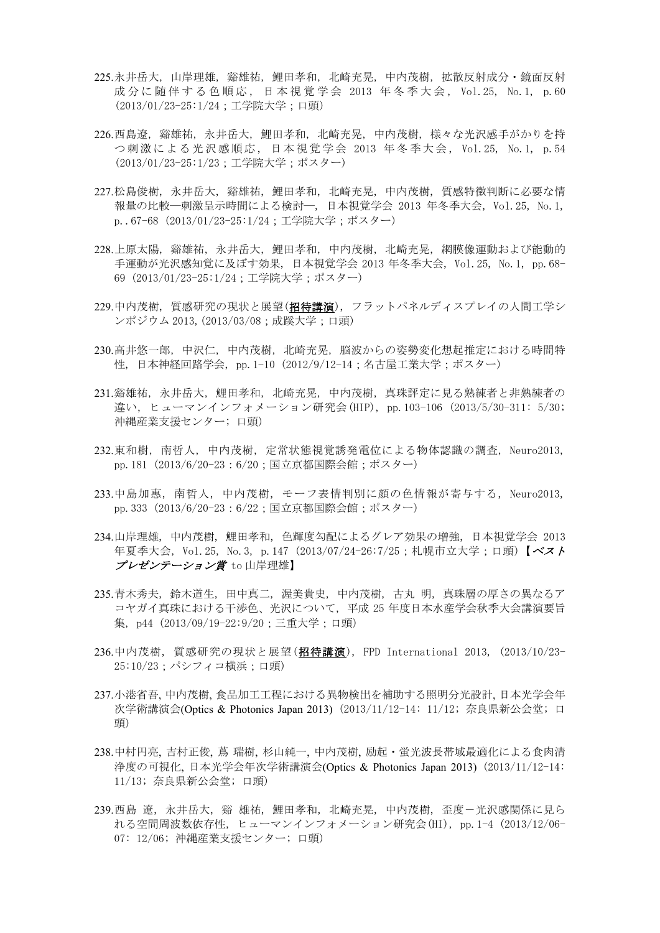- 225.永井岳大, 山岸理雄, 谿雄祐, 鯉田孝和, 北崎充晃, 中内茂樹, 拡散反射成分・鏡面反射 成 分 に 随 伴 す る 色 順 応 , 日 本 視 覚 学 会 2013 年 冬 季 大 会 , Vol.25, No.1, p.60 (2013/01/23-25:1/24;工学院大学;口頭)
- 226.西島遼, 谿雄祐, 永井岳大, 鯉田孝和, 北崎充晃, 中内茂樹, 様々な光沢感手がかりを持 つ刺激による光沢感順応, 日本視覚学会 2013 年冬季大会, Vol.25, No.1, p.54 (2013/01/23-25:1/23;工学院大学;ポスター)
- 227.松島俊樹, 永井岳大, 谿雄祐, 鯉田孝和, 北崎充晃, 中内茂樹, 質感特徴判断に必要な情 報量の比較―刺激呈示時間による検討―, 日本視覚学会 2013 年冬季大会, Vol.25, No.1, p..67-68 (2013/01/23-25:1/24;工学院大学;ポスター)
- 228.上原太陽, 谿雄祐, 永井岳大, 鯉田孝和, 中内茂樹, 北崎充晃, 網膜像運動および能動的 手運動が光沢感知覚に及ぼす効果, 日本視覚学会 2013 年冬季大会, Vol.25, No.1, pp.68- 69 (2013/01/23-25:1/24;工学院大学;ポスター)
- 229.中内茂樹, 質感研究の現状と展望(招待講演), フラットパネルディスプレイの人間工学シ ンポジウム 2013,(2013/03/08;成蹊大学;口頭)
- 230.高井悠一郎, 中沢仁, 中内茂樹, 北崎充晃, 脳波からの姿勢変化想起推定における時間特 性, 日本神経回路学会, pp.1-10 (2012/9/12-14;名古屋工業大学;ポスター)
- 231.谿雄祐, 永井岳大, 鯉田孝和, 北崎充晃, 中内茂樹, 真珠評定に見る熟練者と非熟練者の 違い, ヒューマンインフォメーション研究会(HIP), pp.103-106 (2013/5/30-311: 5/30; 沖縄産業支援センター; 口頭)
- 232.東和樹, 南哲人, 中内茂樹, 定常状態視覚誘発電位による物体認識の調査, Neuro2013, pp. 181 (2013/6/20-23:6/20;国立京都国際会館;ポスター)
- 233.中島加惠, 南哲人, 中内茂樹, モーフ表情判別に顔の色情報が寄与する, Neuro2013, pp. 333 (2013/6/20-23:6/22;国立京都国際会館;ポスター)
- 234.山岸理雄, 中内茂樹, 鯉田孝和, 色輝度勾配によるグレア効果の増強, 日本視覚学会 2013 年夏季大会, Vol.25, No.3, p.147 (2013/07/24-26:7/25;札幌市立大学;口頭)【ベスト プレゼンテーション賞 to 山岸理雄】
- 235.青木秀夫, 鈴木道生, 田中真二, 渥美貴史, 中内茂樹, 古丸 明, 真珠層の厚さの異なるア コヤガイ真珠における干渉色、光沢について, 平成 25 年度日本水産学会秋季大会講演要旨 集, p44 (2013/09/19-22:9/20;三重大学;口頭)
- 236.中内茂樹, 質感研究の現状と展望(招待講演), FPD International 2013, (2013/10/23- 25:10/23;パシフィコ横浜;口頭)
- 237.小港省吾, 中内茂樹, 食品加工工程における異物検出を補助する照明分光設計, 日本光学会年 次学術講演会(Optics & Photonics Japan 2013) (2013/11/12-14: 11/12; 奈良県新公会堂; 口 頭)
- 238.中村円亮, 吉村正俊, 蔦 瑞樹, 杉山純一, 中内茂樹, 励起・蛍光波長帯域最適化による食肉清 浄度の可視化, 日本光学会年次学術講演会(Optics & Photonics Japan 2013) (2013/11/12-14: 11/13; 奈良県新公会堂; 口頭)
- 239.西島 遼, 永井岳大, 谿 雄祐, 鯉田孝和, 北崎充晃, 中内茂樹, 歪度-光沢感関係に見ら れる空間周波数依存性, ヒューマンインフォメーション研究会(HI), pp.1-4 (2013/12/06- 07: 12/06; 沖縄産業支援センター; 口頭)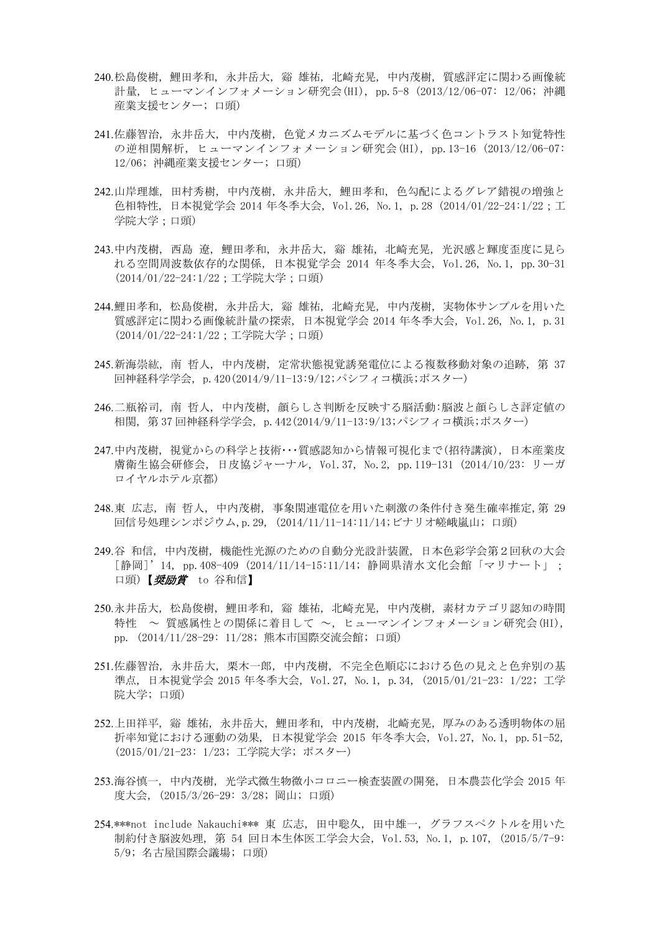- 240.松島俊樹, 鯉田孝和, 永井岳大, 谿 雄祐, 北崎充晃, 中内茂樹, 質感評定に関わる画像統 計量, ヒューマンインフォメーション研究会(HI), pp.5-8 (2013/12/06-07: 12/06; 沖縄 産業支援センター; 口頭)
- 241.佐藤智治, 永井岳大, 中内茂樹, 色覚メカニズムモデルに基づく色コントラスト知覚特性 の逆相関解析, ヒューマンインフォメーション研究会(HI), pp.13-16 (2013/12/06-07: 12/06; 沖縄産業支援センター; 口頭)
- 242.山岸理雄, 田村秀樹, 中内茂樹, 永井岳大, 鯉田孝和, 色勾配によるグレア錯視の増強と 色相特性, 日本視覚学会 2014 年冬季大会, Vol.26, No.1, p.28 (2014/01/22-24:1/22;工 学院大学;口頭)
- 243.中内茂樹, 西島 遼, 鯉田孝和, 永井岳大, 谿 雄祐, 北崎充晃, 光沢感と輝度歪度に見ら れる空間周波数依存的な関係, 日本視覚学会 2014 年冬季大会, Vol.26, No.1, pp.30-31 (2014/01/22-24:1/22;工学院大学;口頭)
- 244.鯉田孝和, 松島俊樹, 永井岳大, 谿 雄祐, 北崎充晃, 中内茂樹, 実物体サンプルを用いた 質感評定に関わる画像統計量の探索, 日本視覚学会 2014 年冬季大会, Vol.26, No.1, p.31 (2014/01/22-24:1/22;工学院大学;口頭)
- 245.新海崇紘, 南 哲人, 中内茂樹, 定常状態視覚誘発電位による複数移動対象の追跡, 第 37 回神経科学学会, p.420(2014/9/11-13:9/12;パシフィコ横浜;ポスター)
- 246.二瓶裕司, 南 哲人, 中内茂樹, 顔らしさ判断を反映する脳活動:脳波と顔らしさ評定値の 相関, 第 37 回神経科学学会, p.442(2014/9/11-13:9/13;パシフィコ横浜;ポスター)
- 247.中内茂樹,視覚からの科学と技術・・・質感認知から情報可視化まで(招待講演),日本産業皮 膚衛生協会研修会, 日皮協ジャーナル, Vol.37, No.2, pp.119-131 (2014/10/23: リーガ ロイヤルホテル京都)
- 248.東 広志, 南 哲人, 中内茂樹, 事象関連電位を用いた刺激の条件付き発生確率推定,第 29 回信号処理シンポジウム,p.29, (2014/11/11-14:11/14;ビナリオ嵯峨嵐山; 口頭)
- 249.谷 和信, 中内茂樹, 機能性光源のための自動分光設計装置, 日本色彩学会第2回秋の大会 [静岡]'14, pp.408-409 (2014/11/14-15:11/14; 静岡県清水文化会館「マリナート」; 口頭)【*奨励賞* to 谷和信】
- 250.永井岳大, 松島俊樹, 鯉田孝和, 谿 雄祐, 北崎充晃, 中内茂樹, 素材カテゴリ認知の時間 特性 ~ 質感属性との関係に着目して ~, ヒューマンインフォメーション研究会(HI), pp. (2014/11/28-29: 11/28; 熊本市国際交流会館; 口頭)
- 251.佐藤智治, 永井岳大, 栗木一郎, 中内茂樹, 不完全色順応における色の見えと色弁別の基 準点, 日本視覚学会 2015 年冬季大会, Vol.27, No.1, p.34, (2015/01/21-23: 1/22; 工学 院大学; 口頭)
- 252.上田祥平, 谿 雄祐, 永井岳大, 鯉田孝和, 中内茂樹, 北崎充晃, 厚みのある透明物体の屈 折率知覚における運動の効果, 日本視覚学会 2015 年冬季大会, Vol.27, No.1, pp.51-52, (2015/01/21-23: 1/23; 工学院大学; ポスター)
- 253.海谷慎一, 中内茂樹, 光学式微生物微小コロニー検査装置の開発, 日本農芸化学会 2015 年 度大会, (2015/3/26-29: 3/28; 岡山; 口頭)
- 254.\*\*\*not include Nakauchi\*\*\* 東 広志, 田中聡久, 田中雄一, グラフスペクトルを用いた 制約付き脳波処理, 第 54 回日本生体医工学会大会, Vol.53, No.1, p.107, (2015/5/7-9: 5/9; 名古屋国際会議場; 口頭)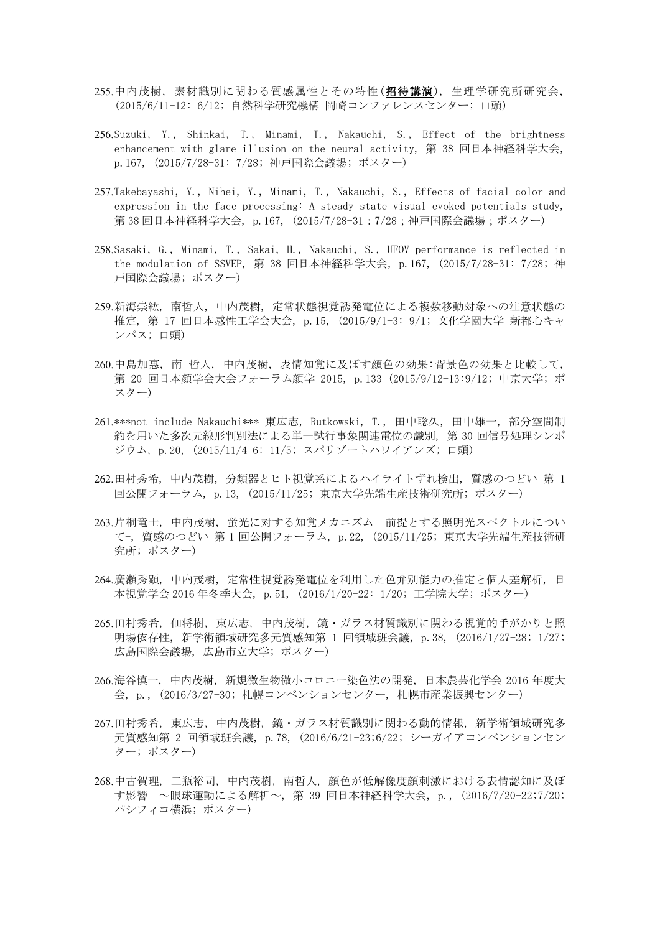- 255.中内茂樹, 素材識別に関わる質感属性とその特性(招待講演), 生理学研究所研究会, (2015/6/11-12: 6/12; 自然科学研究機構 岡崎コンファレンスセンター; 口頭)
- 256.Suzuki, Y., Shinkai, T., Minami, T., Nakauchi, S., Effect of the brightness enhancement with glare illusion on the neural activity, 第 38 回日本神経科学大会, p.167, (2015/7/28-31: 7/28; 神戸国際会議場; ポスター)
- 257.Takebayashi, Y., Nihei, Y., Minami, T., Nakauchi, S., Effects of facial color and expression in the face processing: A steady state visual evoked potentials study, 第 38 回日本神経科学大会, p.167, (2015/7/28-31 : 7/28 : 神戸国際会議場 : ポスター)
- 258.Sasaki, G., Minami, T., Sakai, H., Nakauchi, S., UFOV performance is reflected in the modulation of SSVEP, 第 38 回日本神経科学大会, p.167, (2015/7/28-31: 7/28; 神 戸国際会議場; ポスター)
- 259.新海崇紘, 南哲人, 中内茂樹, 定常状態視覚誘発電位による複数移動対象への注意状態の 推定, 第 17 回日本感性工学会大会, p.15, (2015/9/1-3: 9/1; 文化学園大学 新都心キャ ンパス; 口頭)
- 260.中島加惠, 南 哲人, 中内茂樹, 表情知覚に及ぼす顔色の効果:背景色の効果と比較して, 第 20 回日本顔学会大会フォーラム顔学 2015, p.133 (2015/9/12-13:9/12; 中京大学; ポ スター)
- 261.\*\*\*not include Nakauchi\*\*\* 東広志, Rutkowski, T., 田中聡久, 田中雄一, 部分空間制 約を用いた多次元線形判別法による単一試行事象関連電位の識別, 第 30 回信号処理シンポ ジウム, p.20, (2015/11/4-6: 11/5; スパリゾートハワイアンズ; 口頭)
- 262.田村秀希, 中内茂樹, 分類器とヒト視覚系によるハイライトずれ検出, 質感のつどい 第 1 回公開フォーラム, p.13, (2015/11/25; 東京大学先端生産技術研究所; ポスター)
- 263.片桐竜士, 中内茂樹, 蛍光に対する知覚メカニズム -前提とする照明光スペクトルについ て-, 質感のつどい 第 1 回公開フォーラム, p.22, (2015/11/25; 東京大学先端生産技術研 究所; ポスター)
- 264.廣瀬秀顕, 中内茂樹, 定常性視覚誘発電位を利用した色弁別能力の推定と個人差解析, 日 本視覚学会 2016 年冬季大会, p.51, (2016/1/20-22: 1/20; 工学院大学; ポスター)
- 265.田村秀希, 佃将樹, 東広志, 中内茂樹, 鏡・ガラス材質識別に関わる視覚的手がかりと照 明場依存性, 新学術領域研究多元質感知第 1 回領域班会議, p.38, (2016/1/27-28; 1/27; 広島国際会議場, 広島市立大学; ポスター)
- 266.海谷慎一, 中内茂樹, 新規微生物微小コロニー染色法の開発, 日本農芸化学会 2016 年度大 会, p., (2016/3/27-30; 札幌コンベンションセンター, 札幌市産業振興センター)
- 267.田村秀希, 東広志, 中内茂樹, 鏡・ガラス材質識別に関わる動的情報, 新学術領域研究多 元質感知第 2 回領域班会議, p.78, (2016/6/21-23;6/22; シーガイアコンベンションセン ター; ポスター)
- 268.中古賀理, 二瓶裕司, 中内茂樹, 南哲人, 顔色が低解像度顔刺激における表情認知に及ぼ す影響 ~眼球運動による解析~, 第 39 回日本神経科学大会, p., (2016/7/20-22;7/20; パシフィコ横浜; ポスター)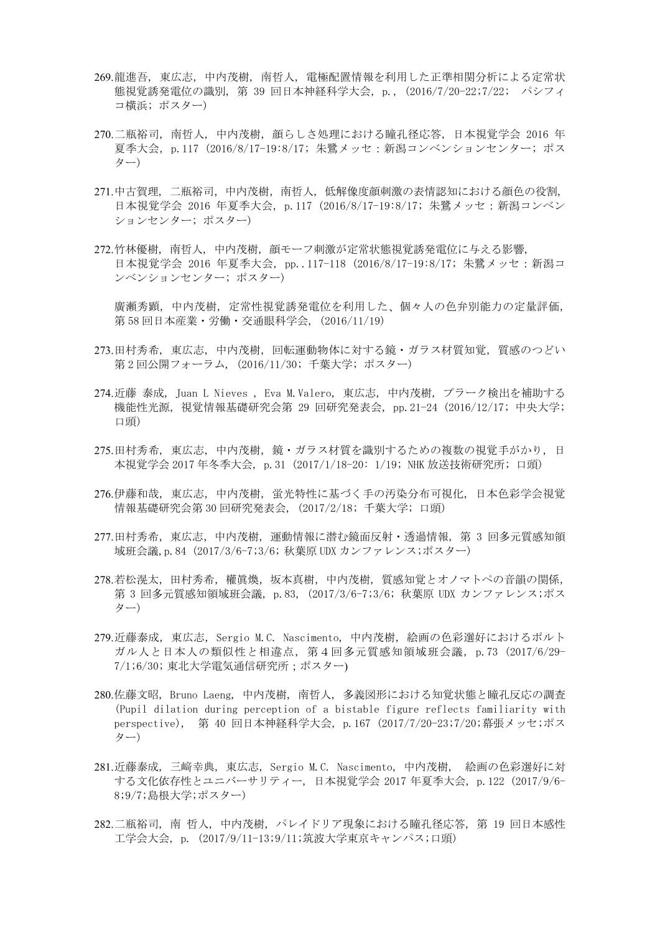- 269.龍進吾, 東広志, 中内茂樹, 南哲人, 電極配置情報を利用した正準相関分析による定常状 態視覚誘発電位の識別, 第 39 回日本神経科学大会, p., (2016/7/20-22;7/22; パシフィ コ横浜; ポスター)
- 270.二瓶裕司, 南哲人, 中内茂樹, 顔らしさ処理における瞳孔径応答, 日本視覚学会 2016 年 夏季大会, p.117 (2016/8/17-19:8/17; 朱鷺メッセ:新潟コンベンションセンター; ポス ター)
- 271.中古賀理, 二瓶裕司,中内茂樹,南哲人, 低解像度顔刺激の表情認知における顔色の役割, 日本視覚学会 2016 年夏季大会, p.117 (2016/8/17-19:8/17; 朱鷺メッセ:新潟コンベン ションセンター; ポスター)
- 272.竹林優樹, 南哲人, 中内茂樹, 顔モーフ刺激が定常状態視覚誘発電位に与える影響, 日本視覚学会 2016 年夏季大会, pp..117-118 (2016/8/17-19:8/17; 朱鷺メッセ:新潟コ ンベンションセンター; ポスター)

廣瀬秀顕, 中内茂樹, 定常性視覚誘発電位を利用した、個々人の色弁別能力の定量評価, 第 58 回日本産業・労働・交通眼科学会, (2016/11/19)

- 273.田村秀希, 東広志, 中内茂樹, 回転運動物体に対する鏡・ガラス材質知覚, 質感のつどい 第 2 回公開フォーラム, (2016/11/30; 千葉大学; ポスター)
- 274.近藤 泰成, Juan L Nieves , Eva M.Valero, 東広志, 中内茂樹, プラーク検出を補助する 機能性光源, 視覚情報基礎研究会第 29 回研究発表会, pp.21-24 (2016/12/17; 中央大学; 口頭)
- 275.田村秀希, 東広志, 中内茂樹, 鏡・ガラス材質を識別するための複数の視覚手がかり, 日 本視覚学会 2017 年冬季大会, p.31 (2017/1/18-20: 1/19; NHK 放送技術研究所; 口頭)
- 276.伊藤和哉, 東広志, 中内茂樹, 蛍光特性に基づく手の汚染分布可視化, 日本色彩学会視覚 情報基礎研究会第 30 回研究発表会, (2017/2/18; 千葉大学; 口頭)
- 277.田村秀希,東広志,中内茂樹, 運動情報に潜む鏡面反射・透過情報, 第 3 回多元質感知領 域班会議,p.84 (2017/3/6-7;3/6; 秋葉原 UDX カンファレンス;ポスター)
- 278.若松滉太,田村秀希,權眞煥,坂本真樹,中内茂樹,質感知覚とオノマトペの音韻の関係, 第 3 回多元質感知領域班会議, p.83, (2017/3/6-7;3/6; 秋葉原 UDX カンファレンス;ポス ター)
- 279.近藤泰成, 東広志, Sergio M.C. Nascimento, 中内茂樹, 絵画の色彩選好におけるポルト ガル人と日本人の類似性と相違点, 第4回多元質感知領域班会議, p.73 (2017/6/29- 7/1;6/30; 東北大学電気通信研究所;ポスター)
- 280.佐藤文昭, Bruno Laeng, 中内茂樹, 南哲人, 多義図形における知覚状態と瞳孔反応の調査 (Pupil dilation during perception of a bistable figure reflects familiarity with perspective), 第 40 回日本神経科学大会, p.167 (2017/7/20-23;7/20;幕張メッセ;ポス ター)
- 281.近藤泰成, 三﨑幸典, 東広志, Sergio M.C. Nascimento, 中内茂樹, 絵画の色彩選好に対 する文化依存性とユニバーサリティー, 日本視覚学会 2017 年夏季大会, p.122 (2017/9/6- 8;9/7;島根大学;ポスター)
- 282.二瓶裕司, 南 哲人, 中内茂樹, パレイドリア現象における瞳孔径応答, 第 19 回日本感性 工学会大会, p. (2017/9/11-13;9/11;筑波大学東京キャンパス;口頭)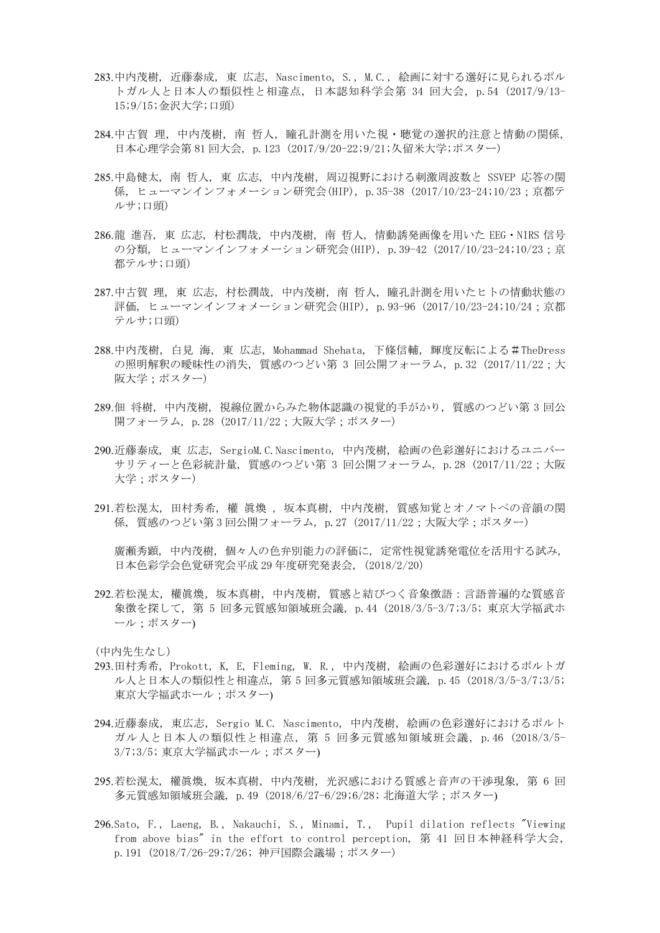- 283.中内茂樹, 近藤泰成, 東 広志, Nascimento, S., M.C., 絵画に対する選好に見られるポル トガル人と日本人の類似性と相違点, 日本認知科学会第 34 回大会, p.54 (2017/9/13- 15;9/15;金沢大学;口頭)
- 284.中古賀 理, 中内茂樹, 南 哲人, 瞳孔計測を用いた視・聴覚の選択的注意と情動の関係, 日本心理学会第 81 回大会, p.123 (2017/9/20-22;9/21;久留米大学;ポスター)
- 285.中島健太, 南 哲人, 東 広志, 中内茂樹, 周辺視野における刺激周波数と SSVEP 応答の関 係, ヒューマンインフォメーション研究会(HIP), p.35-38 (2017/10/23-24;10/23;京都テ ルサ;口頭)
- 286.龍 進吾, 東 広志, 村松潤哉, 中内茂樹, 南 哲人, 情動誘発画像を用いた EEG・NIRS 信号 の分類, ヒューマンインフォメーション研究会(HIP), p. 39-42 (2017/10/23-24;10/23;京 都テルサ;口頭)
- 287.中古賀 理, 東 広志, 村松潤哉, 中内茂樹, 南 哲人, 瞳孔計測を用いたヒトの情動状態の 評価, ヒューマンインフォメーション研究会(HIP), p.93-96 (2017/10/23-24;10/24;京都 テルサ;口頭)
- 288.中内茂樹, 白見 海, 東 広志, Mohammad Shehata, 下條信輔, 輝度反転による#TheDress の照明解釈の曖昧性の消失, 質感のつどい第 3 回公開フォーラム, p.32 (2017/11/22;大 阪大学;ポスター)
- 289.佃 将樹, 中内茂樹, 視線位置からみた物体認識の視覚的手がかり, 質感のつどい第 3 回公 開フォーラム, p. 28 (2017/11/22;大阪大学;ポスター)
- 290.近藤泰成, 東 広志, SergioM.C.Nascimento, 中内茂樹, 絵画の色彩選好におけるユニバー サリティーと色彩統計量, 質感のつどい第 3 回公開フォーラム, p.28 (2017/11/22;大阪 大学;ポスター)
- 291.若松滉太, 田村秀希, 權 眞煥 , 坂本真樹, 中内茂樹, 質感知覚とオノマトペの音韻の関 係, 質感のつどい第 3 回公開フォーラム, p.27 (2017/11/22;大阪大学;ポスター)

廣瀬秀顕, 中内茂樹, 個々人の色弁別能力の評価に, 定常性視覚誘発電位を活用する試み, 日本色彩学会色覚研究会平成 29 年度研究発表会, (2018/2/20)

292.若松滉太, 權眞煥,坂本真樹,中内茂樹, 質感と結びつく音象徴語:言語普遍的な質感音 象徴を探して, 第 5 回多元質感知領域班会議, p.44 (2018/3/5-3/7;3/5; 東京大学福武ホ ール;ポスター)

- 293.田村秀希, Prokott, K, E, Fleming, W. R., 中内茂樹, 絵画の色彩選好におけるポルトガ ル人と日本人の類似性と相違点, 第 5 回多元質感知領域班会議, p.45 (2018/3/5-3/7;3/5; 東京大学福武ホール;ポスター)
- 294.近藤泰成, 東広志, Sergio M.C. Nascimento, 中内茂樹, 絵画の色彩選好におけるポルト ガル人と日本人の類似性と相違点, 第 5 回多元質感知領域班会議, p.46 (2018/3/5- 3/7;3/5; 東京大学福武ホール;ポスター)
- 295.若松滉太, 權眞煥, 坂本真樹, 中内茂樹, 光沢感における質感と音声の干渉現象, 第6回 多元質感知領域班会議, p.49 (2018/6/27-6/29;6/28; 北海道大学;ポスター)
- 296.Sato, F., Laeng, B., Nakauchi, S., Minami, T., Pupil dilation reflects "Viewing from above bias" in the effort to control perception, 第 41 回日本神経科学大会, p.191 (2018/7/26-29;7/26; 神戸国際会議場;ポスター)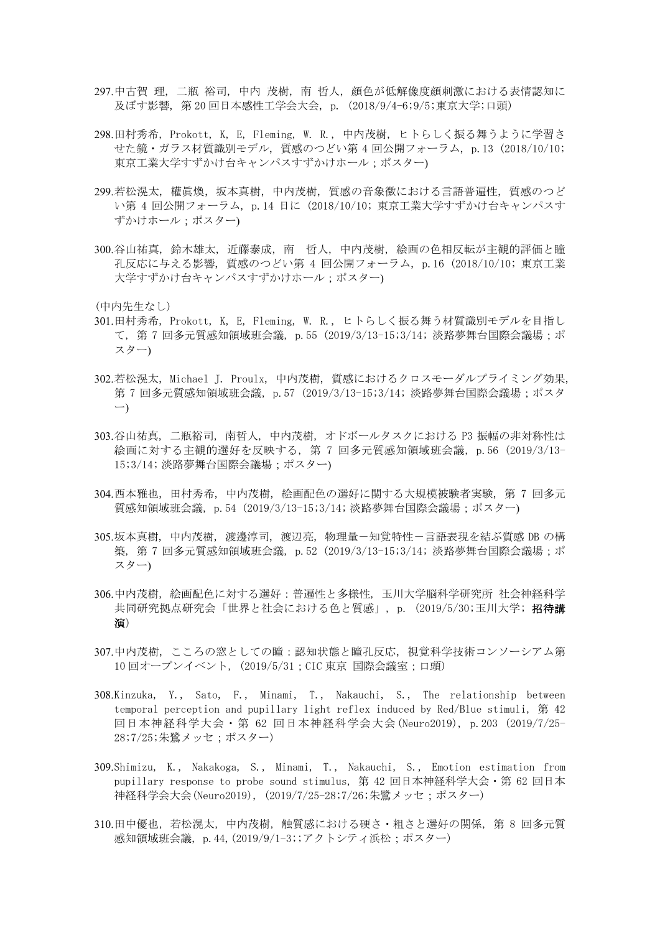- 297.中古賀 理, 二瓶 裕司, 中内 茂樹, 南 哲人, 顔色が低解像度顔刺激における表情認知に 及ぼす影響, 第 20 回日本感性工学会大会, p. (2018/9/4-6;9/5;東京大学;口頭)
- 298.田村秀希, Prokott, K, E, Fleming, W. R., 中内茂樹, ヒトらしく振る舞うように学習さ せた鏡・ガラス材質識別モデル, 質感のつどい第 4 回公開フォーラム, p.13 (2018/10/10; 東京工業大学すずかけ台キャンパスすずかけホール;ポスター)
- 299.若松滉太, 權眞煥, 坂本真樹, 中内茂樹, 質感の音象徴における言語普遍性, 質感のつど い第 4 回公開フォーラム, p.14 日に (2018/10/10; 東京工業大学すずかけ台キャンパスす ずかけホール;ポスター)
- 300.谷山祐真, 鈴木雄太, 近藤泰成, 南 哲人, 中内茂樹, 絵画の色相反転が主観的評価と瞳 孔反応に与える影響, 質感のつどい第 4 回公開フォーラム, p.16 (2018/10/10; 東京工業 大学すずかけ台キャンパスすずかけホール;ポスター)

- 301.田村秀希, Prokott, K, E, Fleming, W. R., ヒトらしく振る舞う材質識別モデルを目指し て, 第 7 回多元質感知領域班会議, p.55 (2019/3/13-15;3/14; 淡路夢舞台国際会議場;ポ スター)
- 302.若松滉太, Michael J. Proulx, 中内茂樹, 質感におけるクロスモーダルプライミング効果, 第 7 回多元質感知領域班会議, p.57 (2019/3/13-15;3/14; 淡路夢舞台国際会議場;ポスタ ー)
- 303.谷山祐真, 二瓶裕司, 南哲人, 中内茂樹, オドボールタスクにおける P3 振幅の非対称性は 絵画に対する主観的選好を反映する, 第 7 回多元質感知領域班会議, p.56 (2019/3/13- 15;3/14; 淡路夢舞台国際会議場;ポスター)
- 304.西本雅也, 田村秀希, 中内茂樹, 絵画配色の選好に関する大規模被験者実験, 第 7 回多元 質感知領域班会議, p.54 (2019/3/13-15;3/14; 淡路夢舞台国際会議場;ポスター)
- 305.坂本真樹, 中内茂樹, 渡邊淳司, 渡辺亮, 物理量-知覚特性-言語表現を結ぶ質感 DB の構 築, 第 7 回多元質感知領域班会議, p.52 (2019/3/13-15;3/14; 淡路夢舞台国際会議場;ポ スター)
- 306.中内茂樹, 絵画配色に対する選好:普遍性と多様性, 玉川大学脳科学研究所 社会神経科学 共同研究拠点研究会「世界と社会における色と質感」, p. (2019/5/30;玉川大学; 招待講 演)
- 307.中内茂樹, こころの窓としての瞳:認知状態と瞳孔反応, 視覚科学技術コンソーシアム第 10 回オープンイベント, (2019/5/31;CIC 東京 国際会議室;口頭)
- 308.Kinzuka, Y., Sato, F., Minami, T., Nakauchi, S., The relationship between temporal perception and pupillary light reflex induced by Red/Blue stimuli, 第 42 回日本神経科学大会・第 62 回日本神経科学会大会 (Neuro2019), p.203 (2019/7/25- 28;7/25;朱鷺メッセ;ポスター)
- 309.Shimizu, K., Nakakoga, S., Minami, T., Nakauchi, S., Emotion estimation from pupillary response to probe sound stimulus, 第 42 回日本神経科学大会・第 62 回日本 神経科学会大会(Neuro2019), (2019/7/25-28;7/26;朱鷺メッセ;ポスター)
- 310.田中優也,若松滉太,中内茂樹, 触質感における硬さ・粗さと選好の関係, 第 8 回多元質 感知領域班会議, p. 44, (2019/9/1-3;;アクトシティ浜松;ポスター)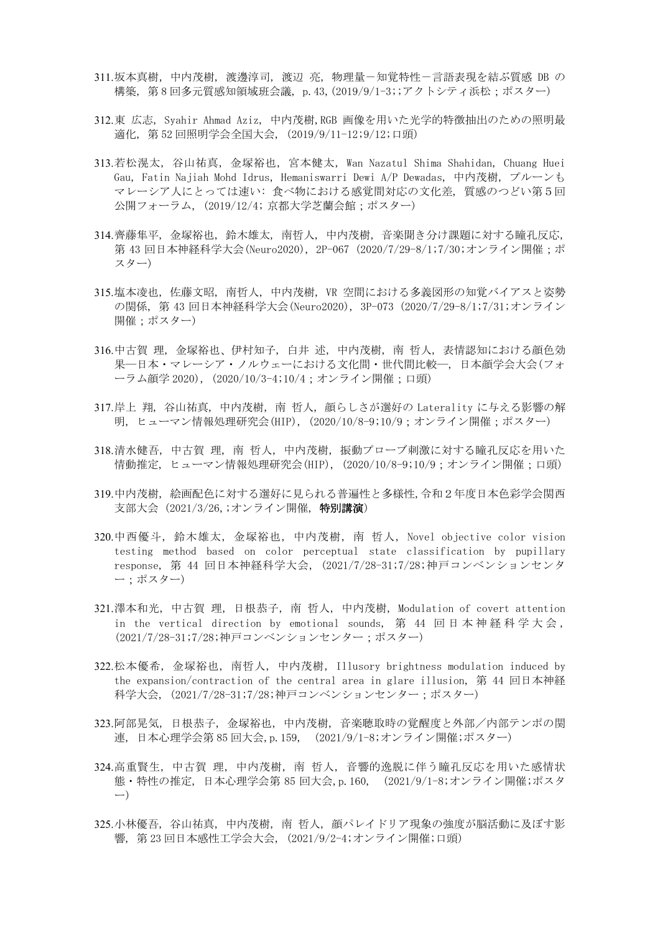- 311.坂本真樹,中内茂樹, 渡邊淳司, 渡辺 亮, 物理量-知覚特性-言語表現を結ぶ質感 DB の 構築, 第 8 回多元質感知領域班会議, p.43,(2019/9/1-3;;アクトシティ浜松;ポスター)
- 312.東 広志, Syahir Ahmad Aziz, 中内茂樹,RGB 画像を用いた光学的特徴抽出のための照明最 適化, 第 52 回照明学会全国大会, (2019/9/11-12;9/12;口頭)
- 313.若松滉太, 谷山祐真, 金塚裕也, 宮本健太, Wan Nazatul Shima Shahidan, Chuang Huei Gau, Fatin Najiah Mohd Idrus, Hemaniswarri Dewi A/P Dewadas, 中内茂樹, プルーンも マレーシア人にとっては速い: 食べ物における感覚間対応の文化差, 質感のつどい第5回 公開フォーラム, (2019/12/4; 京都大学芝蘭会館;ポスター)
- 314.齊藤隼平, 金塚裕也, 鈴木雄太, 南哲人, 中内茂樹, 音楽聞き分け課題に対する瞳孔反応, 第 43 回日本神経科学大会(Neuro2020), 2P-067 (2020/7/29-8/1;7/30;オンライン開催;ポ スター)
- 315.塩本凌也, 佐藤文昭, 南哲人, 中内茂樹, VR 空間における多義図形の知覚バイアスと姿勢 の関係, 第 43 回日本神経科学大会(Neuro2020), 3P-073 (2020/7/29-8/1;7/31;オンライン 開催;ポスター)
- 316.中古賀 理, 金塚裕也、伊村知子, 白井 述, 中内茂樹, 南 哲人, 表情認知における顔色効 果―日本・マレーシア・ノルウェーにおける文化間・世代間比較―, 日本顔学会大会(フォ ーラム顔学 2020), (2020/10/3-4;10/4;オンライン開催;口頭)
- 317.岸上 翔, 谷山祐真, 中内茂樹, 南 哲人, 顔らしさが選好の Laterality に与える影響の解 明, ヒューマン情報処理研究会(HIP), (2020/10/8-9;10/9;オンライン開催;ポスター)
- 318.清水健吾, 中古賀 理, 南 哲人, 中内茂樹, 振動プローブ刺激に対する瞳孔反応を用いた 情動推定, ヒューマン情報処理研究会(HIP), (2020/10/8-9;10/9;オンライン開催;口頭)
- 319.中内茂樹, 絵画配色に対する選好に見られる普遍性と多様性,令和2年度日本色彩学会関西 支部大会 (2021/3/26,;オンライン開催, 特別講演)
- 320.中西優斗, 鈴木雄太, 金塚裕也, 中内茂樹, 南 哲人, Novel objective color vision testing method based on color perceptual state classification by pupillary response, 第 44 回日本神経科学大会, (2021/7/28-31;7/28;神戸コンベンションセンタ ー;ポスター)
- 321.澤本和光, 中古賀 理, 日根恭子, 南 哲人, 中内茂樹, Modulation of covert attention in the vertical direction by emotional sounds, 第 44 回 日 本 神 経 科 学 大 会 , (2021/7/28-31;7/28;神戸コンベンションセンター;ポスター)
- 322.松本優希, 金塚裕也, 南哲人, 中内茂樹, Illusory brightness modulation induced by the expansion/contraction of the central area in glare illusion, 第 44 回日本神経 科学大会, (2021/7/28-31;7/28;神戸コンベンションセンター;ポスター)
- 323.阿部晃気, 日根恭子, 金塚裕也, 中内茂樹, 音楽聴取時の覚醒度と外部/内部テンポの関 連, 日本心理学会第 85 回大会,p.159, (2021/9/1-8;オンライン開催;ポスター)
- 324.高重賢生, 中古賀 理, 中内茂樹, 南 哲人, 音響的逸脱に伴う瞳孔反応を用いた感情状 態・特性の推定, 日本心理学会第 85 回大会,p.160, (2021/9/1-8;オンライン開催;ポスタ ー)
- 325.小林優吾, 谷山祐真, 中内茂樹, 南 哲人, 顔パレイドリア現象の強度が脳活動に及ぼす影 響, 第 23 回日本感性工学会大会, (2021/9/2-4;オンライン開催;口頭)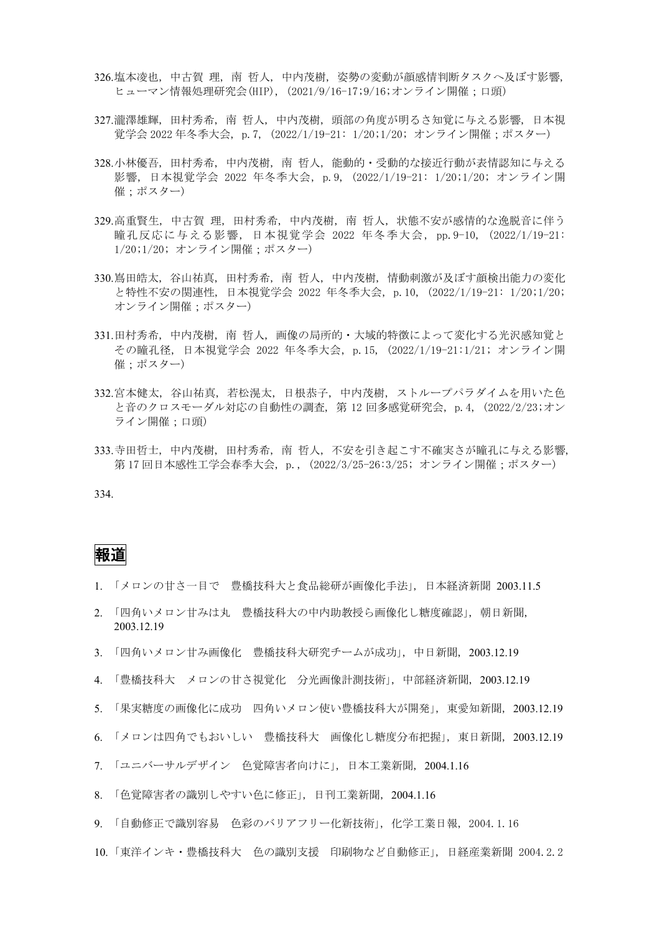- 326.塩本凌也, 中古賀 理, 南 哲人, 中内茂樹, 姿勢の変動が顔感情判断タスクへ及ぼす影響, ヒューマン情報処理研究会(HIP), (2021/9/16-17;9/16;オンライン開催;口頭)
- 327.瀧澤雄輝, 田村秀希, 南 哲人, 中内茂樹, 頭部の角度が明るさ知覚に与える影響, 日本視 覚学会 2022 年冬季大会, p.7, (2022/1/19-21: 1/20;1/20; オンライン開催;ポスター)
- 328.小林優吾, 田村秀希, 中内茂樹, 南 哲人, 能動的・受動的な接近行動が表情認知に与える 影響, 日本視覚学会 2022 年冬季大会, p.9, (2022/1/19-21: 1/20;1/20; オンライン開 催;ポスター)
- 329.高重賢生, 中古賀 理, 田村秀希, 中内茂樹, 南 哲人, 状態不安が感情的な逸脱音に伴う 瞳孔反応に与える影響 , 日本視覚学会 2022 年冬季大会 , pp.9-10, (2022/1/19-21: 1/20;1/20; オンライン開催;ポスター)
- 330.嶌田皓太, 谷山祐真, 田村秀希, 南 哲人, 中内茂樹, 情動刺激が及ぼす顔検出能力の変化 と特性不安の関連性, 日本視覚学会 2022 年冬季大会, p.10, (2022/1/19-21: 1/20;1/20; オンライン開催;ポスター)
- 331.田村秀希, 中内茂樹, 南 哲人, 画像の局所的・大域的特徴によって変化する光沢感知覚と その瞳孔径, 日本視覚学会 2022 年冬季大会, p.15, (2022/1/19-21:1/21; オンライン開 催;ポスター)
- 332.宮本健太, 谷山祐真, 若松滉太, 日根恭子, 中内茂樹, ストループパラダイムを用いた色 と音のクロスモーダル対応の自動性の調査, 第 12 回多感覚研究会, p.4, (2022/2/23;オン ライン開催;口頭)
- 333.寺田哲士, 中内茂樹, 田村秀希, 南 哲人, 不安を引き起こす不確実さが瞳孔に与える影響, 第 17 回日本感性工学会春季大会, p., (2022/3/25-26:3/25; オンライン開催;ポスター)

#### 334.

### 報道

- 1. 「メロンの甘さ一目で 豊橋技科大と食品総研が画像化手法」, 日本経済新聞 2003.11.5
- 2. 「四角いメロン甘みは丸 豊橋技科大の中内助教授ら画像化し糖度確認」, 朝日新聞, 2003.12.19
- 3. 「四角いメロン甘み画像化 豊橋技科大研究チームが成功」, 中日新聞, 2003.12.19
- 4. 「豊橋技科大 メロンの甘さ視覚化 分光画像計測技術」, 中部経済新聞, 2003.12.19
- 5. 「果実糖度の画像化に成功 四角いメロン使い豊橋技科大が開発」, 東愛知新聞, 2003.12.19
- 6. 「メロンは四角でもおいしい 豊橋技科大 画像化し糖度分布把握」, 東日新聞, 2003.12.19
- 7. 「ユニバーサルデザイン 色覚障害者向けに」, 日本工業新聞, 2004.1.16
- 8. 「色覚障害者の識別しやすい色に修正」, 日刊工業新聞, 2004.1.16
- 9. 「自動修正で識別容易 色彩のバリアフリー化新技術」, 化学工業日報, 2004.1.16
- 10. 「東洋インキ・豊橋技科大 色の識別支援 印刷物など自動修正」, 日経産業新聞 2004.2.2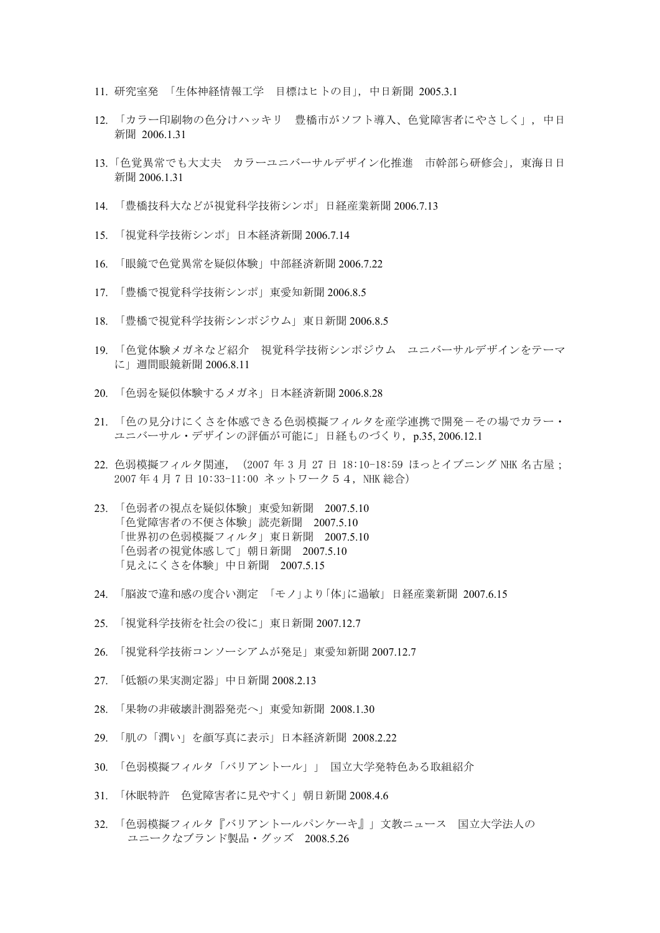- 11. 研究室発 「生体神経情報工学 目標はヒトの目」, 中日新聞 2005.3.1
- 12. 「カラー印刷物の色分けハッキリ 豊橋市がソフト導入、色覚障害者にやさしく」, 中日 新聞 2006.1.31
- 13. 「色覚異常でも大丈夫 カラーユニバーサルデザイン化推進 市幹部ら研修会」, 東海日日 新聞 2006.1.31
- 14. 「豊橋技科大などが視覚科学技術シンポ」日経産業新聞 2006.7.13
- 15. 「視覚科学技術シンポ」日本経済新聞 2006.7.14
- 16. 「眼鏡で色覚異常を疑似体験」中部経済新聞 2006.7.22
- 17. 「豊橋で視覚科学技術シンポ」東愛知新聞 2006.8.5
- 18. 「豊橋で視覚科学技術シンポジウム」東日新聞 2006.8.5
- 19. 「色覚体験メガネなど紹介 視覚科学技術シンポジウム ユニバーサルデザインをテーマ に」週間眼鏡新聞 2006.8.11
- 20. 「色弱を疑似体験するメガネ」日本経済新聞 2006.8.28
- 21. 「色の見分けにくさを体感できる色弱模擬フィルタを産学連携で開発-その場でカラー・ ユニバーサル・デザインの評価が可能に」日経ものづくり, p.35, 2006.12.1
- 22. 色弱模擬フィルタ関連, (2007年3月 27日 18:10-18:59 ほっとイブニング NHK 名古屋; 2007 年 4 月 7 日 10:33-11:00 ネットワーク54, NHK 総合)
- 23. 「色弱者の視点を疑似体験」東愛知新聞 2007.5.10 「色覚障害者の不便さ体験」読売新聞 2007.5.10 「世界初の色弱模擬フィルタ」東日新聞 2007.5.10 「色弱者の視覚体感して」朝日新聞 2007.5.10 「見えにくさを体験」中日新聞 2007.5.15
- 24. 「脳波で違和感の度合い測定 「モノ」より「体」に過敏」 日経産業新聞 2007.6.15
- 25. 「視覚科学技術を社会の役に」東日新聞 2007.12.7
- 26. 「視覚科学技術コンソーシアムが発足」東愛知新聞 2007.12.7
- 27. 「低額の果実測定器」中日新聞 2008.2.13
- 28. 「果物の非破壊計測器発売へ」東愛知新聞 2008.1.30
- 29. 「肌の「潤い」を顔写真に表示」日本経済新聞 2008.2.22
- 30. 「色弱模擬フィルタ「バリアントール」」 国立大学発特色ある取組紹介
- 31. 「休眠特許 色覚障害者に見やすく」朝日新聞 2008.4.6
- 32. 「色弱模擬フィルタ『バリアントールパンケーキ』」文教ニュース 国立大学法人の ユニークなブランド製品・グッズ 2008.5.26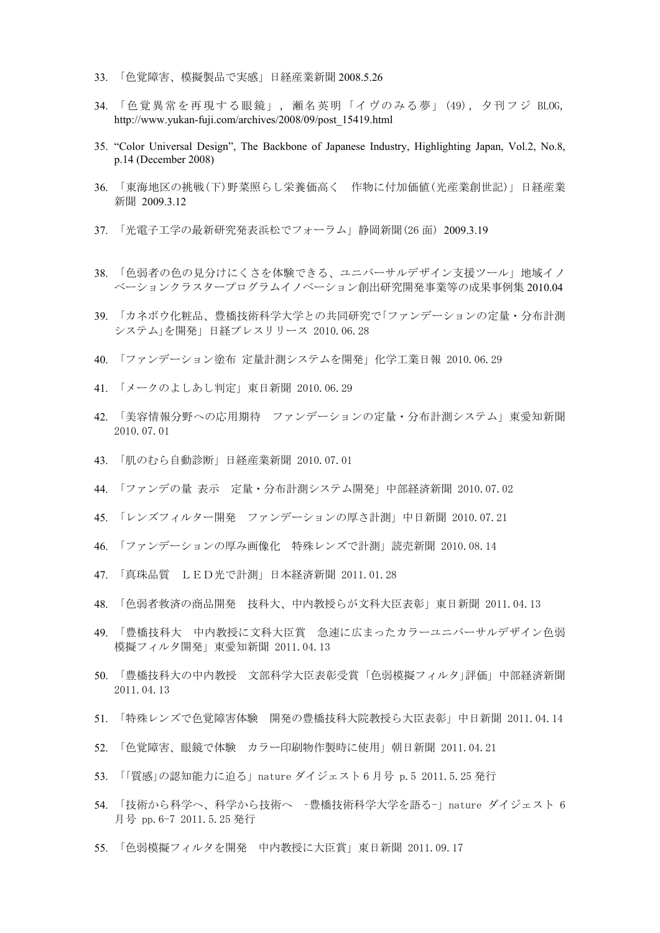- 33. 「色覚障害、模擬製品で実感」日経産業新聞 2008.5.26
- 34. 「色覚異常を再現する眼鏡」, 瀬名英明「イヴのみる夢」(49), 夕刊フジ BLOG, http://www.yukan-fuji.com/archives/2008/09/post\_15419.html
- 35. "Color Universal Design", The Backbone of Japanese Industry, Highlighting Japan, Vol.2, No.8, p.14 (December 2008)
- 36. 「東海地区の挑戦(下)野菜照らし栄養価高く 作物に付加価値(光産業創世記)」 日経産業 新聞 2009.3.12
- 37. 「光電子工学の最新研究発表浜松でフォーラム」静岡新聞(26 面) 2009.3.19
- 38. 「色弱者の色の見分けにくさを体験できる、ユニバーサルデザイン支援ツール」地域イノ ベーションクラスタープログラムイノベーション創出研究開発事業等の成果事例集 2010.04
- 39. 「カネボウ化粧品、豊橋技術科学大学との共同研究で「ファンデーションの定量・分布計測 システム」を開発」日経プレスリリース 2010.06.28
- 40. 「ファンデーション塗布 定量計測システムを開発」化学工業日報 2010.06.29
- 41. 「メークのよしあし判定」東日新聞 2010.06.29
- 42. 「美容情報分野への応用期待 ファンデーションの定量・分布計測システム」東愛知新聞 2010.07.01
- 43. 「肌のむら自動診断」日経産業新聞 2010.07.01
- 44. 「ファンデの量 表示 定量・分布計測システム開発」中部経済新聞 2010.07.02
- 45. 「レンズフィルター開発 ファンデーションの厚さ計測」中日新聞 2010.07.21
- 46. 「ファンデーションの厚み画像化 特殊レンズで計測」読売新聞 2010.08.14
- 47. 「真珠品質 LED光で計測」日本経済新聞 2011.01.28
- 48. 「色弱者救済の商品開発 技科大、中内教授らが文科大臣表彰」東日新聞 2011.04.13
- 49. 「豊橋技科大 中内教授に文科大臣賞 急速に広まったカラーユニバーサルデザイン色弱 模擬フィルタ開発」東愛知新聞 2011.04.13
- 50. 「豊橋技科大の中内教授 文部科学大臣表彰受賞 「色弱模擬フィルタ」評価」中部経済新聞 2011.04.13
- 51. 「特殊レンズで色覚障害体験 開発の豊橋技科大院教授ら大臣表彰」中日新聞 2011.04.14
- 52. 「色覚障害、眼鏡で体験 カラー印刷物作製時に使用」朝日新聞 2011.04.21
- 53. 「「質感」の認知能力に迫る」nature ダイジェスト 6 月号 p.5 2011.5.25 発行
- 54. 「技術から科学へ、科学から技術へ –豊橋技術科学大学を語る-」nature ダイジェスト 6 月号 pp.6-7 2011.5.25 発行
- 55. 「色弱模擬フィルタを開発 中内教授に大臣賞」東日新聞 2011.09.17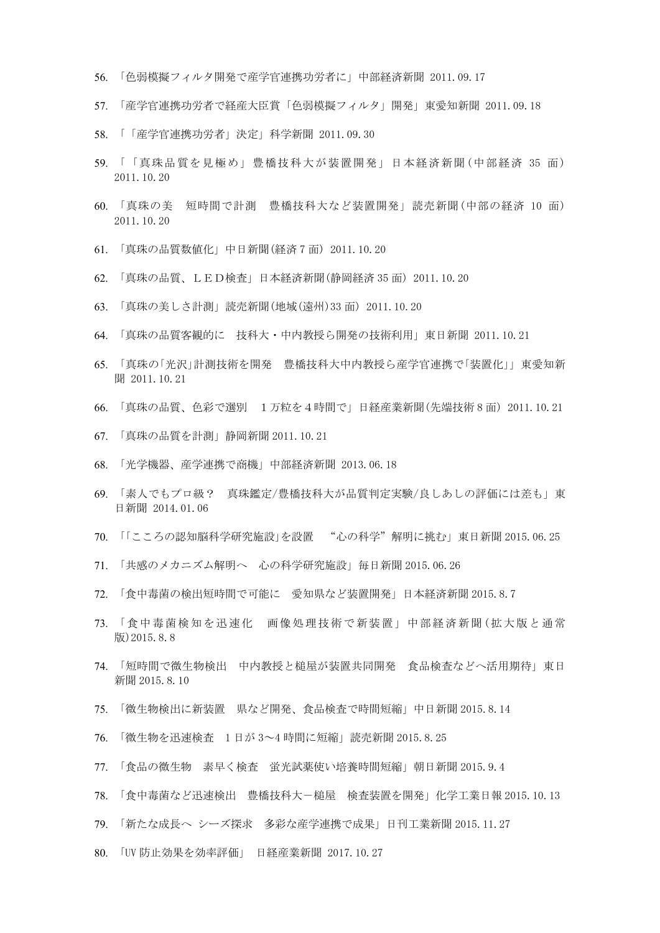- 56. 「色弱模擬フィルタ開発で産学官連携功労者に」中部経済新聞 2011.09.17
- 57. 「産学官連携功労者で経産大臣賞「色弱模擬フィルタ」開発」東愛知新聞 2011.09.18
- 58. 「「産学官連携功労者」決定」科学新聞 2011.09.30
- 59. 「「真珠品質を見極め」豊橋技科大が装置開発」日本経済新聞 (中部経済 35 面) 2011.10.20
- 60. 「真珠の美 短時間で計測 豊橋技科大など装置開発」読売新聞(中部の経済 10 面) 2011.10.20
- 61. 「真珠の品質数値化」中日新聞(経済 7 面) 2011.10.20
- 62. 「真珠の品質、LED検査」日本経済新聞(静岡経済 35 面) 2011.10.20
- 63. 「真珠の美しさ計測」読売新聞(地域(遠州)33 面) 2011.10.20
- 64. 「真珠の品質客観的に 技科大・中内教授ら開発の技術利用」東日新聞 2011.10.21
- 65. 「真珠の「光沢」計測技術を開発 豊橋技科大中内教授ら産学官連携で「装置化」」東愛知新 聞 2011.10.21
- 66. 「真珠の品質、色彩で選別 1万粒を4時間で」日経産業新聞(先端技術 8 面) 2011.10.21
- 67. 「真珠の品質を計測」静岡新聞 2011.10.21
- 68. 「光学機器、産学連携で商機」中部経済新聞 2013.06.18
- 69. 「素人でもプロ級? 真珠鑑定/豊橋技科大が品質判定実験/良しあしの評価には差も」東 日新聞 2014.01.06
- 70. 「「こころの認知脳科学研究施設」を設置 "心の科学"解明に挑む」東日新聞 2015.06.25
- 71. 「共感のメカニズム解明へ 心の科学研究施設」毎日新聞 2015.06.26
- 72. 「食中毒菌の検出短時間で可能に 愛知県など装置開発」日本経済新聞 2015.8.7
- 73. 「食中毒菌検知を迅速化 画像処理技術で新装置」中部経済新聞(拡大版と通常 版)2015.8.8
- 74. 「短時間で微生物検出 中内教授と槌屋が装置共同開発 食品検査などへ活用期待」東日 新聞 2015.8.10
- 75. 「微生物検出に新装置 県など開発、食品検査で時間短縮」中日新聞 2015.8.14
- 76. 「微生物を迅速検査 1 日が 3~4 時間に短縮」読売新聞 2015.8.25
- 77. 「食品の微生物 素早く検査 蛍光試薬使い培養時間短縮」朝日新聞 2015.9.4
- 78. 「食中毒菌など迅速検出 豊橋技科大-槌屋 検査装置を開発」化学工業日報 2015.10.13
- 79. 「新たな成長へ シーズ探求 多彩な産学連携で成果」日刊工業新聞 2015.11.27
- 80. 「UV 防止効果を効率評価」 日経産業新聞 2017.10.27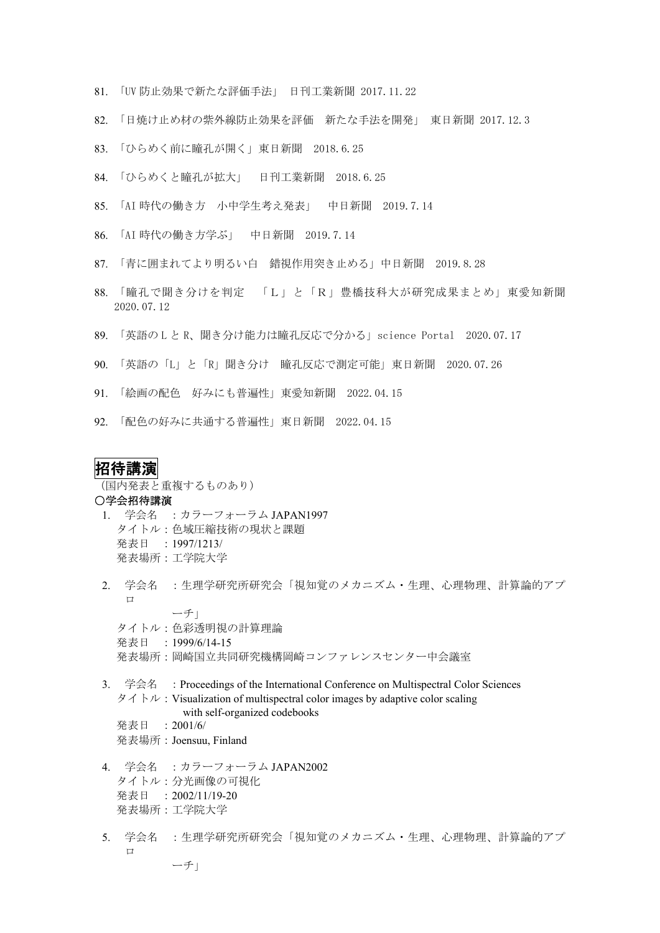- 81. 「UV 防止効果で新たな評価手法」 日刊工業新聞 2017.11.22
- 82. 「日焼け止め材の紫外線防止効果を評価 新たな手法を開発」 東日新聞 2017.12.3
- 83. 「ひらめく前に瞳孔が開く」東日新聞 2018.6.25
- 84. 「ひらめくと瞳孔が拡大」 日刊工業新聞 2018.6.25
- 85. 「AI 時代の働き方 小中学生考え発表」 中日新聞 2019.7.14
- 86. 「AI 時代の働き方学ぶ」 中日新聞 2019.7.14
- 87. 「青に囲まれてより明るい白 錯視作用突き止める」中日新聞 2019.8.28
- 88. 「瞳孔で聞き分けを判定 「L」と「R」豊橋技科大が研究成果まとめ」東愛知新聞 2020.07.12
- 89. 「英語の L と R、聞き分け能力は瞳孔反応で分かる」science Portal 2020.07.17
- 90. 「英語の「L」と「R」聞き分け 瞳孔反応で測定可能」東日新聞 2020.07.26
- 91. 「絵画の配色 好みにも普遍性」東愛知新聞 2022.04.15
- 92. 「配色の好みに共通する普遍性」東日新聞 2022.04.15

#### 招待講演

(国内発表と重複するものあり)

#### ○学会招待講演

- 1. 学会名 :カラーフォーラム JAPAN1997 タイトル:色域圧縮技術の現状と課題 発表日 :1997/1213/ 発表場所:工学院大学
- 2. 学会名 :生理学研究所研究会「視知覚のメカニズム・生理、心理物理、計算論的アプ  $\mathsf{L}$ ーチ」

タイトル:色彩透明視の計算理論 発表日 :1999/6/14-15 発表場所:岡崎国立共同研究機構岡崎コンファレンスセンター中会議室

- 3. 学会名 : Proceedings of the International Conference on Multispectral Color Sciences タイトル: Visualization of multispectral color images by adaptive color scaling with self-organized codebooks 発表日 :2001/6/ 発表場所:Joensuu, Finland
	-
- 4. 学会名 :カラーフォーラム JAPAN2002 タイトル:分光画像の可視化 発表日 :2002/11/19-20 発表場所:工学院大学
- 5. 学会名 :生理学研究所研究会「視知覚のメカニズム・生理、心理物理、計算論的アプ ロ ーチ」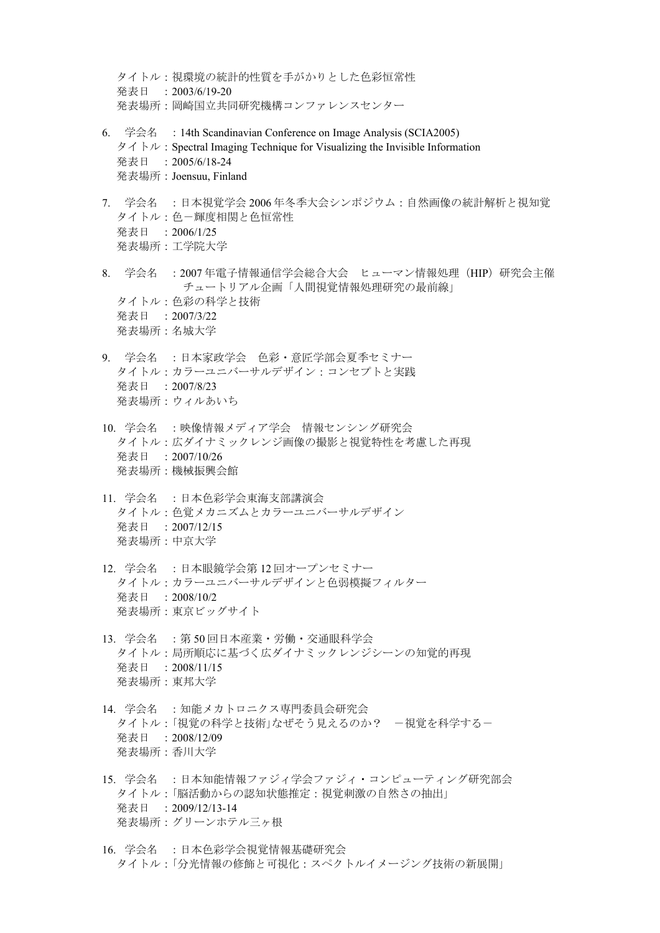タイトル:視環境の統計的性質を手がかりとした色彩恒常性 発表日 : 2003/6/19-20 発表場所:岡崎国立共同研究機構コンファレンスセンター

- 6. 学会名 :14th Scandinavian Conference on Image Analysis (SCIA2005)  $\forall$   $\forall$   $\wedge$   $\vdash \nu$  : Spectral Imaging Technique for Visualizing the Invisible Information 発表日 : 2005/6/18-24 発表場所:Joensuu, Finland
- 7. 学会名 :日本視覚学会 2006 年冬季大会シンポジウム:自然画像の統計解析と視知覚 タイトル:色-輝度相関と色恒常性 発表日 :2006/1/25 発表場所:工学院大学
- 8. 学会名 :2007 年電子情報通信学会総合大会 ヒューマン情報処理(HIP)研究会主催 チュートリアル企画「人間視覚情報処理研究の最前線」 タイトル:色彩の科学と技術 発表日 :2007/3/22 発表場所:名城大学
- 9. 学会名 :日本家政学会 色彩・意匠学部会夏季セミナー タイトル:カラーユニバーサルデザイン:コンセプトと実践 発表日 :2007/8/23 発表場所:ウィルあいち
- 10. 学会名 :映像情報メディア学会 情報センシング研究会 タイトル:広ダイナミックレンジ画像の撮影と視覚特性を考慮した再現 発表日 :2007/10/26 発表場所:機械振興会館
- 11. 学会名 :日本色彩学会東海支部講演会 タイトル:色覚メカニズムとカラーユニバーサルデザイン 発表日 :2007/12/15 発表場所:中京大学
- 12. 学会名 :日本眼鏡学会第 12 回オープンセミナー タイトル:カラーユニバーサルデザインと色弱模擬フィルター 発表日 :2008/10/2 発表場所:東京ビッグサイト
- 13. 学会名 : 第 50 回日本産業·労働·交通眼科学会 タイトル:局所順応に基づく広ダイナミックレンジシーンの知覚的再現 発表日 :2008/11/15 発表場所:東邦大学
- 14. 学会名 : 知能メカトロニクス専門委員会研究会 タイトル:「視覚の科学と技術」なぜそう見えるのか? -視覚を科学するー 発表日 :2008/12/09 発表場所:香川大学
- 15. 学会名 :日本知能情報ファジィ学会ファジィ・コンピューティング研究部会 タイトル:「脳活動からの認知状態推定:視覚刺激の自然さの抽出」 発表日 :2009/12/13-14 発表場所:グリーンホテル三ヶ根
- 16. 学会名 :日本色彩学会視覚情報基礎研究会 タイトル:「分光情報の修飾と可視化:スペクトルイメージング技術の新展開」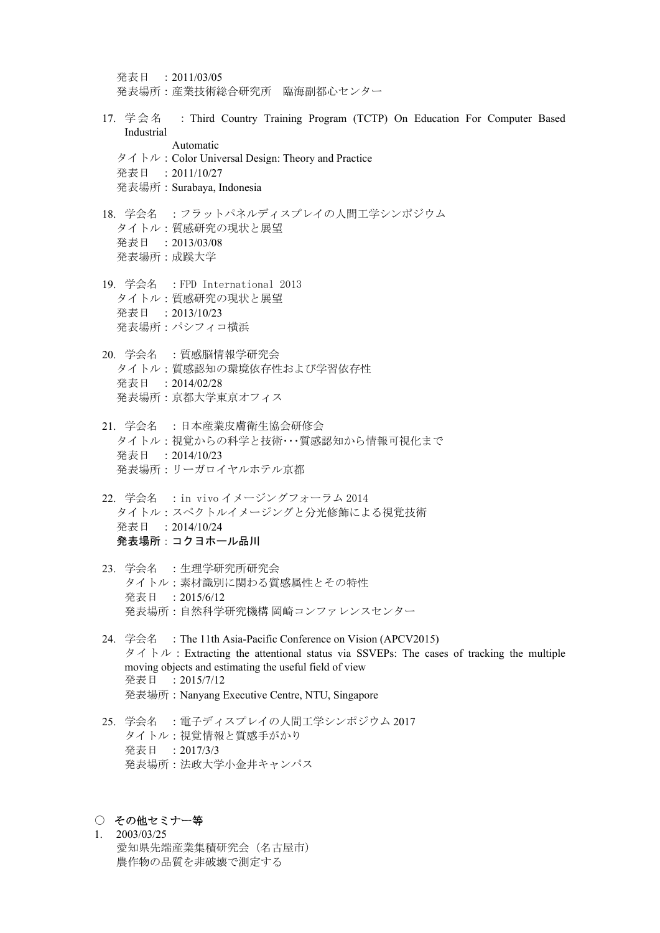発表日 :2011/03/05 発表場所:産業技術総合研究所 臨海副都心センター

- 17. 学会名 : Third Country Training Program (TCTP) On Education For Computer Based Industrial Automatic
	- タイトル:Color Universal Design: Theory and Practice
	- 発表日 :2011/10/27
	- 発表場所:Surabaya, Indonesia
- 18. 学会名 :フラットパネルディスプレイの人間工学シンポジウム タイトル:質感研究の現状と展望 発表日 :2013/03/08 発表場所:成蹊大学
- 19. 学会名 :FPD International 2013 タイトル:質感研究の現状と展望 発表日 :2013/10/23 発表場所:パシフィコ横浜
- 20. 学会名 :質感脳情報学研究会 タイトル:質感認知の環境依存性および学習依存性 発表日 :2014/02/28 発表場所:京都大学東京オフィス
- 21. 学会名 :日本産業皮膚衛生協会研修会 タイトル:視覚からの科学と技術・・・質感認知から情報可視化まで 発表日 :2014/10/23 発表場所:リーガロイヤルホテル京都
- 22. 学会名 :in vivo イメージングフォーラム 2014 タイトル:スペクトルイメージングと分光修飾による視覚技術 発表日 :2014/10/24 発表場所:コクヨホール品川
- 23. 学会名 :生理学研究所研究会 タイトル:素材識別に関わる質感属性とその特性 発表日 :2015/6/12 発表場所:自然科学研究機構 岡崎コンファレンスセンター
- 24. 学会名 :The 11th Asia-Pacific Conference on Vision (APCV2015)  $\forall$   $\wedge$   $\wedge$   $\vee$  : Extracting the attentional status via SSVEPs: The cases of tracking the multiple moving objects and estimating the useful field of view 発表日 : 2015/7/12 発表場所:Nanyang Executive Centre, NTU, Singapore
- 25. 学会名 :電子ディスプレイの人間工学シンポジウム 2017 タイトル:視覚情報と質感手がかり 発表日 :2017/3/3 発表場所:法政大学小金井キャンパス

#### ○ その他セミナー等

1. 2003/03/25 愛知県先端産業集積研究会(名古屋市) 農作物の品質を非破壊で測定する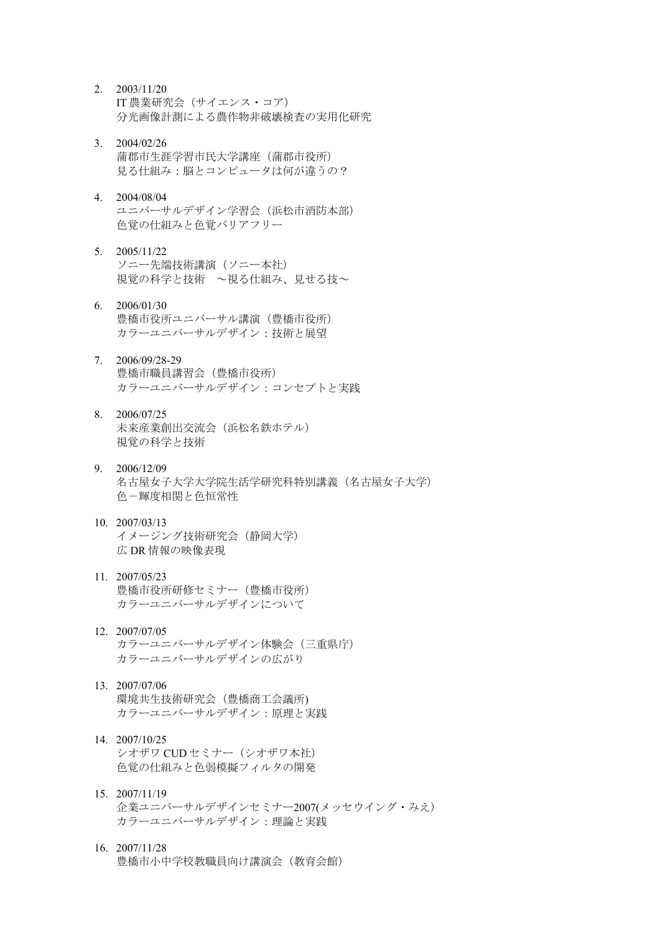- 2. 2003/11/20 IT 農業研究会(サイエンス・コア) 分光画像計測による農作物非破壊検査の実用化研究
- 3. 2004/02/26 蒲郡市生涯学習市民大学講座(蒲郡市役所) 見る仕組み:脳とコンピュータは何が違うの?
- 4. 2004/08/04 ユニバーサルデザイン学習会(浜松市消防本部) 色覚の仕組みと色覚バリアフリー
- 5. 2005/11/22 ソニー先端技術講演(ソニー本社) 視覚の科学と技術 ~視る仕組み、見せる技~
- 6. 2006/01/30 豊橋市役所ユニバーサル講演(豊橋市役所) カラーユニバーサルデザイン:技術と展望
- 7. 2006/09/28-29 豊橋市職員講習会(豊橋市役所) カラーユニバーサルデザイン:コンセプトと実践
- 8. 2006/07/25 未来産業創出交流会(浜松名鉄ホテル) 視覚の科学と技術
- 9. 2006/12/09 名古屋女子大学大学院生活学研究科特別講義(名古屋女子大学) 色-輝度相関と色恒常性
- 10. 2007/03/13 イメージング技術研究会(静岡大学) 広 DR 情報の映像表現
- 11. 2007/05/23 豊橋市役所研修セミナー(豊橋市役所) カラーユニバーサルデザインについて
- 12. 2007/07/05 カラーユニバーサルデザイン体験会(三重県庁) カラーユニバーサルデザインの広がり
- 13. 2007/07/06 環境共生技術研究会(豊橋商工会議所) カラーユニバーサルデザイン:原理と実践
- 14. 2007/10/25 シオザワ CUD セミナー(シオザワ本社) 色覚の仕組みと色弱模擬フィルタの開発
- 15. 2007/11/19 企業ユニバーサルデザインセミナー2007(メッセウイング・みえ) カラーユニバーサルデザイン:理論と実践
- 16. 2007/11/28 豊橋市小中学校教職員向け講演会(教育会館)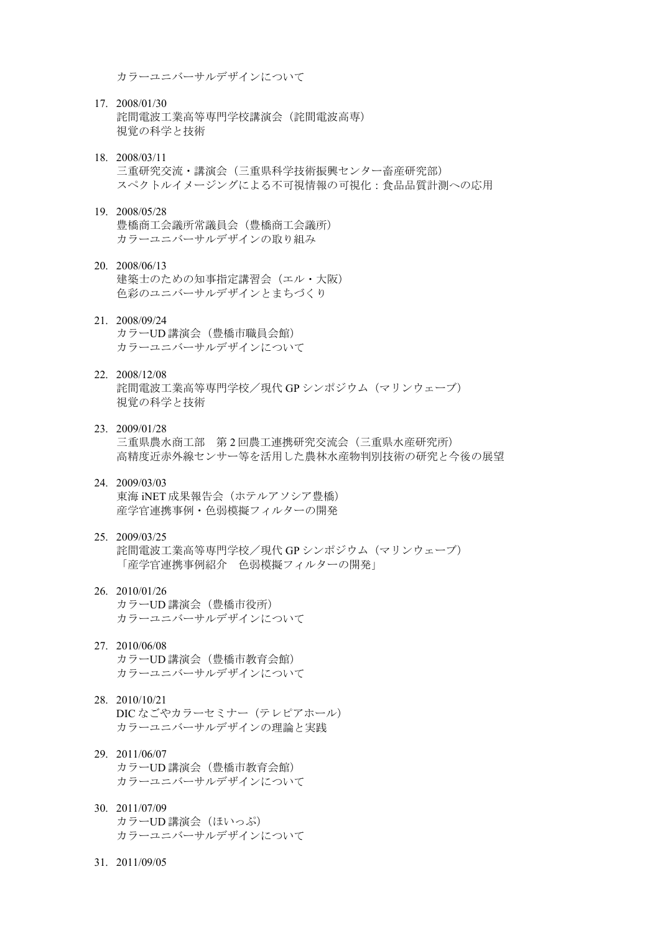カラーユニバーサルデザインについて

- 17. 2008/01/30 詫間電波工業高等専門学校講演会(詫間電波高専) 視覚の科学と技術
- 18. 2008/03/11 三重研究交流・講演会 (三重県科学技術振興センター畜産研究部) スペクトルイメージングによる不可視情報の可視化:食品品質計測への応用
- 19. 2008/05/28 豊橋商工会議所常議員会(豊橋商工会議所) カラーユニバーサルデザインの取り組み
- 20. 2008/06/13 建築士のための知事指定講習会(エル・大阪) 色彩のユニバーサルデザインとまちづくり
- 21. 2008/09/24 カラーUD 講演会(豊橋市職員会館) カラーユニバーサルデザインについて
- 22. 2008/12/08 詫間電波工業高等専門学校/現代 GP シンポジウム(マリンウェーブ) 視覚の科学と技術
- 23. 2009/01/28 三重県農水商工部 第 2 回農工連携研究交流会(三重県水産研究所) 高精度近赤外線センサー等を活用した農林水産物判別技術の研究と今後の展望
- 24. 2009/03/03 東海 iNET 成果報告会(ホテルアソシア豊橋) 産学官連携事例・色弱模擬フィルターの開発
- 25. 2009/03/25 詫間電波工業高等専門学校/現代 GP シンポジウム(マリンウェーブ) 「産学官連携事例紹介 色弱模擬フィルターの開発」
- 26. 2010/01/26 カラーUD 講演会 (豊橋市役所) カラーユニバーサルデザインについて
- 27. 2010/06/08 カラーUD 講演会(豊橋市教育会館) カラーユニバーサルデザインについて
- 28. 2010/10/21 DIC なごやカラーセミナー(テレピアホール) カラーユニバーサルデザインの理論と実践
- 29. 2011/06/07 カラーUD 講演会(豊橋市教育会館) カラーユニバーサルデザインについて
- 30. 2011/07/09 カラーUD 講演会 (ほいっぷ) カラーユニバーサルデザインについて
- 31. 2011/09/05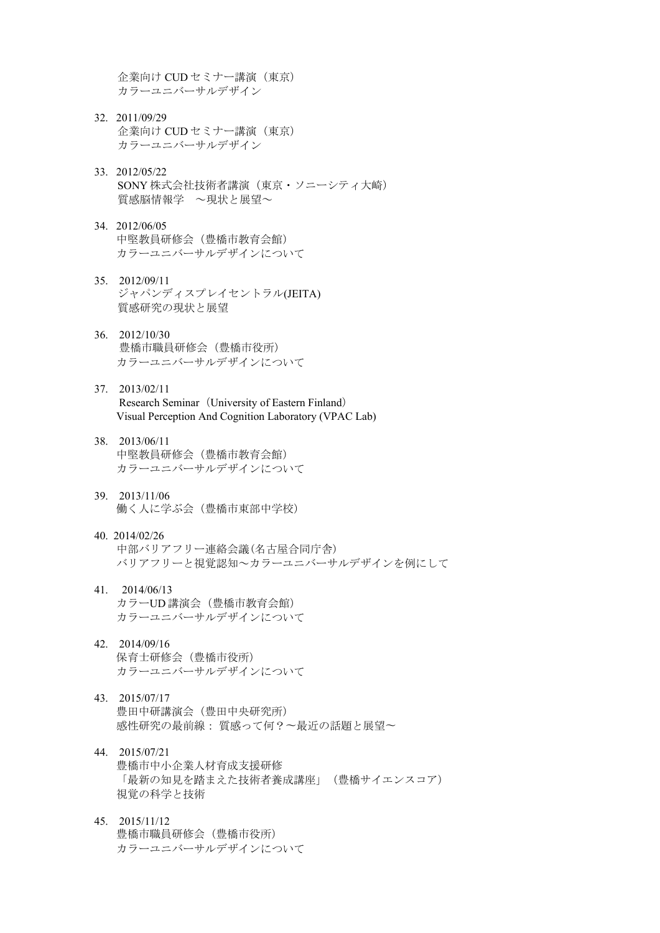企業向け CUD セミナー講演 (東京) カラーユニバーサルデザイン

- 32. 2011/09/29 企業向け CUD セミナー講演 (東京) カラーユニバーサルデザイン
- 33. 2012/05/22 SONY 株式会社技術者講演(東京・ソニーシティ大崎) 質感脳情報学 ~現状と展望~
- 34. 2012/06/05 中堅教員研修会(豊橋市教育会館) カラーユニバーサルデザインについて
- 35. 2012/09/11 ジャパンディスプレイセントラル(JEITA) 質感研究の現状と展望
- 36. 2012/10/30 豊橋市職員研修会(豊橋市役所) カラーユニバーサルデザインについて
- 37. 2013/02/11 Research Seminar (University of Eastern Finland) Visual Perception And Cognition Laboratory (VPAC Lab)
- 38. 2013/06/11 中堅教員研修会(豊橋市教育会館) カラーユニバーサルデザインについて
- 39. 2013/11/06 働く人に学ぶ会(豊橋市東部中学校)
- 40. 2014/02/26 中部バリアフリー連絡会議(名古屋合同庁舎) バリアフリーと視覚認知~カラーユニバーサルデザインを例にして
- 41. 2014/06/13 カラーUD 講演会(豊橋市教育会館) カラーユニバーサルデザインについて
- 42. 2014/09/16 保育士研修会(豊橋市役所) カラーユニバーサルデザインについて
- 43. 2015/07/17 豊田中研講演会(豊田中央研究所) 感性研究の最前線: 質感って何?〜最近の話題と展望〜
- 44. 2015/07/21 豊橋市中小企業人材育成支援研修 「最新の知見を踏まえた技術者養成講座」(豊橋サイエンスコア) 視覚の科学と技術
- 45. 2015/11/12 豊橋市職員研修会(豊橋市役所) カラーユニバーサルデザインについて